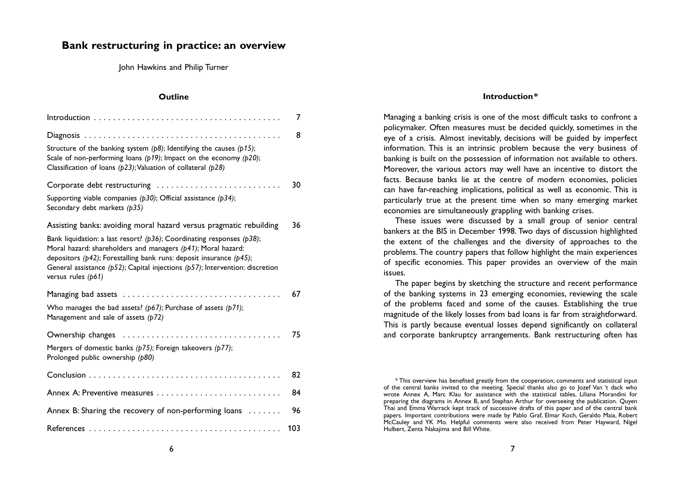# **Bank restructuring in practice: an overview**

John Hawkins and Philip Turner

# **Outline**

|                                                                                                                                                                                                                                                                                                                                           | 7   |
|-------------------------------------------------------------------------------------------------------------------------------------------------------------------------------------------------------------------------------------------------------------------------------------------------------------------------------------------|-----|
| Structure of the banking system $(p8)$ ; Identifying the causes $(p15)$ ;<br>Scale of non-performing loans ( $p19$ ); Impact on the economy ( $p20$ );<br>Classification of loans $(p23)$ ; Valuation of collateral $(p28)$                                                                                                               | 8   |
| Corporate debt restructuring                                                                                                                                                                                                                                                                                                              | 30  |
| Supporting viable companies ( $p30$ ); Official assistance ( $p34$ );<br>Secondary debt markets (p35)                                                                                                                                                                                                                                     |     |
| Assisting banks: avoiding moral hazard versus pragmatic rebuilding                                                                                                                                                                                                                                                                        | 36  |
| Bank liquidation: a last resort? ( $p36$ ); Coordinating responses ( $p38$ );<br>Moral hazard: shareholders and managers (p41); Moral hazard:<br>depositors ( $p42$ ); Forestalling bank runs: deposit insurance ( $p45$ );<br>General assistance ( $p52$ ); Capital injections ( $p57$ ); Intervention: discretion<br>versus rules (p61) |     |
|                                                                                                                                                                                                                                                                                                                                           | 67  |
| Who manages the bad assets? (p67); Purchase of assets (p71);<br>Management and sale of assets $(p72)$                                                                                                                                                                                                                                     |     |
|                                                                                                                                                                                                                                                                                                                                           | 75  |
| Mergers of domestic banks (p75); Foreign takeovers (p77);<br>Prolonged public ownership (p80)                                                                                                                                                                                                                                             |     |
|                                                                                                                                                                                                                                                                                                                                           | 82  |
|                                                                                                                                                                                                                                                                                                                                           | 84  |
| Annex B: Sharing the recovery of non-performing loans                                                                                                                                                                                                                                                                                     | 96  |
|                                                                                                                                                                                                                                                                                                                                           | 103 |

### **Introduction\***

Managing a banking crisis is one of the most difficult tasks to confront a policymaker. Often measures must be decided quickly, sometimes in the eye of a crisis. Almost inevitably, decisions will be guided by imperfect information. This is an intrinsic problem because the very business of banking is built on the possession of information not available to others. Moreover, the various actors may well have an incentive to distort the facts. Because banks lie at the centre of modern economies, policies can have far-reaching implications, political as well as economic. This is particularly true at the present time when so many emerging market economies are simultaneously grappling with banking crises.

These issues were discussed by a small group of senior central bankers at the BIS in December 1998. Two days of discussion highlighted the extent of the challenges and the diversity of approaches to the problems. The country papers that follow highlight the main experiences of specific economies. This paper provides an overview of the main issues.

The paper begins by sketching the structure and recent performance of the banking systems in 23 emerging economies, reviewing the scale of the problems faced and some of the causes. Establishing the true magnitude of the likely losses from bad loans is far from straightforward. This is partly because eventual losses depend significantly on collateral and corporate bankruptcy arrangements. Bank restructuring often has

<sup>\*</sup> This overview has benefited greatly from the cooperation, comments and statistical input of the central banks invited to the meeting. Special thanks also go to Jozef Van 't dack who wrote Annex A, Marc Klau for assistance with the statistical tables, Liliana Morandini for preparing the diagrams in Annex B, and Stephan Arthur for overseeing the publication. Quyen Thai and Emma Warrack kept track of successive drafts of this paper and of the central bank papers. Important contributions were made by Pablo Graf, Elmar Koch, Geraldo Maia, Robert McCauley and YK Mo. Helpful comments were also received from Peter Hayward, Nigel Hulbert, Zenta Nakajima and Bill White.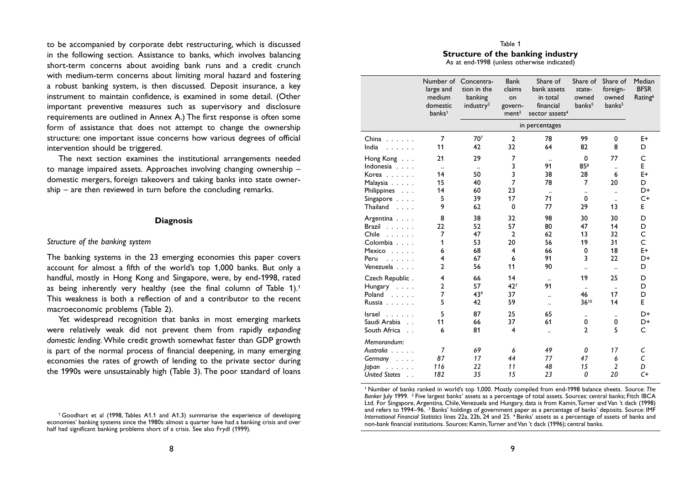to be accompanied by corporate debt restructuring, which is discussed in the following section. Assistance to banks, which involves balancing short-term concerns about avoiding bank runs and a credit crunch with medium-term concerns about limiting moral hazard and fostering a robust banking system, is then discussed. Deposit insurance, a key instrument to maintain confidence, is examined in some detail. (Other important preventive measures such as supervisory and disclosure requirements are outlined in Annex A.) The first response is often some form of assistance that does not attempt to change the ownership structure: one important issue concerns how various degrees of official intervention should be triggered.

The next section examines the institutional arrangements needed to manage impaired assets. Approaches involving changing ownership – domestic mergers, foreign takeovers and taking banks into state ownership – are then reviewed in turn before the concluding remarks.

### **Diagnosis**

### *Structure of the banking system*

The banking systems in the 23 emerging economies this paper covers account for almost a fifth of the world's top 1,000 banks. But only a handful, mostly in Hong Kong and Singapore, were, by end-1998, rated as being inherently very healthy (see the final column of Table 1).<sup>1</sup> This weakness is both a reflection of and a contributor to the recentmacroeconomic problems (Table 2).

Yet widespread recognition that banks in most emerging markets were relatively weak did not prevent them from rapidly *expanding domestic lending.* While credit growth somewhat faster than GDP growth is part of the normal process of financial deepening, in many emerging economies the rates of growth of lending to the private sector during the 1990s were unsustainably high (Table 3). The poor standard of loans

# Table 1**Structure of the banking industry**

As at end-1998 (unless otherwise indicated)

|                                                                                                                                                                                                    | Number of Concentra-<br>large and<br>medium<br>domestic<br>banks <sup>1</sup> | tion in the<br>banking<br>industry <sup>2</sup>                            | <b>Bank</b><br>claims<br>on<br>govern-<br>ment <sup>3</sup>     | Share of<br>bank assets<br>in total<br>financial<br>sector assets <sup>4</sup>    | Share of<br>state-<br>owned<br>banks <sup>5</sup>              | Share of<br>foreign-<br>owned<br>banks <sup>5</sup>                                                           | Median<br><b>BFSR</b><br>Rating <sup>6</sup>          |
|----------------------------------------------------------------------------------------------------------------------------------------------------------------------------------------------------|-------------------------------------------------------------------------------|----------------------------------------------------------------------------|-----------------------------------------------------------------|-----------------------------------------------------------------------------------|----------------------------------------------------------------|---------------------------------------------------------------------------------------------------------------|-------------------------------------------------------|
|                                                                                                                                                                                                    |                                                                               |                                                                            |                                                                 | in percentages                                                                    |                                                                |                                                                                                               |                                                       |
| China $\ldots$<br>India<br>1.1.1.1.1.1                                                                                                                                                             | 7<br>11                                                                       | 707<br>42                                                                  | $\overline{2}$<br>32                                            | 78<br>64                                                                          | 99<br>82                                                       | 0<br>8                                                                                                        | E+<br>D                                               |
| Hong Kong<br>Indonesia<br>Korea<br>Malaysia<br>Philippines<br>Singapore $\ldots$ .<br>Thailand<br>$\cdot$<br>Argentina<br><b>Brazil</b><br>$\cdots$<br>Chile<br>$\sim$ $\sim$ $\sim$ $\sim$ $\sim$ | 21<br>$\ddot{\phantom{a}}$<br>14<br>15<br>14<br>5<br>9<br>8<br>22<br>7        | 29<br>$\ddot{\phantom{a}}$<br>50<br>40<br>60<br>39<br>62<br>38<br>52<br>47 | 7<br>3<br>3<br>7<br>23<br>17<br>0<br>32<br>57<br>$\overline{2}$ | $\ddot{\phantom{a}}$<br>91<br>38<br>78<br>$\ddotsc$<br>71<br>77<br>98<br>80<br>62 | $\mathbf 0$<br>858<br>28<br>7<br><br>0<br>29<br>30<br>47<br>13 | 77<br>$\ddot{\phantom{a}}$<br>6<br>20<br>$\ddot{\phantom{a}}$<br>$\ddot{\phantom{a}}$<br>13<br>30<br>14<br>32 | C<br>E<br>$E+$<br>D<br>D+<br>$C+$<br>E<br>D<br>D<br>C |
| Colombia<br>Mexico<br>Peru<br>.<br>Venezuela                                                                                                                                                       | 1<br>6<br>4<br>2                                                              | 53<br>68<br>67<br>56                                                       | 20<br>4<br>6<br>11                                              | 56<br>66<br>91<br>90                                                              | 19<br>0<br>3<br>                                               | 31<br>18<br>22<br>$\ddotsc$                                                                                   | C.<br>$E+$<br>D+<br>D                                 |
| Czech Republic.<br>Hungary $\dots$<br>Poland<br>$\sim$<br>Russia                                                                                                                                   | 4<br>$\overline{2}$<br>7<br>5                                                 | 66<br>57<br>43 <sup>9</sup><br>42                                          | 14<br>427<br>37<br>59                                           | $\ddotsc$<br>91<br>$\ddotsc$<br>$\ddot{\phantom{a}}$                              | 19<br>$\ddotsc$<br>46<br>3610                                  | 25<br>$\ddotsc$<br>17<br>14                                                                                   | D<br>D<br>D<br>E                                      |
| <b>Israel</b><br>Saudi Arabia<br>$\cdot$ .<br>South Africa<br>$\ddots$                                                                                                                             | 5<br>11<br>6                                                                  | 87<br>66<br>81                                                             | 25<br>37<br>$\overline{\mathbf{4}}$                             | 65<br>61<br>$\ddot{\phantom{a}}$                                                  | <br>0<br>$\overline{2}$                                        | $\ddotsc$<br>0<br>5                                                                                           | D+<br>D+<br>C                                         |
| Memorandum:<br>Australia<br>Germany<br>laban<br><b>United States</b><br>$\sim$                                                                                                                     | 7<br>87<br>116<br>182                                                         | 69<br>17<br>22<br>35                                                       | 6<br>44<br>11<br>15                                             | 49<br>77<br>48<br>23                                                              | 0<br>47<br>15<br>0                                             | 17<br>6<br>$\overline{2}$<br>20                                                                               | С<br>С<br>D<br>$C+$                                   |

1 Number of banks ranked in world's top 1,000. Mostly compiled from end-1998 balance sheets. Source: *The Banker* July 1999. <sup>2</sup> Five largest banks' assets as a percentage of total assets. Sources: central banks; Fitch IBCA Ltd. For Singapore, Argentina, Chile,Venezuela and Hungary, data is from Kamin,Turner and Van 't dack (1998) and refers to 1994–96. <sup>3</sup> Banks' holdings of government paper as a percentage of banks' deposits. Source: IMF *International Financial Statistics* lines 22a, 22b, 24 and 25. <sup>4</sup> Banks' assets as a percentage of assets of banks and non-bank financial institutions. Sources: Kamin,Turner and Van 't dack (1996); central banks.

<sup>1</sup> Goodhart et al (1998, Tables A1.1 and A1.3) summarise the experience of developing economies' banking systems since the 1980s: almost a quarter have had a banking crisis and over half had significant banking problems short of a crisis. See also Frydl (1999).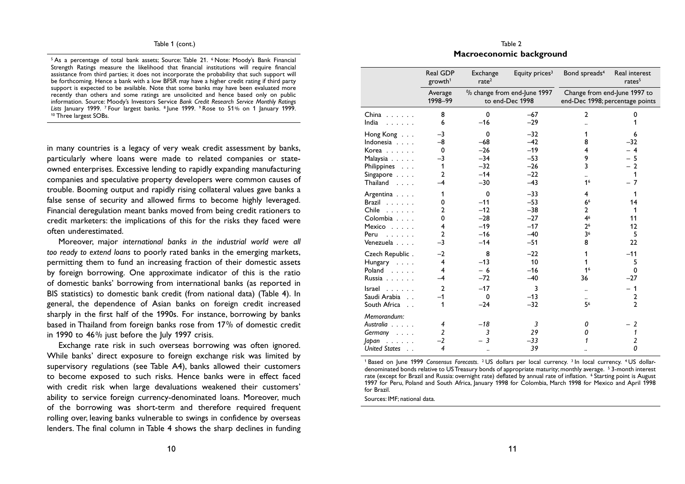<sup>5</sup> As a percentage of total bank assets; Source: Table 21. <sup>6</sup> Note: Moody's Bank Financial Strength Ratings measure the likelihood that financial institutions will require financial assistance from third parties; it does not incorporate the probability that such support will be forthcoming. Hence a bank with a low BFSR may have a higher credit rating if third party support is expected to be available. Note that some banks may have been evaluated more recently than others and some ratings are unsolicited and hence based only on public information. Source: Moody's Investors Service *Bank Credit Research Service Monthly Ratings Lists* January 1999. <sup>7</sup> Four largest banks. <sup>8</sup> June 1999. <sup>9</sup> Rose to 510 /0 on 1 January 1999. 10 Three largest SOBs.

in many countries is a legacy of very weak credit assessment by banks, particularly where loans were made to related companies or stateowned enterprises. Excessive lending to rapidly expanding manufacturing companies and speculative property developers were common causes of trouble. Booming output and rapidly rising collateral values gave banks a false sense of security and allowed firms to become highly leveraged. Financial deregulation meant banks moved from being credit rationers to credit marketers: the implications of this for the risks they faced were often underestimated.

Moreover, major *international banks in the industrial world were all too ready to extend loans* to poorly rated banks in the emerging markets, permitting them to fund an increasing fraction of their domestic assets by foreign borrowing. One approximate indicator of this is the ratio of domestic banks' borrowing from international banks (as reported in BIS statistics) to domestic bank credit (from national data) (Table 4). In general, the dependence of Asian banks on foreign credit increased sharply in the first half of the 1990s. For instance, borrowing by banks based in Thailand from foreign banks rose from 17% of domestic credit in 1990 to 46% just before the July 1997 crisis.

Exchange rate risk in such overseas borrowing was often ignored. While banks' direct exposure to foreign exchange risk was limited by supervisory regulations (see Table A4), banks allowed their customers to become exposed to such risks. Hence banks were in effect faced with credit risk when large devaluations weakened their customers' ability to service foreign currency-denominated loans. Moreover, much of the borrowing was short-term and therefore required frequent rolling over, leaving banks vulnerable to swings in confidence by overseas lenders. The final column in Table 4 shows the sharp declines in funding

Table 2**Macroeconomic background**

|                                                                                                       | Real GDP<br>growth <sup>1</sup>                      | Exchange<br>rate <sup>2</sup>                           | Equity prices <sup>3</sup>                                  | Bond spreads <sup>4</sup>                                                          | Real interest<br>rates <sup>5</sup>             |
|-------------------------------------------------------------------------------------------------------|------------------------------------------------------|---------------------------------------------------------|-------------------------------------------------------------|------------------------------------------------------------------------------------|-------------------------------------------------|
|                                                                                                       | Average<br>1998-99                                   |                                                         | % change from end-June 1997<br>to end-Dec 1998              | Change from end-June 1997 to<br>end-Dec 1998; percentage points                    |                                                 |
| China $\ldots$<br>India<br>1.1.1.1.1                                                                  | 8<br>6                                               | 0<br>$-16$                                              | $-67$<br>$-29$                                              | $\mathbf{2}$                                                                       | 0<br>1                                          |
| Hong Kong $\ldots$<br>Indonesia<br>Korea $\ldots$<br>Malaysia<br>Philippines<br>Singapore<br>Thailand | -3<br>$-8$<br>0<br>-3<br>1<br>$\overline{2}$<br>$-4$ | 0<br>$-68$<br>$-26$<br>$-34$<br>$-32$<br>$-14$<br>$-30$ | $-32$<br>$-42$<br>$-19$<br>$-53$<br>$-26$<br>$-22$<br>$-43$ | 1<br>8<br>4<br>9<br>3<br><br>1 <sup>6</sup>                                        | 6<br>$-32$<br>$-4$<br>$-5$<br>$-2$<br>1<br>$-7$ |
| Argentina<br>Brazil<br>Chile $\ldots$<br>Colombia<br>Mexico<br>Peru<br>$\mathbf{1}$<br>Venezuela      | 1<br>0<br>2<br>0<br>4<br>2<br>$-3$                   | 0<br>$-11$<br>$-12$<br>$-28$<br>$-19$<br>$-16$<br>$-14$ | $-33$<br>$-53$<br>$-38$<br>$-27$<br>$-17$<br>$-40$<br>$-51$ | 4<br>6 <sup>6</sup><br>$\mathbf{2}$<br>46<br>2 <sup>6</sup><br>3 <sup>6</sup><br>8 | 1<br>14<br>1<br>11<br>12<br>5<br>22             |
| Czech Republic.<br>Hungary<br>Poland<br>Russia                                                        | $-2$<br>$\overline{4}$<br>4<br>$-4$                  | 8<br>$-13$<br>$-6$<br>$-72$                             | $-22$<br>10<br>$-16$<br>$-40$                               | 1<br>1<br>1 <sup>6</sup><br>36                                                     | $-11$<br>5<br>0<br>$-27$                        |
| $\left  \text{srael } \dots \right $<br>Saudi Arabia<br>South Africa                                  | $\mathbf{2}$<br>$-1$<br>1                            | $-17$<br>0<br>$-24$                                     | 3<br>$-13$<br>$-32$                                         | $\ddotsc$<br>$\ddot{\phantom{a}}$<br>56                                            | $-1$<br>$\overline{2}$<br>$\overline{2}$        |
| Memorandum:<br>Australia<br>$Germany \ldots$ .<br>$\sqrt{apan}$<br>United States                      | 4<br>2<br>$-2$<br>$\overline{4}$                     | $-18$<br>3<br>- 3<br>                                   | 3<br>29<br>-33<br>39                                        | 0<br>0<br>1                                                                        | - 2<br>1<br>2<br>0                              |

1 Based on June 1999 *Consensus Forecasts.* <sup>2</sup> US dollars per local currency. <sup>3</sup> In local currency. <sup>4</sup> US dollardenominated bonds relative to US Treasury bonds of appropriate maturity; monthly average. <sup>5</sup> 3-month interest rate (except for Brazil and Russia: overnight rate) deflated by annual rate of inflation. <sup>6</sup> Starting point is August 1997 for Peru, Poland and South Africa, January 1998 for Colombia, March 1998 for Mexico and April 1998 for Brazil.

Sources: IMF; national data.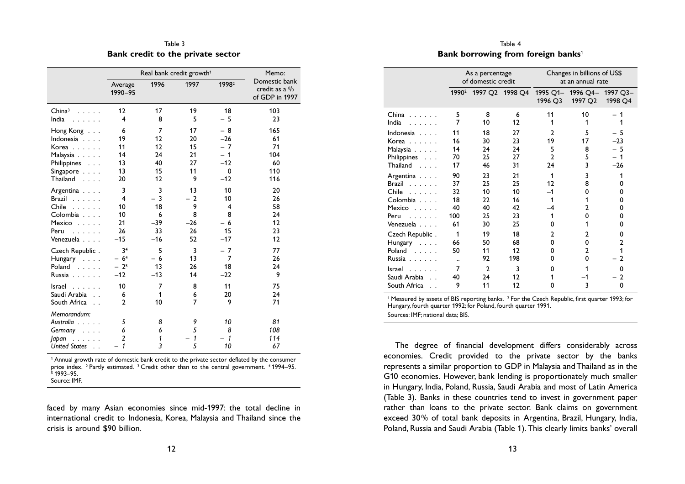# Table 3**Bank credit to the private sector**

|                                                                                                                               | Real bank credit growth <sup>1</sup>               | Memo:                                       |                                                     |                                                     |                                                     |
|-------------------------------------------------------------------------------------------------------------------------------|----------------------------------------------------|---------------------------------------------|-----------------------------------------------------|-----------------------------------------------------|-----------------------------------------------------|
|                                                                                                                               | Average<br>1990-95                                 | 1996                                        | 1997                                                | 1998 <sup>2</sup>                                   | Domestic bank<br>credit as a $\%$<br>of GDP in 1997 |
| China <sup>3</sup><br>$\overline{1}$ $\overline{1}$ $\overline{1}$ $\overline{1}$ $\overline{1}$ $\overline{1}$<br>India<br>. | 12<br>4                                            | 17<br>8                                     | 19<br>5                                             | 18<br>$-5$                                          | 103<br>23                                           |
| Hong Kong $\ldots$<br>Indonesia<br>Korea<br>Malaysia<br>Philippines<br>Singapore $\ldots$ .<br>Thailand<br>$\sim$             | 6<br>19<br>11<br>14<br>13<br>13<br>20              | 7<br>12<br>12<br>24<br>40<br>15<br>12       | 17<br>20<br>15<br>21<br>27<br>11<br>9               | - 8<br>$-26$<br>$-7$<br>$-1$<br>$-12$<br>0<br>$-12$ | 165<br>61<br>71<br>104<br>60<br>110<br>116          |
| Argentina<br>Brazil $\ldots$<br>Chile $\ldots$<br>Colombia<br>Mexico<br>Peru<br>.<br>Venezuela                                | 3<br>4<br>10<br>10<br>21<br>26<br>$-15$            | 3<br>- 3<br>18<br>6<br>$-39$<br>33<br>$-16$ | 13<br>$\overline{2}$<br>9<br>8<br>$-26$<br>26<br>52 | 10<br>10<br>4<br>8<br>- 6<br>15<br>$-17$            | 20<br>26<br>58<br>24<br>12<br>23<br>12              |
| Czech Republic.<br>Hungary<br>Poland<br>Russia<br>$Israel \dots \dots$                                                        | 3 <sup>4</sup><br>$-64$<br>$-2^{5}$<br>$-12$<br>10 | 5<br>$-6$<br>13<br>$-13$<br>7               | 3<br>13<br>26<br>14<br>8                            | $-7$<br>7<br>18<br>$-22$<br>11                      | 77<br>26<br>24<br>9<br>75                           |
| Saudi Arabia<br>South Africa                                                                                                  | 6<br>$\overline{2}$                                | 1<br>10                                     | 6<br>$\overline{7}$                                 | 20<br>9                                             | 24<br>71                                            |
| Memorandum:<br>Australia<br>Germany<br>Japan<br>$\ddots$<br><b>United States</b>                                              | 5<br>6<br>2<br>$\mathbf{1}$                        | 8<br>6<br>1<br>3                            | 9<br>5<br>$\mathbf{1}$<br>5                         | 10<br>8<br>$\mathbf{1}$<br>10                       | 81<br>108<br>114<br>67                              |

1 Annual growth rate of domestic bank credit to the private sector deflated by the consumer price index. <sup>2</sup> Partly estimated. <sup>3</sup> Credit other than to the central government. <sup>4</sup> 1994–95. 5 1993–95.Source: IMF.

faced by many Asian economies since mid-1997: the total decline in international credit to Indonesia, Korea, Malaysia and Thailand since the crisis is around \$90 billion.

Table 4**Bank borrowing from foreign banks**<sup>1</sup>

|                                         | As a percentage<br>of domestic credit |              |                 | Changes in billions of US\$<br>at an annual rate |                                                   |                |
|-----------------------------------------|---------------------------------------|--------------|-----------------|--------------------------------------------------|---------------------------------------------------|----------------|
|                                         | 1990 <sup>2</sup>                     |              | 1997 Q2 1998 Q4 | 1996 Q3                                          | 1995 Q1- 1996 Q4- 1997 Q3-<br>1997 Q <sub>2</sub> | 1998 Q4        |
| $China$ ,,,,,,                          | 5                                     | 8            | 6               | 11                                               | 10                                                | 1              |
| India                                   | 7                                     | 10           | 12              | 1                                                | 1                                                 |                |
| Indonesia                               | 11                                    | 18           | 27              | 2                                                | 5                                                 | - 5            |
| Korea                                   | 16                                    | 30           | 23              | 19                                               | 17                                                | $-23$          |
| Malaysia $\ldots$ .                     | 14                                    | 24           | 24              | 5                                                | 8                                                 | - 5            |
| Philippines                             | 70                                    | 25           | 27              | $\mathbf{2}$                                     | 5                                                 | - 1            |
| Thailand<br>$\sim$ $\sim$ $\sim$ $\sim$ | 17                                    | 46           | 31              | 24                                               | 3                                                 | $-26$          |
| Argentina                               | 90                                    | 23           | 21              | 1                                                | 3                                                 | 1              |
| Brazil $\ldots$                         | 37                                    | 25           | 25              | 12                                               | 8                                                 | O              |
| $Chile$                                 | 32                                    | 10           | 10              | $-1$                                             | 0                                                 | o              |
| Colombia                                | 18                                    | 22           | 16              |                                                  | 1                                                 | 0              |
| Mexico                                  | 40                                    | 40           | 42              |                                                  | 2                                                 | O              |
| Peru<br>$\sim$                          | 100                                   | 25           | 23              | 1                                                | 0                                                 | 0              |
| Venezuela                               | 61                                    | 30           | 25              | 0                                                | 1                                                 | O              |
| Czech Republic.                         | 1                                     | 19           | 18              | $\mathfrak{p}$                                   | 2                                                 | 0              |
| Hungary                                 | 66                                    | 50           | 68              | 0                                                | 0                                                 | 2              |
| Poland                                  | 50                                    | 11           | 12              | 0                                                | 2                                                 | 1              |
| Russia                                  | $\ddot{\phantom{a}}$                  | 92           | 198             | 0                                                | 0                                                 | 2              |
| $Israel \dots \dots$                    | 7                                     | $\mathbf{2}$ | 3               | 0                                                | 1                                                 | 0              |
| Saudi Arabia                            | 40                                    | 24           | 12              | 1                                                | -1                                                | $\overline{2}$ |
| South Africa                            | 9                                     | 11           | 12              | 0                                                | 3                                                 | 0              |

 $^{\rm 1}$  Measured by assets of BIS reporting banks.  $^{\rm 2}$  For the Czech Republic, first quarter 1993; for Hungary, fourth quarter 1992; for Poland, fourth quarter 1991. Sources: IMF; national data; BIS.

The degree of financial development differs considerably across economies. Credit provided to the private sector by the banks represents a similar proportion to GDP in Malaysia and Thailand as in the G10 economies. However, bank lending is proportionately much smaller in Hungary, India, Poland, Russia, Saudi Arabia and most of Latin America (Table 3). Banks in these countries tend to invest in government paper rather than loans to the private sector. Bank claims on government exceed 30% of total bank deposits in Argentina, Brazil, Hungary, India, Poland, Russia and Saudi Arabia (Table 1). This clearly limits banks' overall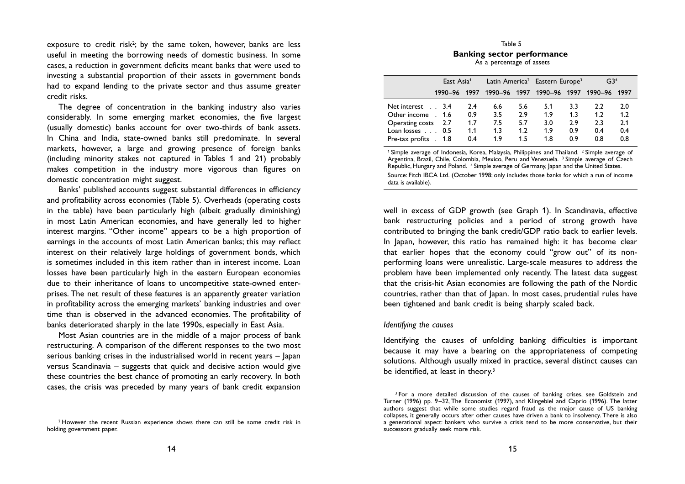exposure to credit risk<sup>2</sup>; by the same token, however, banks are less useful in meeting the borrowing needs of domestic business. In some cases, a reduction in government deficits meant banks that were used to investing a substantial proportion of their assets in government bonds had to expand lending to the private sector and thus assume greater credit risks.

The degree of concentration in the banking industry also varies considerably. In some emerging market economies, the five largest (usually domestic) banks account for over two-thirds of bank assets. In China and India, state-owned banks still predominate. In several markets, however, a large and growing presence of foreign banks (including minority stakes not captured in Tables 1 and 21) probably makes competition in the industry more vigorous than figures on domestic concentration might suggest.

Banks' published accounts suggest substantial differences in efficiency and profitability across economies (Table 5). Overheads (operating costs in the table) have been particularly high (albeit gradually diminishing) in most Latin American economies, and have generally led to higher interest margins. "Other income" appears to be a high proportion of earnings in the accounts of most Latin American banks; this may reflect interest on their relatively large holdings of government bonds, which is sometimes included in this item rather than in interest income. Loan losses have been particularly high in the eastern European economies due to their inheritance of loans to uncompetitive state-owned enterprises. The net result of these features is an apparently greater variation in profitability across the emerging markets' banking industries and over time than is observed in the advanced economies. The profitability of banks deteriorated sharply in the late 1990s, especially in East Asia.

Most Asian countries are in the middle of a major process of bank restructuring. A comparison of the different responses to the two most serious banking crises in the industrialised world in recent years – Japan versus Scandinavia – suggests that quick and decisive action would give these countries the best chance of promoting an early recovery. In both cases, the crisis was preceded by many years of bank credit expansion

### Table 5**Banking sector performance** As a percentage of assets

|                                                                                                          |                       | East Asia <sup>1</sup>          |                                |                                 |                                | Latin America <sup>2</sup> Eastern Europe <sup>3</sup> |                                 | G3 <sup>4</sup>                 |  |
|----------------------------------------------------------------------------------------------------------|-----------------------|---------------------------------|--------------------------------|---------------------------------|--------------------------------|--------------------------------------------------------|---------------------------------|---------------------------------|--|
|                                                                                                          | 1990–96               |                                 |                                |                                 | 1997 1990-96 1997 1990-96 1997 |                                                        | 1990–96                         | 1997                            |  |
| Net interest 3.4<br>Other income<br>Operating costs<br>Loan losses $\ldots$ 0.5<br>Pre-tax profits . 1.8 | $\frac{16}{2}$<br>2.7 | 2.4<br>0.9<br>1.7<br>1.1<br>0.4 | 6.6<br>3.5<br>7.5<br>1.3<br>19 | 5.6<br>2.9<br>5.7<br>1.2<br>1.5 | 5.1<br>19<br>3.0<br>19<br>1.8  | 3.3<br>13<br>29<br>0.9<br>0.9                          | 2.2<br>1.2<br>2.3<br>0.4<br>0.8 | 2.0<br>1.2<br>2.1<br>0.4<br>0.8 |  |

<sup>1</sup> Simple average of Indonesia, Korea, Malaysia, Philippines and Thailand. <sup>2</sup> Simple average of Argentina, Brazil, Chile, Colombia, Mexico, Peru and Venezuela. <sup>3</sup> Simple average of Czech Republic, Hungary and Poland. <sup>4</sup> Simple average of Germany, Japan and the United States. Source: Fitch IBCA Ltd. (October 1998; only includes those banks for which a run of income data is available).

well in excess of GDP growth (see Graph 1). In Scandinavia, effective bank restructuring policies and a period of strong growth have contributed to bringing the bank credit/GDP ratio back to earlier levels. In Japan, however, this ratio has remained high: it has become clear that earlier hopes that the economy could "grow out" of its nonperforming loans were unrealistic. Large-scale measures to address the problem have been implemented only recently. The latest data suggest that the crisis-hit Asian economies are following the path of the Nordic countries, rather than that of Japan. In most cases, prudential rules have been tightened and bank credit is being sharply scaled back.

### *Identifying the causes*

Identifying the causes of unfolding banking difficulties is important because it may have a bearing on the appropriateness of competing solutions. Although usually mixed in practice, several distinct causes can be identified, at least in theory.<sup>3</sup>

<sup>2</sup> However the recent Russian experience shows there can still be some credit risk in holding government paper.

<sup>&</sup>lt;sup>3</sup> For a more detailed discussion of the causes of banking crises, see Goldstein and Turner (1996) pp. 9–32, The Economist (1997), and Klingebiel and Caprio (1996). The latter authors suggest that while some studies regard fraud as the major cause of US banking collapses, it generally occurs after other causes have driven a bank to insolvency. There is also a generational aspect: bankers who survive a crisis tend to be more conservative, but their successors gradually seek more risk.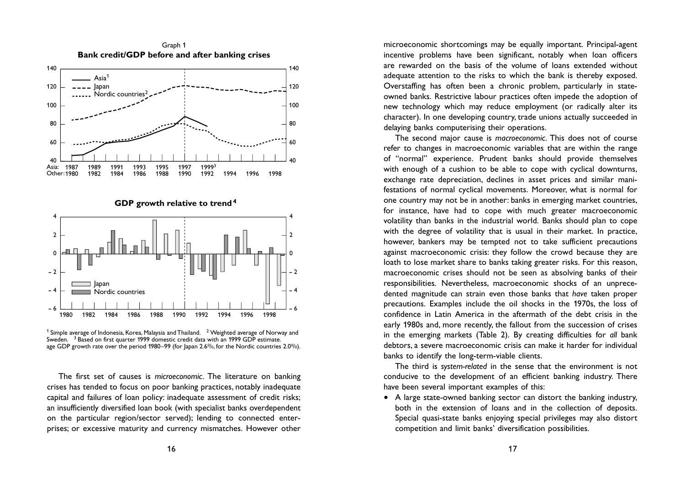

**GDP growth relative to trend<sup>4</sup>**



<sup>1</sup> Simple average of Indonesia, Korea, Malaysia and Thailand.  $2$  Weighted average of Norway and Sweden. 3 Based on first quarter 1999 domestic credit data with an 1999 GDP estimate. age GDP growth rate over the period 1980–99 (for Japan 2.6%, for the Nordic countries 2.0%).

The first set of causes is *microeconomic.* The literature on banking crises has tended to focus on poor banking practices, notably inadequate capital and failures of loan policy: inadequate assessment of credit risks; an insufficiently diversified loan book (with specialist banks overdependent on the particular region/sector served); lending to connected enterprises; or excessive maturity and currency mismatches. However other

microeconomic shortcomings may be equally important. Principal-agent incentive problems have been significant, notably when loan officers are rewarded on the basis of the volume of loans extended withoutadequate attention to the risks to which the bank is thereby exposed. Overstaffing has often been a chronic problem, particularly in stateowned banks. Restrictive labour practices often impede the adoption of new technology which may reduce employment (or radically alter its character). In one developing country, trade unions actually succeeded in delaying banks computerising their operations.

The second major cause is *macroeconomic.* This does not of course refer to changes in macroeconomic variables that are within the range of "normal" experience. Prudent banks should provide themselves with enough of a cushion to be able to cope with cyclical downturns, exchange rate depreciation, declines in asset prices and similar manifestations of normal cyclical movements. Moreover, what is normal for one country may not be in another: banks in emerging market countries, for instance, have had to cope with much greater macroeconomic volatility than banks in the industrial world. Banks should plan to cope with the degree of volatility that is usual in their market. In practice, however, bankers may be tempted not to take sufficient precautions against macroeconomic crisis: they follow the crowd because they are loath to lose market share to banks taking greater risks. For this reason, macroeconomic crises should not be seen as absolving banks of their responsibilities. Nevertheless, macroeconomic shocks of an unprecedented magnitude can strain even those banks that *have* taken proper precautions. Examples include the oil shocks in the 1970s, the loss of confidence in Latin America in the aftermath of the debt crisis in theearly 1980s and, more recently, the fallout from the succession of crises in the emerging markets (Table 2). By creating difficulties for *all* bank debtors, a severe macroeconomic crisis can make it harder for individual banks to identify the long-term-viable clients.

The third is *system-related* in the sense that the environment is not conducive to the development of an efficient banking industry. There have been several important examples of this:

• A large state-owned banking sector can distort the banking industry, both in the extension of loans and in the collection of deposits. Special quasi-state banks enjoying special privileges may also distort competition and limit banks' diversification possibilities.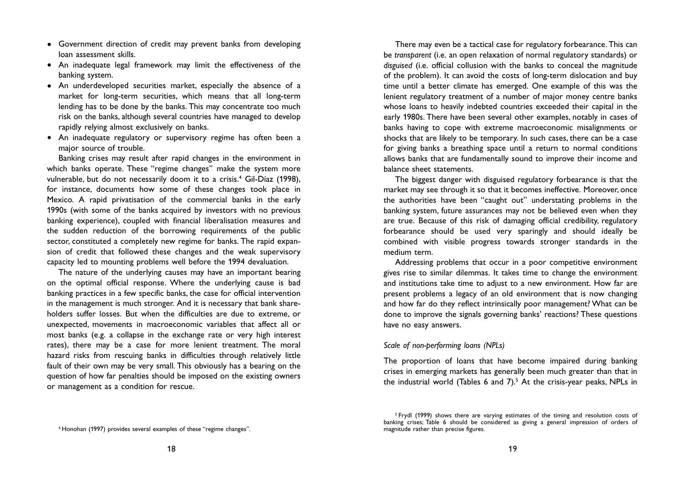- Government direction of credit may prevent banks from developing loan assessment skills.
- An inadequate legal framework may limit the effectiveness of the banking system.
- An underdeveloped securities market, especially the absence of a market for long-term securities, which means that all long-term lending has to be done by the banks. This may concentrate too much risk on the banks, although several countries have managed to develop rapidly relying almost exclusively on banks.
- An inadequate regulatory or supervisory regime has often been a major source of trouble.

Banking crises may result after rapid changes in the environment in which banks operate. These "regime changes" make the system more vulnerable, but do not necessarily doom it to a crisis.4 Gil-Díaz (1998), for instance, documents how some of these changes took place in Mexico. A rapid privatisation of the commercial banks in the early 1990s (with some of the banks acquired by investors with no previous banking experience), coupled with financial liberalisation measures and the sudden reduction of the borrowing requirements of the public sector, constituted a completely new regime for banks. The rapid expansion of credit that followed these changes and the weak supervisory capacity led to mounting problems well before the 1994 devaluation.

The nature of the underlying causes may have an important bearing on the optimal official response. Where the underlying cause is bad banking practices in a few specific banks, the case for official intervention in the management is much stronger. And it is necessary that bank shareholders suffer losses. But when the difficulties are due to extreme, or unexpected, movements in macroeconomic variables that affect all or most banks (e.g. a collapse in the exchange rate or very high interest rates), there may be a case for more lenient treatment. The moral hazard risks from rescuing banks in difficulties through relatively little fault of their own may be very small. This obviously has a bearing on the question of how far penalties should be imposed on the existing owners or management as a condition for rescue.

There may even be a tactical case for regulatory forbearance. This can be *transparent* (i.e. an open relaxation of normal regulatory standards) or *disguised* (i.e. official collusion with the banks to conceal the magnitude of the problem). It can avoid the costs of long-term dislocation and buy time until a better climate has emerged. One example of this was the lenient regulatory treatment of a number of major money centre banks whose loans to heavily indebted countries exceeded their capital in the early 1980s. There have been several other examples, notably in cases of banks having to cope with extreme macroeconomic misalignments or shocks that are likely to be temporary. In such cases, there can be a case for giving banks a breathing space until a return to normal conditions allows banks that are fundamentally sound to improve their income and balance sheet statements.

The biggest danger with disguised regulatory forbearance is that the market may see through it so that it becomes ineffective. Moreover, once the authorities have been "caught out" understating problems in the banking system, future assurances may not be believed even when they are true. Because of this risk of damaging official credibility, regulatory forbearance should be used very sparingly and should ideally be combined with visible progress towards stronger standards in the medium term.

Addressing problems that occur in a poor competitive environment gives rise to similar dilemmas. It takes time to change the environment and institutions take time to adjust to a new environment. How far are present problems a legacy of an old environment that is now changing and how far do they reflect intrinsically poor management? What can be done to improve the signals governing banks' reactions? These questions have no easy answers.

# *Scale of non-performing loans (NPLs)*

The proportion of loans that have become impaired during banking crises in emerging markets has generally been much greater than that in the industrial world (Tables 6 and  $7$ ).<sup>5</sup> At the crisis-year peaks, NPLs in

<sup>5</sup> Frydl (1999) shows there are varying estimates of the timing and resolution costs of banking crises; Table 6 should be considered as giving a general impression of orders of magnitude rather than precise figures.

<sup>4</sup> Honohan (1997) provides several examples of these "regime changes".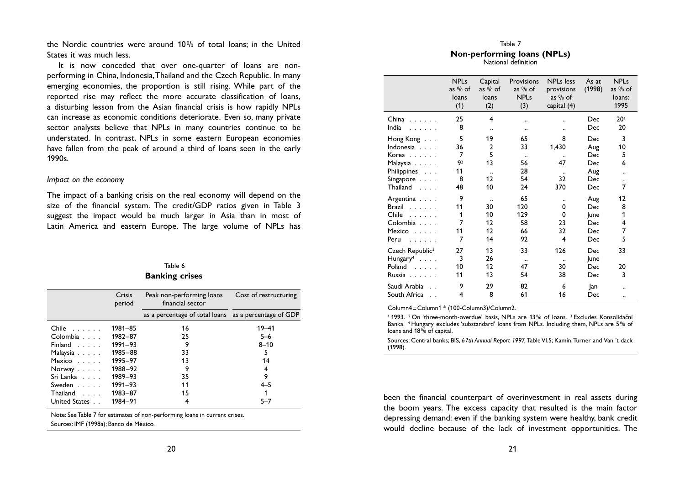the Nordic countries were around 10% of total loans; in the United States it was much less.

It is now conceded that over one-quarter of loans are nonperforming in China, Indonesia,Thailand and the Czech Republic. In many emerging economies, the proportion is still rising. While part of the reported rise may reflect the more accurate classification of loans, a disturbing lesson from the Asian financial crisis is how rapidly NPLs can increase as economic conditions deteriorate. Even so, many private sector analysts believe that NPLs in many countries continue to be understated. In contrast, NPLs in some eastern European economies have fallen from the peak of around a third of loans seen in the early 1990s.

# *Impact on the economy*

The impact of a banking crisis on the real economy will depend on the size of the financial system. The credit/GDP ratios given in Table 3 suggest the impact would be much larger in Asia than in most of Latin America and eastern Europe. The large volume of NPLs has

| Table 6               |  |  |  |  |  |
|-----------------------|--|--|--|--|--|
| <b>Banking crises</b> |  |  |  |  |  |

| Crisis<br>period | Peak non-performing loans<br>financial sector         | Cost of restructuring |
|------------------|-------------------------------------------------------|-----------------------|
|                  | as a percentage of total loans as a percentage of GDP |                       |
| $1981 - 85$      | 16                                                    | $19 - 41$             |
| 1982-87          | 25                                                    | $5 - 6$               |
| $1991 - 93$      | 9                                                     | $8 - 10$              |
| 1985-88          | 33                                                    | 5                     |
| 1995-97          | 13                                                    | 14                    |
| 1988-92          | 9                                                     | 4                     |
| 1989-93          | 35                                                    | 9                     |
| $1991 - 93$      | 11                                                    | $4 - 5$               |
| $1983 - 87$      | 15                                                    | 1                     |
| 1984-91          | 4                                                     | $5 - 7$               |
|                  |                                                       |                       |

Note: See Table 7 for estimates of non-performing loans in current crises.

Sources: IMF (1998a); Banco de México.

### Table 7**Non-performing loans (NPLs)** National definition

|                                                                                                                                   | <b>NPLs</b><br>as $\%$ of<br>loans<br>(1) | Capital<br>as $\%$ of<br>loans<br>(2)       | Provisions<br>as $\%$ of<br><b>NPLs</b><br>(3) | <b>NPLs</b> less<br>provisions<br>as $\%$ of<br>capital $(4)$ | As at<br>(1998)                               | <b>NPLs</b><br>as $\%$ of<br>loans:<br>1995        |
|-----------------------------------------------------------------------------------------------------------------------------------|-------------------------------------------|---------------------------------------------|------------------------------------------------|---------------------------------------------------------------|-----------------------------------------------|----------------------------------------------------|
| $China \dots \dots$<br>India                                                                                                      | 25<br>8                                   | 4<br>                                       | <br>                                           | $\ddot{\phantom{a}}$                                          | Dec<br>Dec                                    | 20 <sup>1</sup><br>20                              |
| Hong Kong<br>Indonesia<br>Korea $\ldots$<br>Malaysia<br>Philippines<br>Singapore $\ldots$ .<br>Thailand                           | 5<br>36<br>7<br>92<br>11<br>8<br>48       | 19<br>2<br>5<br>13<br>$\ddotsc$<br>12<br>10 | 65<br>33<br>$\ddotsc$<br>56<br>28<br>54<br>24  | 8<br>1,430<br>47<br>$\ddotsc$<br>32<br>370                    | Dec<br>Aug<br>Dec<br>Dec<br>Aug<br>Dec<br>Dec | 3<br>10<br>5<br>6<br>$\ddot{\phantom{a}}$<br><br>7 |
| Argentina<br>Brazil<br>Chile<br>$\sim$<br>Colombia $\ldots$ .<br>Mexico<br>Peru<br>$\mathbb{R}^n$ . The set of the $\mathbb{R}^n$ | 9<br>11<br>1<br>7<br>11<br>7              | $\ddotsc$<br>30<br>10<br>12<br>12<br>14     | 65<br>120<br>129<br>58<br>66<br>92             | <br>0<br>$\Omega$<br>23<br>32<br>4                            | Aug<br>Dec<br>lune<br>Dec<br>Dec<br>Dec       | 12<br>8<br>1<br>4<br>7<br>5                        |
| Czech Republic <sup>3</sup><br>Hungary <sup>4</sup><br>Poland<br>$\sim$<br>Russia<br>Saudi Arabia                                 | 27<br>3<br>10<br>11<br>9                  | 13<br>26<br>12<br>13<br>29                  | 33<br>$\ddotsc$<br>47<br>54<br>82              | 126<br><br>30<br>38<br>6                                      | Dec<br>lune<br>Dec<br>Dec<br>lan              | 33<br>20<br>3<br>                                  |
| South Africa<br>$\ddot{\phantom{a}}$                                                                                              | 4                                         | 8                                           | 61                                             | 16                                                            | Dec                                           | $\ddot{\phantom{a}}$                               |

Column4=Column1 \* (100-Column3)/Column2.

 $^{\rm 1}$ 1993.  $^{\rm 2}$  On 'three-month-overdue' basis, NPLs are 13% of loans.  $^{\rm 3}$  Excludes Konsolidační Banka. <code>4</code> Hungary excludes 'substandard' loans from <code>NPLs</code>. Including them, <code>NPLs</code> are 5% of loans and 18% of capital.

Sources: Central banks; BIS, *67th Annual Report 1997,* Table VI.5; Kamin,Turner and Van 't dack (1998).

been the financial counterpart of overinvestment in real assets during the boom years. The excess capacity that resulted is the main factor depressing demand: even if the banking system were healthy, bank credit would decline because of the lack of investment opportunities. The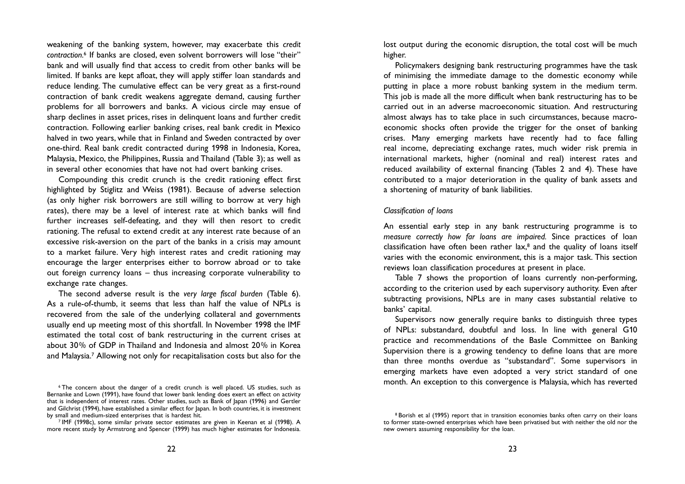weakening of the banking system, however, may exacerbate this *credit contraction.*<sup>6</sup> If banks are closed, even solvent borrowers will lose "their" bank and will usually find that access to credit from other banks will be limited. If banks are kept afloat, they will apply stiffer loan standards and reduce lending. The cumulative effect can be very great as a first-round contraction of bank credit weakens aggregate demand, causing further problems for all borrowers and banks. A vicious circle may ensue of sharp declines in asset prices, rises in delinquent loans and further credit contraction. Following earlier banking crises, real bank credit in Mexico halved in two years, while that in Finland and Sweden contracted by over one-third. Real bank credit contracted during 1998 in Indonesia, Korea, Malaysia, Mexico, the Philippines, Russia and Thailand (Table 3); as well as in several other economies that have not had overt banking crises.

Compounding this credit crunch is the credit rationing effect first highlighted by Stiglitz and Weiss (1981). Because of adverse selection (as only higher risk borrowers are still willing to borrow at very high rates), there may be a level of interest rate at which banks will find further increases self-defeating, and they will then resort to credit rationing. The refusal to extend credit at any interest rate because of an excessive risk-aversion on the part of the banks in a crisis may amount to a market failure. Very high interest rates and credit rationing may encourage the larger enterprises either to borrow abroad or to take out foreign currency loans – thus increasing corporate vulnerability to exchange rate changes.

The second adverse result is the *very large fiscal burden* (Table 6). As a rule-of-thumb, it seems that less than half the value of NPLs is recovered from the sale of the underlying collateral and governments usually end up meeting most of this shortfall. In November 1998 the IMF estimated the total cost of bank restructuring in the current crises at about 30% of GDP in Thailand and Indonesia and almost 20% in Korea and Malaysia.7 Allowing not only for recapitalisation costs but also for the

 $^{\rm 6}$  The concern about the danger of a credit crunch is well placed. US studies, such as Bernanke and Lown (1991), have found that lower bank lending does exert an effect on activity that is independent of interest rates. Other studies, such as Bank of Japan (1996) and Gertler and Gilchrist (1994), have established a similar effect for Japan. In both countries, it is investment by small and medium-sized enterprises that is hardest hit.

7 IMF (1998c), some similar private sector estimates are given in Keenan et al (1998). A more recent study by Armstrong and Spencer (1999) has much higher estimates for Indonesia. higher. Policymakers designing bank restructuring programmes have the task

of minimising the immediate damage to the domestic economy while putting in place a more robust banking system in the medium term. This job is made all the more difficult when bank restructuring has to be carried out in an adverse macroeconomic situation. And restructuring almost always has to take place in such circumstances, because macroeconomic shocks often provide the trigger for the onset of banking crises. Many emerging markets have recently had to face falling real income, depreciating exchange rates, much wider risk premia in international markets, higher (nominal and real) interest rates and reduced availability of external financing (Tables 2 and 4). These have contributed to a major deterioration in the quality of bank assets and a shortening of maturity of bank liabilities.

lost output during the economic disruption, the total cost will be much

## *Classification of loans*

An essential early step in any bank restructuring programme is to *measure correctly how far loans are impaired.* Since practices of loan classification have often been rather lax, $8$  and the quality of loans itself varies with the economic environment, this is a major task. This section reviews loan classification procedures at present in place.

Table 7 shows the proportion of loans currently non-performing, according to the criterion used by each supervisory authority. Even after subtracting provisions, NPLs are in many cases substantial relative to banks' capital.

Supervisors now generally require banks to distinguish three types of NPLs: substandard, doubtful and loss. In line with general G10 practice and recommendations of the Basle Committee on Banking Supervision there is a growing tendency to define loans that are more than three months overdue as "substandard". Some supervisors in emerging markets have even adopted a very strict standard of one month. An exception to this convergence is Malaysia, which has reverted

 $^{\rm 8}$  Borish et al (1995) report that in transition economies banks often carry on their loans to former state-owned enterprises which have been privatised but with neither the old nor the new owners assuming responsibility for the loan.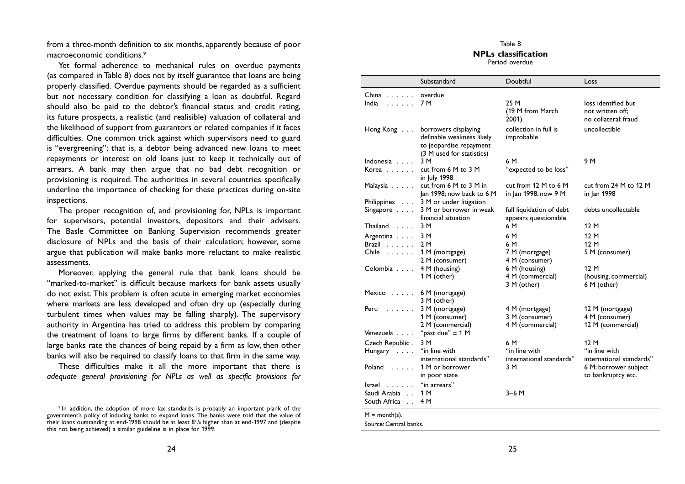from a three-month definition to six months, apparently because of poor macroeconomic conditions<sup>9</sup>

Yet formal adherence to mechanical rules on overdue payments (as compared in Table 8) does not by itself guarantee that loans are being properly classified. Overdue payments should be regarded as a sufficient but not necessary condition for classifying a loan as doubtful. Regard should also be paid to the debtor's financial status and credit rating, its future prospects, a realistic (and realisible) valuation of collateral and the likelihood of support from guarantors or related companies if it faces difficulties. One common trick against which supervisors need to guard is "evergreening"; that is, a debtor being advanced new loans to meet repayments or interest on old loans just to keep it technically out of arrears. A bank may then argue that no bad debt recognition or provisioning is required. The authorities in several countries specifically underline the importance of checking for these practices during on-site inspections.

The proper recognition of, and provisioning for, NPLs is important for supervisors, potential investors, depositors and their advisers. The Basle Committee on Banking Supervision recommends greater disclosure of NPLs and the basis of their calculation; however, some argue that publication will make banks more reluctant to make realistic assessments.

Moreover, applying the general rule that bank loans should be "marked-to-market" is difficult because markets for bank assets usually do not exist. This problem is often acute in emerging market economies where markets are less developed and often dry up (especially during turbulent times when values may be falling sharply). The supervisory authority in Argentina has tried to address this problem by comparing the treatment of loans to large firms by different banks. If a couple of large banks rate the chances of being repaid by a firm as low, then other banks will also be required to classify loans to that firm in the same way.

These difficulties make it all the more important that there is *adequate general provisioning for NPLs as well as specific provisions for*

#### Table 8**NPLs classification**Period overdue

|                              | Substandard                                                                                               | Doubtful                                         | Loss                                      |
|------------------------------|-----------------------------------------------------------------------------------------------------------|--------------------------------------------------|-------------------------------------------|
| $China$ ,,,,,,<br>India      | overdue<br>7 M                                                                                            | 25 M                                             | loss identified but                       |
|                              |                                                                                                           | (19 M from March<br>2001)                        | not written off;<br>no collateral: fraud  |
| Hong Kong $\ldots$           | borrowers displaying<br>definable weakness likely<br>to jeopardise repayment<br>(3 M used for statistics) | collection in full is<br>improbable              | uncollectible                             |
| Indonesia $\ldots$ .         | 3 M                                                                                                       | 6 M                                              | 9 M                                       |
| Korea                        | cut from 6 M to 3 M<br>in July 1998                                                                       | "expected to be loss"                            |                                           |
| Malaysia                     | cut from 6 M to 3 M in                                                                                    | cut from 12 M to 6 M                             | cut from 24 M to 12 M                     |
| Philippines                  | Jan 1998; now back to 6 M<br>3 M or under litigation                                                      | in Jan 1998; now 9 M                             | in Jan 1998                               |
| Singapore $\ldots$ .         | 3 M or borrower in weak<br>financial situation                                                            | full liquidation of debt<br>appears questionable | debts uncollectable                       |
| Thailand                     | 3 M                                                                                                       | 6 M                                              | 12 M                                      |
| Argentina                    | 3 M                                                                                                       | 6 M                                              | 12 M                                      |
| Brazil $\cdots$              | 2 M                                                                                                       | 6 M                                              | 12 M                                      |
| Chile $\dots$ 1 M (mortgage) | 2 M (consumer)                                                                                            | 7 M (mortgage)<br>4 M (consumer)                 | 5 M (consumer)                            |
| Colombia                     | 4 M (housing)                                                                                             | 6 M (housing)                                    | 12 M                                      |
|                              | 1 M (other)                                                                                               | 4 M (commercial)<br>3 M (other)                  | (housing, commercial)<br>6 M (other)      |
| Mexico                       | 6 M (mortgage)<br>3 M (other)                                                                             |                                                  |                                           |
| Peru $\ldots$                | 3 M (mortgage)                                                                                            | 4 M (mortgage)                                   | 12 M (mortgage)                           |
|                              | 1 M (consumer)                                                                                            | 3 M (consumer)                                   | 4 M (consumer)                            |
|                              | 2 M (commercial)                                                                                          | 4 M (commercial)                                 | 12 M (commercial)                         |
| Venezuela                    | "past due" = $1 M$                                                                                        |                                                  |                                           |
| Czech Republic.              | 3 M                                                                                                       | 6 M<br>"in line with                             | 12 M                                      |
| Hungary $\ldots$ .           | "in line with<br>international standards"                                                                 | international standards"                         | "in line with<br>international standards" |
| $Poland \dots \dots$         | 1 M or borrower                                                                                           | 3 M                                              | 6 M; borrower subject                     |
|                              | in poor state                                                                                             |                                                  | to bankruptcy etc.                        |
| $\lvert$ srae $\lvert$       | "in arrears"                                                                                              |                                                  |                                           |
| Saudi Arabia                 | 1 M                                                                                                       | $3-6$ M                                          |                                           |
| South Africa                 | 4 M                                                                                                       |                                                  |                                           |

<sup>9</sup> In addition, the adoption of more lax standards is probably an important plank of the governmen<sup>t</sup>'s policy of inducing banks to expand loans. The banks were told that the value of their loans outstanding at end-1998 should be at least 80 /0 higher than at end-1997 and (despite this not being achieved) a similar guideline is in place for 1999.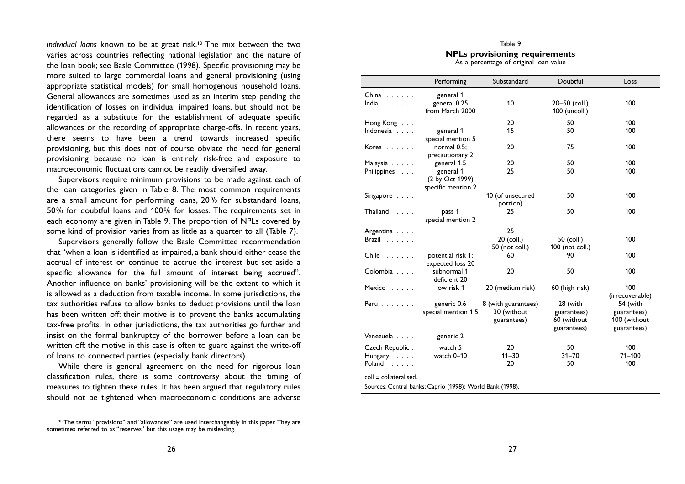*individual loans* known to be at great risk.10 The mix between the two varies across countries reflecting national legislation and the nature of the loan book; see Basle Committee (1998). Specific provisioning may be more suited to large commercial loans and general provisioning (using appropriate statistical models) for small homogenous household loans. General allowances are sometimes used as an interim step pending the identification of losses on individual impaired loans, but should not be regarded as a substitute for the establishment of adequate specific allowances or the recording of appropriate charge-offs. In recent years, there seems to have been a trend towards increased specific provisioning, but this does not of course obviate the need for general provisioning because no loan is entirely risk-free and exposure to macroeconomic fluctuations cannot be readily diversified away.

Supervisors require minimum provisions to be made against each of the loan categories given in Table 8. The most common requirements are a small amount for performing loans, 20% for substandard loans, 50% for doubtful loans and 100% for losses. The requirements set in each economy are given in Table 9. The proportion of NPLs covered by some kind of provision varies from as little as a quarter to all (Table 7).

Supervisors generally follow the Basle Committee recommendation that "when a loan is identified as impaired, a bank should either cease the accrual of interest or continue to accrue the interest but set aside aspecific allowance for the full amount of interest being accrued". Another influence on banks' provisioning will be the extent to which it is allowed as a deduction from taxable income. In some jurisdictions, the tax authorities refuse to allow banks to deduct provisions until the loan has been written off: their motive is to prevent the banks accumulating tax-free profits. In other jurisdictions, the tax authorities go further and insist on the formal bankruptcy of the borrower before a loan can be written off: the motive in this case is often to guard against the write-off of loans to connected parties (especially bank directors).

While there is general agreement on the need for rigorous loan classification rules, there is some controversy about the timing of measures to tighten these rules. It has been argued that regulatory rules should not be tightened when macroeconomic conditions are adverse

# Table 9**NPLs provisioning requirements**

As a percentage of original loan value

|                                                 | Performing                                                        | Substandard                                       | Doubtful                                              | Loss                                                   |
|-------------------------------------------------|-------------------------------------------------------------------|---------------------------------------------------|-------------------------------------------------------|--------------------------------------------------------|
| China $\ldots$<br>India<br>$\frac{1}{2}$        | general 1<br>general 0.25<br>from March 2000                      | 10                                                | 20-50 (coll.)<br>100 (uncoll.)                        | 100                                                    |
| Hong Kong $\ldots$<br>Indonesia                 | general 1<br>special mention 5                                    | 20<br>15                                          | 50<br>50                                              | 100<br>100                                             |
| Korea                                           | normal 0.5:<br>precautionary 2                                    | 20                                                | 75                                                    | 100                                                    |
| Malaysia<br>Philippines                         | general 1.5<br>general 1<br>(2 by Oct 1999)<br>specific mention 2 | 20<br>25                                          | 50<br>50                                              | 100<br>100                                             |
| Singapore $\ldots$ .                            |                                                                   | 10 (of unsecured<br>portion)                      | 50                                                    | 100                                                    |
| Thailand                                        | pass 1<br>special mention 2                                       | 25                                                | 50                                                    | 100                                                    |
| Argentina<br>Brazil                             |                                                                   | 25<br>20 (coll.)<br>50 (not coll.)                | 50 (coll.)<br>100 (not coll.)                         | 100                                                    |
| Chile $\ldots$ .                                | potential risk 1;<br>expected loss 20                             | 60                                                | 90                                                    | 100                                                    |
| Colombia                                        | subnormal 1<br>deficient 20                                       | 20                                                | 50                                                    | 100                                                    |
| Mexico                                          | low risk 1                                                        | 20 (medium risk)                                  | 60 (high risk)                                        | 100<br>(irrecoverable)                                 |
| Peru $\ldots$ $\ldots$ .                        | generic 0.6<br>special mention 1.5                                | 8 (with guarantees)<br>30 (without<br>guarantees) | 28 (with<br>guarantees)<br>60 (without<br>guarantees) | 54 (with<br>guarantees)<br>100 (without<br>guarantees) |
| Venezuela                                       | generic 2                                                         |                                                   |                                                       |                                                        |
| Czech Republic.<br>Hungary<br>Poland<br>$\cdot$ | watch 5<br>watch 0-10                                             | 20<br>$11 - 30$<br>20                             | 50<br>$31 - 70$<br>50                                 | 100<br>$71 - 100$<br>100                               |

coll = collateralised.

Sources: Central banks; Caprio (1998); World Bank (1998).

<sup>10</sup> The terms "provisions" and "allowances" are used interchangeably in this paper. They are sometimes referred to as "reserves" but this usage may be misleading.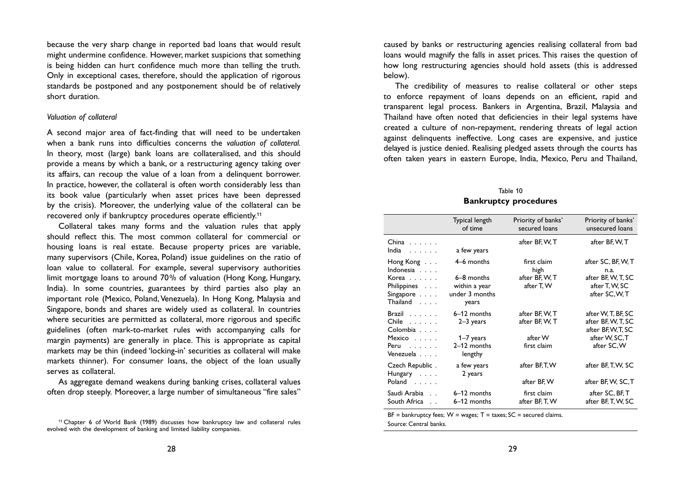because the very sharp change in reported bad loans that would result might undermine confidence. However, market suspicions that something is being hidden can hurt confidence much more than telling the truth. Only in exceptional cases, therefore, should the application of rigorous standards be postponed and any postponement should be of relatively short duration.

### *Valuation of collateral*

A second major area of fact-finding that will need to be undertaken when a bank runs into difficulties concerns the *valuation of collateral.* In theory, most (large) bank loans are collateralised, and this should provide a means by which a bank, or a restructuring agency taking over its affairs, can recoup the value of a loan from a delinquent borrower. In practice, however, the collateral is often worth considerably less than its book value (particularly when asset prices have been depressed by the crisis). Moreover, the underlying value of the collateral can be recovered only if bankruptcy procedures operate efficiently.<sup>11</sup>

Collateral takes many forms and the valuation rules that apply should reflect this. The most common collateral for commercial orhousing loans is real estate. Because property prices are variable, many supervisors (Chile, Korea, Poland) issue guidelines on the ratio of loan value to collateral. For example, several supervisory authorities limit mortgage loans to around 70% of valuation (Hong Kong, Hungary, India). In some countries, guarantees by third parties also play an important role (Mexico, Poland, Venezuela). In Hong Kong, Malaysia and Singapore, bonds and shares are widely used as collateral. In countries where securities are permitted as collateral, more rigorous and specific guidelines (often mark-to-market rules with accompanying calls for margin payments) are generally in place. This is appropriate as capital markets may be thin (indeed 'locking-in' securities as collateral will make markets thinner). For consumer loans, the object of the loan usually serves as collateral.

As aggregate demand weakens during banking crises, collateral values often drop steeply. Moreover, a large number of simultaneous "fire sales"

caused by banks or restructuring agencies realising collateral from bad loans would magnify the falls in asset prices. This raises the question of how long restructuring agencies should hold assets (this is addressed below).

The credibility of measures to realise collateral or other steps to enforce repayment of loans depends on an efficient, rapid and transparent legal process. Bankers in Argentina, Brazil, Malaysia and Thailand have often noted that deficiencies in their legal systems have created a culture of non-repayment, rendering threats of legal action against delinquents ineffective. Long cases are expensive, and justice delayed is justice denied. Realising pledged assets through the courts has often taken years in eastern Europe, India, Mexico, Peru and Thailand,

# Table 10**Bankruptcy procedures**

|                                                                                                      | Typical length<br>of time                                         | Priority of banks'<br>secured loans                        | Priority of banks'<br>unsecured loans                                                           |
|------------------------------------------------------------------------------------------------------|-------------------------------------------------------------------|------------------------------------------------------------|-------------------------------------------------------------------------------------------------|
| $China \dots \dots$<br>India<br>$\cdots$                                                             | a few years                                                       | after BF, W, T                                             | after BF, W, T                                                                                  |
| Hong Kong $\ldots$<br>Indonesia<br>Korea $\ldots$<br>Philippines<br>Singapore $\ldots$ .<br>Thailand | $4-6$ months<br>6-8 months<br>within a year<br>under 3 months     | first claim<br>high<br>after BF, W, T<br>after T, W        | after SC, BF, W, T<br>n.a.<br>after BF, W, T, SC<br>after T, W, SC<br>after SC, W, T            |
| Brazil $\ldots$<br>$Chile$<br>Colombia<br>Mexico<br>Peru<br>.                                        | years<br>6-12 months<br>$2-3$ years<br>$1-7$ years<br>2-12 months | after BF, W, T<br>after BF, W, T<br>after W<br>first claim | after W, T, BF, SC<br>after BF, W, T, SC<br>after BF, W, T, SC<br>after W, SC, T<br>after SC, W |
| Venezuela<br>Czech Republic.<br>Hungary $\dots$<br>Poland                                            | lengthy<br>a few years<br>2 years                                 | after BF, T, W<br>after BF, W                              | after BF, T, W, SC<br>after BF, W, SC, T                                                        |
| Saudi Arabia<br>South Africa                                                                         | 6-12 months<br>6-12 months                                        | first claim<br>after BF, T, W                              | after SC, BF, T<br>after BF, T, W, SC                                                           |

BF = bankruptcy fees; W = wages; T = taxes; SC = secured claims.

Source: Central banks.

<sup>11</sup> Chapter 6 of World Bank (1989) discusses how bankruptcy law and collateral rules evolved with the development of banking and limited liability companies.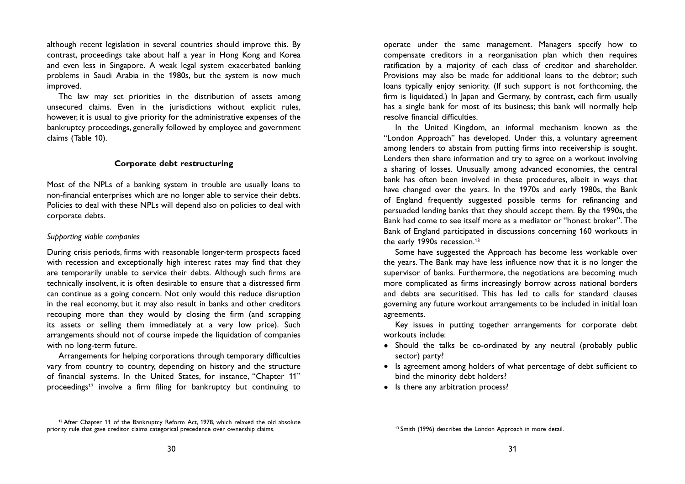although recent legislation in several countries should improve this. By contrast, proceedings take about half a year in Hong Kong and Korea and even less in Singapore. A weak legal system exacerbated banking problems in Saudi Arabia in the 1980s, but the system is now much improved.

The law may set priorities in the distribution of assets among unsecured claims. Even in the jurisdictions without explicit rules, however, it is usual to give priority for the administrative expenses of the bankruptcy proceedings, generally followed by employee and government claims (Table 10).

### **Corporate debt restructuring**

Most of the NPLs of a banking system in trouble are usually loans to non-financial enterprises which are no longer able to service their debts. Policies to deal with these NPLs will depend also on policies to deal with corporate debts.

### *Supporting viable companies*

During crisis periods, firms with reasonable longer-term prospects faced with recession and exceptionally high interest rates may find that they are temporarily unable to service their debts. Although such firms are technically insolvent, it is often desirable to ensure that a distressed firm can continue as a going concern. Not only would this reduce disruption in the real economy, but it may also result in banks and other creditors recouping more than they would by closing the firm (and scrapping its assets or selling them immediately at a very low price). Such arrangements should not of course impede the liquidation of companies with no long-term future.

Arrangements for helping corporations through temporary difficulties vary from country to country, depending on history and the structure of financial systems. In the United States, for instance, "Chapter 11" proceedings<sup>12</sup> involve a firm filing for bankruptcy but continuing to

operate under the same management. Managers specify how to compensate creditors in a reorganisation plan which then requires ratification by a majority of each class of creditor and shareholder. Provisions may also be made for additional loans to the debtor; such loans typically enjoy seniority. (If such support is not forthcoming, the firm is liquidated.) In Japan and Germany, by contrast, each firm usually has a single bank for most of its business; this bank will normally help resolve financial difficulties.

In the United Kingdom, an informal mechanism known as the "London Approach" has developed. Under this, a voluntary agreement among lenders to abstain from putting firms into receivership is sought. Lenders then share information and try to agree on a workout involving a sharing of losses. Unusually among advanced economies, the central bank has often been involved in these procedures, albeit in ways that have changed over the years. In the 1970s and early 1980s, the Bank of England frequently suggested possible terms for refinancing and persuaded lending banks that they should accept them. By the 1990s, the Bank had come to see itself more as a mediator or "honest broker". TheBank of England participated in discussions concerning 160 workouts in the early 1990s recession.<sup>13</sup>

Some have suggested the Approach has become less workable over the years. The Bank may have less influence now that it is no longer the supervisor of banks. Furthermore, the negotiations are becoming much more complicated as firms increasingly borrow across national borders and debts are securitised. This has led to calls for standard clausesgoverning any future workout arrangements to be included in initial loan agreements.

Key issues in putting together arrangements for corporate debt workouts include:

- Should the talks be co-ordinated by any neutral (probably public sector) party?
- Is agreement among holders of what percentage of debt sufficient to bind the minority debt holders?
- Is there any arbitration process?

<sup>13</sup> Smith (1996) describes the London Approach in more detail.

 $^\mathrm{12}$  After Chapter 11 of the Bankruptcy Reform Act, 1978, which relaxed the old absolute priority rule that gave creditor claims categorical precedence over ownership claims.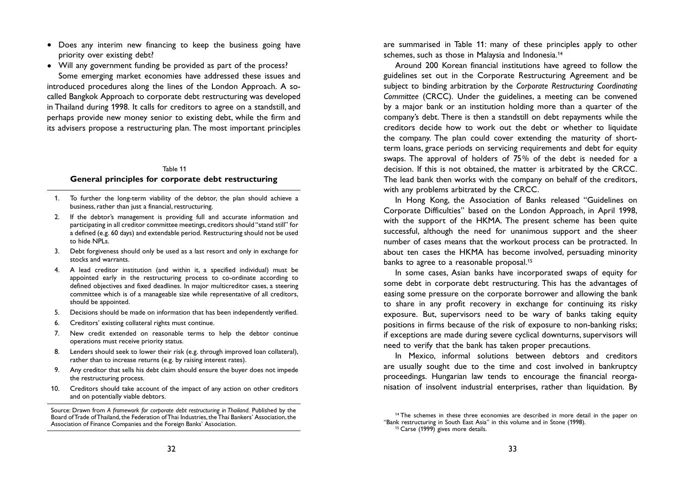- Does any interim new financing to keep the business going have priority over existing debt?
- Will any government funding be provided as part of the process? Some emerging market economies have addressed these issues and introduced procedures along the lines of the London Approach. A socalled Bangkok Approach to corporate debt restructuring was developed in Thailand during 1998. It calls for creditors to agree on a standstill, and perhaps provide new money senior to existing debt, while the firm and its advisers propose a restructuring plan. The most important principles

#### Table 11

# **General principles for corporate debt restructuring**

- 1. To further the long-term viability of the debtor, the plan should achieve a business, rather than just a financial, restructuring.
- 2. If the debtor's management is providing full and accurate information and participating in all creditor committee meetings, creditors should "stand still" for a defined (e.g. 60 days) and extendable period. Restructuring should not be used to hide NPLs.
- 3. Debt forgiveness should only be used as a last resort and only in exchange for stocks and warrants.
- 4. A lead creditor institution (and within it, a specified individual) must be appointed early in the restructuring process to co-ordinate according to defined objectives and fixed deadlines. In major multicreditor cases, a steering committee which is of a manageable size while representative of all creditors, should be appointed.
- 5. Decisions should be made on information that has been independently verified.
- 6. Creditors' existing collateral rights must continue.
- 7. New credit extended on reasonable terms to help the debtor continue operations must receive priority status.
- 8. Lenders should seek to lower their risk (e.g. through improved loan collateral), rather than to increase returns (e.g. by raising interest rates).
- 9. Any creditor that sells his debt claim should ensure the buyer does not impede the restructuring process.
- 10. Creditors should take account of the impact of any action on other creditors and on potentially viable debtors.

Source: Drawn from *A framework for corporate debt restructuring in Thailand.* Published by the Board of Trade of Thailand, the Federation of Thai Industries, the Thai Bankers' Association, the Association of Finance Companies and the Foreign Banks' Association.

are summarised in Table 11: many of these principles apply to other schemes, such as those in Malaysia and Indonesia.14

Around 200 Korean financial institutions have agreed to follow the guidelines set out in the Corporate Restructuring Agreement and be subject to binding arbitration by the *Corporate Restructuring Coordinating Committee* (CRCC). Under the guidelines, a meeting can be convened by a major bank or an institution holding more than a quarter of the company's debt. There is then a standstill on debt repayments while the creditors decide how to work out the debt or whether to liquidate the company. The plan could cover extending the maturity of shortterm loans, grace periods on servicing requirements and debt for equity swaps. The approval of holders of 75% of the debt is needed for a decision. If this is not obtained, the matter is arbitrated by the CRCC. The lead bank then works with the company on behalf of the creditors, with any problems arbitrated by the CRCC.

In Hong Kong, the Association of Banks released "Guidelines on Corporate Difficulties" based on the London Approach, in April 1998, with the support of the HKMA. The present scheme has been quite successful, although the need for unanimous support and the sheer number of cases means that the workout process can be protracted. In about ten cases the HKMA has become involved, persuading minority banks to agree to a reasonable proposal.<sup>15</sup>

In some cases, Asian banks have incorporated swaps of equity for some debt in corporate debt restructuring. This has the advantages of easing some pressure on the corporate borrower and allowing the bank to share in any profit recovery in exchange for continuing its risky exposure. But, supervisors need to be wary of banks taking equity positions in firms because of the risk of exposure to non-banking risks; if exceptions are made during severe cyclical downturns, supervisors will need to verify that the bank has taken proper precautions.

In Mexico, informal solutions between debtors and creditors are usually sought due to the time and cost involved in bankruptcy proceedings. Hungarian law tends to encourage the financial reorganisation of insolvent industrial enterprises, rather than liquidation. By

<sup>&</sup>lt;sup>14</sup> The schemes in these three economies are described in more detail in the paper on "Bank restructuring in South East Asia" in this volume and in Stone (1998).

<sup>&</sup>lt;sup>15</sup> Carse (1999) gives more details.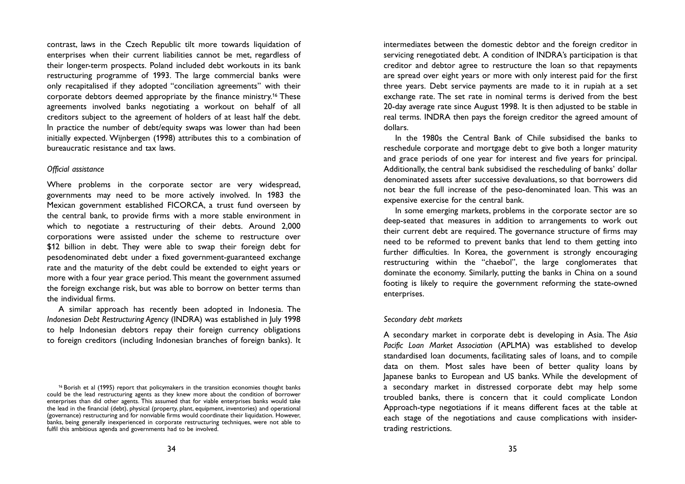contrast, laws in the Czech Republic tilt more towards liquidation of enterprises when their current liabilities cannot be met, regardless of their longer-term prospects. Poland included debt workouts in its bank restructuring programme of 1993. The large commercial banks were only recapitalised if they adopted "conciliation agreements" with their corporate debtors deemed appropriate by the finance ministry.16 These agreements involved banks negotiating a workout on behalf of all creditors subject to the agreement of holders of at least half the debt. In practice the number of debt/equity swaps was lower than had been initially expected. Wijnbergen (1998) attributes this to a combination of bureaucratic resistance and tax laws.

#### *Official assistance*

Where problems in the corporate sector are very widespread, governments may need to be more actively involved. In 1983 the Mexican government established FICORCA, a trust fund overseen by the central bank, to provide firms with a more stable environment in which to negotiate a restructuring of their debts. Around 2,000 corporations were assisted under the scheme to restructure over \$12 billion in debt. They were able to swap their foreign debt for pesodenominated debt under a fixed government-guaranteed exchange rate and the maturity of the debt could be extended to eight years or more with a four year grace period. This meant the government assumed the foreign exchange risk, but was able to borrow on better terms than the individual firms.

A similar approach has recently been adopted in Indonesia. The *Indonesian Debt Restructuring Agency* (INDRA) was established in July 1998 to help Indonesian debtors repay their foreign currency obligations to foreign creditors (including Indonesian branches of foreign banks). It

intermediates between the domestic debtor and the foreign creditor in servicing renegotiated debt. A condition of INDRA's participation is that creditor and debtor agree to restructure the loan so that repayments are spread over eight years or more with only interest paid for the first three years. Debt service payments are made to it in rupiah at a set exchange rate. The set rate in nominal terms is derived from the best 20-day average rate since August 1998. It is then adjusted to be stable in real terms. INDRA then pays the foreign creditor the agreed amount of dollars.

In the 1980s the Central Bank of Chile subsidised the banks toreschedule corporate and mortgage debt to give both a longer maturity and grace periods of one year for interest and five years for principal. Additionally, the central bank subsidised the rescheduling of banks' dollar denominated assets after successive devaluations, so that borrowers did not bear the full increase of the peso-denominated loan. This was an expensive exercise for the central bank.

In some emerging markets, problems in the corporate sector are so deep-seated that measures in addition to arrangements to work out their current debt are required. The governance structure of firms may need to be reformed to prevent banks that lend to them getting into further difficulties. In Korea, the government is strongly encouraging restructuring within the "chaebol", the large conglomerates that dominate the economy. Similarly, putting the banks in China on a sound footing is likely to require the government reforming the state-owned enterprises.

### *Secondary debt markets*

A secondary market in corporate debt is developing in Asia. The *Asia Pacific Loan Market Association* (APLMA) was established to develop standardised loan documents, facilitating sales of loans, and to compile data on them. Most sales have been of better quality loans by Japanese banks to European and US banks. While the development of a secondary market in distressed corporate debt may help some troubled banks, there is concern that it could complicate London Approach-type negotiations if it means different faces at the table at each stage of the negotiations and cause complications with insidertrading restrictions.

 $^{\rm 16}$  Borish et al (1995) report that policymakers in the transition economies thought banks could be the lead restructuring agents as they knew more about the condition of borrower enterprises than did other agents. This assumed that for viable enterprises banks would take the lead in the financial (debt), physical (property, plant, equipment, inventories) and operational (governance) restructuring and for nonviable firms would coordinate their liquidation. However, banks, being generally inexperienced in corporate restructuring techniques, were not able to fulfil this ambitious agenda and governments had to be involved.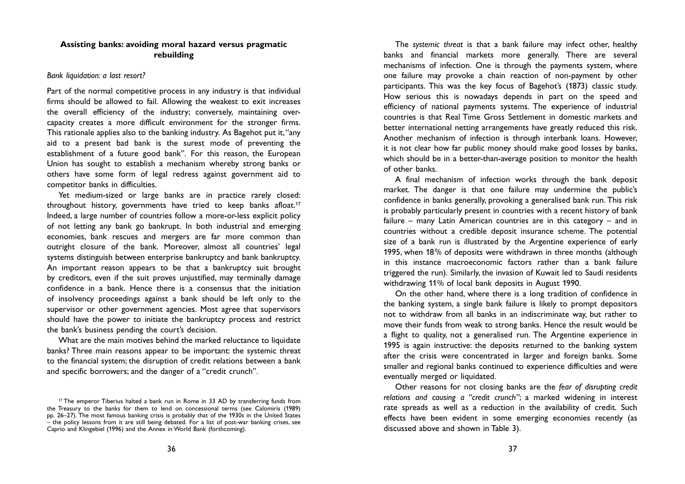# **Assisting banks: avoiding moral hazard versus pragmatic rebuilding**

#### *Bank liquidation: a last resort?*

Part of the normal competitive process in any industry is that individual firms should be allowed to fail. Allowing the weakest to exit increases the overall efficiency of the industry; conversely, maintaining overcapacity creates a more difficult environment for the stronger firms. This rationale applies also to the banking industry. As Bagehot put it,"any aid to a present bad bank is the surest mode of preventing the establishment of a future good bank". For this reason, the European Union has sought to establish a mechanism whereby strong banks or others have some form of legal redress against government aid to competitor banks in difficulties.

Yet medium-sized or large banks are in practice rarely closed: throughout history, governments have tried to keep banks afloat.17 Indeed, a large number of countries follow a more-or-less explicit policy of not letting any bank go bankrupt. In both industrial and emerging economies, bank rescues and mergers are far more common than outright closure of the bank. Moreover, almost all countries' legal systems distinguish between enterprise bankruptcy and bank bankruptcy. An important reason appears to be that a bankruptcy suit brought by creditors, even if the suit proves unjustified, may terminally damage confidence in a bank. Hence there is a consensus that the initiation of insolvency proceedings against a bank should be left only to the supervisor or other government agencies. Most agree that supervisors should have the power to initiate the bankruptcy process and restrict the bank's business pending the court's decision.

What are the main motives behind the marked reluctance to liquidate banks? Three main reasons appear to be important: the systemic threat to the financial system; the disruption of credit relations between a bank and specific borrowers; and the danger of a "credit crunch".

The *systemic threat* is that a bank failure may infect other, healthy banks and financial markets more generally. There are several mechanisms of infection. One is through the payments system, where one failure may provoke a chain reaction of non-payment by other participants. This was the key focus of Bagehot's (1873) classic study. How serious this is nowadays depends in part on the speed and efficiency of national payments systems. The experience of industrial countries is that Real Time Gross Settlement in domestic markets andbetter international netting arrangements have greatly reduced this risk. Another mechanism of infection is through interbank loans. However, it is not clear how far public money should make good losses by banks, which should be in a better-than-average position to monitor the health of other banks.

A final mechanism of infection works through the bank deposit market. The danger is that one failure may undermine the public's confidence in banks generally, provoking a generalised bank run. This risk is probably particularly present in countries with a recent history of bank failure – many Latin American countries are in this category – and in countries without a credible deposit insurance scheme. The potential size of a bank run is illustrated by the Argentine experience of early 1995, when 18% of deposits were withdrawn in three months (although in this instance macroeconomic factors rather than a bank failure triggered the run). Similarly, the invasion of Kuwait led to Saudi residents withdrawing 110 /0 of local bank deposits in August 1990.

On the other hand, where there is a long tradition of confidence in the banking system, a single bank failure is likely to prompt depositors not to withdraw from all banks in an indiscriminate way, but rather to move their funds from weak to strong banks. Hence the result would be a flight to quality, not a generalised run. The Argentine experience in 1995 is again instructive: the deposits returned to the banking system after the crisis were concentrated in larger and foreign banks. Some smaller and regional banks continued to experience difficulties and were eventually merged or liquidated.

Other reasons for not closing banks are the *fear of disrupting credit relations and causing a "credit crunch"*; a marked widening in interest rate spreads as well as a reduction in the availability of credit. Such effects have been evident in some emerging economies recently (as discussed above and shown in Table 3).

 $^\mathrm{17}$ The emperor Tiberius halted a bank run in Rome in 33 AD by transferring funds from the Treasury to the banks for them to lend on concessional terms (see Calomiris (1989) pp. 26–27). The most famous banking crisis is probably that of the 1930s in the United States – the policy lessons from it are still being debated. For a list of post-war banking crises, see Caprio and Klingebiel (1996) and the Annex in World Bank (forthcoming).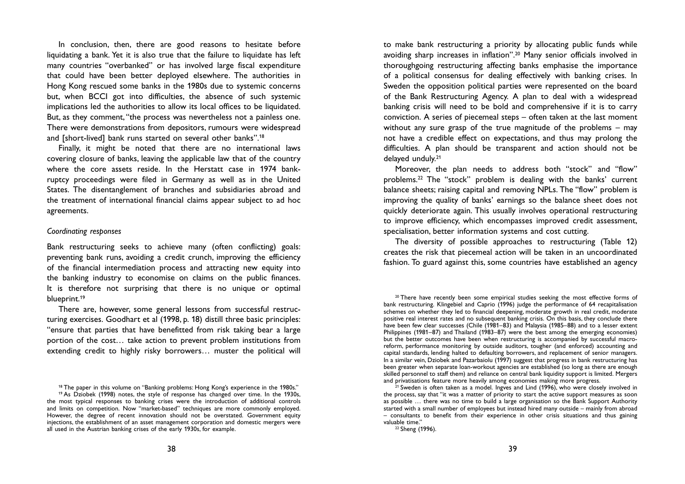In conclusion, then, there are good reasons to hesitate before liquidating a bank. Yet it is also true that the failure to liquidate has left many countries "overbanked" or has involved large fiscal expenditure that could have been better deployed elsewhere. The authorities in Hong Kong rescued some banks in the 1980s due to systemic concerns but, when BCCI got into difficulties, the absence of such systemic implications led the authorities to allow its local offices to be liquidated. But, as they comment, "the process was nevertheless not a painless one. There were demonstrations from depositors, rumours were widespread and [short-lived] bank runs started on several other banks".18

Finally, it might be noted that there are no international laws covering closure of banks, leaving the applicable law that of the country where the core assets reside. In the Herstatt case in 1974 bankruptcy proceedings were filed in Germany as well as in the United States. The disentanglement of branches and subsidiaries abroad and the treatment of international financial claims appear subject to ad hoc agreements.

### *Coordinating responses*

Bank restructuring seeks to achieve many (often conflicting) goals: preventing bank runs, avoiding a credit crunch, improving the efficiency of the financial intermediation process and attracting new equity into the banking industry to economise on claims on the public finances. It is therefore not surprising that there is no unique or optimal blueprint.<sup>19</sup>

There are, however, some general lessons from successful restructuring exercises. Goodhart et al (1998, p. 18) distill three basic principles: "ensure that parties that have benefitted from risk taking bear a large portion of the cost … take action to prevent problem institutions from extending credit to highly risky borrowers … muster the political will

<sup>18</sup> The paper in this volume on "Banking problems: Hong Kong's experience in the 1980s."  $^{19}$  As Dziobek (1998) notes, the style of response has changed over time. In the 1930s, the most typical responses to banking crises were the introduction of additional controls and limits on competition. Now "market-based" techniques are more commonly employed. However, the degree of recent innovation should not be overstated. Government equity injections, the establishment of an asset management corporation and domestic mergers were all used in the Austrian banking crises of the early 1930s, for example.

to make bank restructuring a priority by allocating public funds while avoiding sharp increases in inflation".20 Many senior officials involved in thoroughgoing restructuring affecting banks emphasise the importance of a political consensus for dealing effectively with banking crises. In Sweden the opposition political parties were represented on the board of the Bank Restructuring Agency. A plan to deal with a widespread banking crisis will need to be bold and comprehensive if it is to carry conviction. A series of piecemeal steps – often taken at the last moment without any sure grasp of the true magnitude of the problems – may not have a credible effect on expectations, and thus may prolong the difficulties. A plan should be transparent and action should not be delayed unduly.21

Moreover, the plan needs to address both "stock" and "flow" problems.22 The "stock" problem is dealing with the banks' current balance sheets; raising capital and removing NPLs. The "flow" problem is improving the quality of banks' earnings so the balance sheet does not quickly deteriorate again. This usually involves operational restructuring to improve efficiency, which encompasses improved credit assessment, specialisation, better information systems and cost cutting.

The diversity of possible approaches to restructuring (Table 12) creates the risk that piecemeal action will be taken in an uncoordinated fashion. To guard against this, some countries have established an agency

 $^{21}$  Sweden is often taken as a model. Ingves and Lind (1996), who were closely involved in the process, say that "it was a matter of priority to start the active support measures as soon as possible … there was no time to build a large organisation so the Bank Support Authority started with a small number of employees but instead hired many outside – mainly from abroad – consultants to benefit from their experience in other crisis situations and thus gaining valuable time."

<sup>22</sup> Sheng (1996).

 $^{20}$  There have recently been some empirical studies seeking the most effective forms of bank restructuring. Klingebiel and Caprio (1996) judge the performance of 64 recapitalisation schemes on whether they led to financial deepening, moderate growth in real credit, moderate positive real interest rates and no subsequent banking crisis. On this basis, they conclude there have been few clear successes (Chile (1981–83) and Malaysia (1985–88) and to a lesser extent Philippines (1981–87) and Thailand (1983–87) were the best among the emerging economies) but the better outcomes have been when restructuring is accompanied by successful macroreform, performance monitoring by outside auditors, tougher (and enforced) accounting and capital standards, lending halted to defaulting borrowers, and replacement of senior managers. In a similar vein, Dziobek and Pazarbaiolu (1997) suggest that progress in bank restructuring has been greater when separate loan-workout agencies are established (so long as there are enough skilled personnel to staff them) and reliance on central bank liquidity support is limited. Mergers and privatisations feature more heavily among economies making more progress.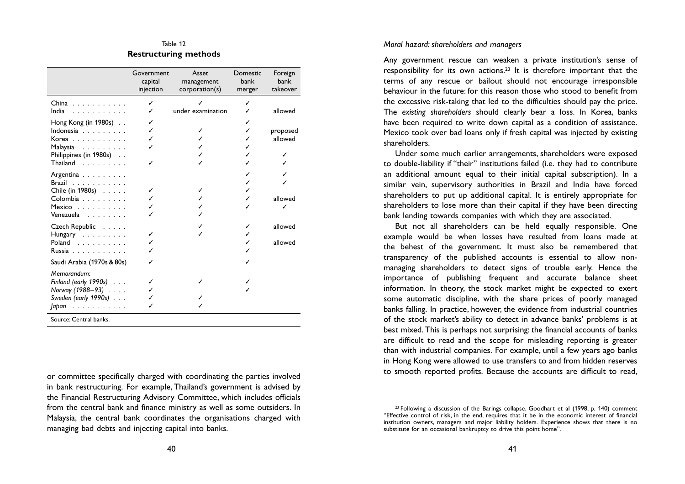# Table 12**Restructuring methods**

|                                 | Government<br>capital<br>injection | Asset<br>management<br>corporation(s) | Domestic<br>bank<br>merger | Foreign<br>bank<br>takeover |
|---------------------------------|------------------------------------|---------------------------------------|----------------------------|-----------------------------|
| China $\ldots$                  |                                    |                                       |                            |                             |
| India<br>.                      |                                    | under examination                     |                            | allowed                     |
| Hong Kong (in 1980s)            |                                    |                                       |                            |                             |
| Indonesia                       |                                    |                                       |                            | proposed                    |
| Korea                           |                                    |                                       |                            | allowed                     |
| Malaysia                        |                                    |                                       |                            |                             |
| Philippines (in 1980s)          |                                    |                                       |                            |                             |
| Thailand                        |                                    |                                       |                            |                             |
| Argentina                       |                                    |                                       |                            |                             |
| Brazil                          |                                    |                                       |                            |                             |
| Chile (in 1980s)                |                                    |                                       |                            |                             |
| Colombia                        |                                    |                                       | ✓                          | allowed                     |
| Mexico                          |                                    |                                       |                            |                             |
| Venezuela                       |                                    |                                       |                            |                             |
| Czech Republic                  |                                    |                                       | ✓                          | allowed                     |
| Hungary                         |                                    |                                       |                            |                             |
| Poland                          |                                    |                                       |                            | allowed                     |
| Russia                          |                                    |                                       |                            |                             |
| Saudi Arabia (1970s & 80s)      |                                    |                                       |                            |                             |
| Memorandum:                     |                                    |                                       |                            |                             |
| Finland (early 1990s)           |                                    |                                       |                            |                             |
| Norway (1988-93)                |                                    |                                       |                            |                             |
| Sweden (early 1990s)            |                                    |                                       |                            |                             |
| $Japan \dots \dots \dots \dots$ |                                    |                                       |                            |                             |
| Source: Central banks.          |                                    |                                       |                            |                             |

or committee specifically charged with coordinating the parties involved in bank restructuring. For example, Thailand's government is advised by the Financial Restructuring Advisory Committee, which includes officials from the central bank and finance ministry as well as some outsiders. In Malaysia, the central bank coordinates the organisations charged with managing bad debts and injecting capital into banks.

#### *Moral hazard: shareholders and managers*

Any government rescue can weaken a private institution's sense of responsibility for its own actions.23 It is therefore important that the terms of any rescue or bailout should not encourage irresponsible behaviour in the future: for this reason those who stood to benefit fromthe excessive risk-taking that led to the difficulties should pay the price. The *existing shareholders* should clearly bear a loss. In Korea, banks have been required to write down capital as a condition of assistance. Mexico took over bad loans only if fresh capital was injected by existing shareholders.

Under some much earlier arrangements, shareholders were exposed to double-liability if "their" institutions failed (i.e. they had to contribute an additional amount equal to their initial capital subscription). In a similar vein, supervisory authorities in Brazil and India have forced shareholders to put up additional capital. It is entirely appropriate for shareholders to lose more than their capital if they have been directing bank lending towards companies with which they are associated.

But not all shareholders can be held equally responsible. One example would be when losses have resulted from loans made at the behest of the government. It must also be remembered that transparency of the published accounts is essential to allow nonmanaging shareholders to detect signs of trouble early. Hence the importance of publishing frequent and accurate balance sheet information. In theory, the stock market might be expected to exert some automatic discipline, with the share prices of poorly managed banks falling. In practice, however, the evidence from industrial countries of the stock market's ability to detect in advance banks' problems is at best mixed. This is perhaps not surprising: the financial accounts of banks are difficult to read and the scope for misleading reporting is greater than with industrial companies. For example, until a few years ago banks in Hong Kong were allowed to use transfers to and from hidden reserves to smooth reported profits. Because the accounts are difficult to read,

 $^{23}$  Following a discussion of the Barings collapse, Goodhart et al (1998, p. 140) comment "Effective control of risk, in the end, requires that it be in the economic interest of financial institution owners, managers and major liability holders. Experience shows that there is no substitute for an occasional bankruptcy to drive this point home".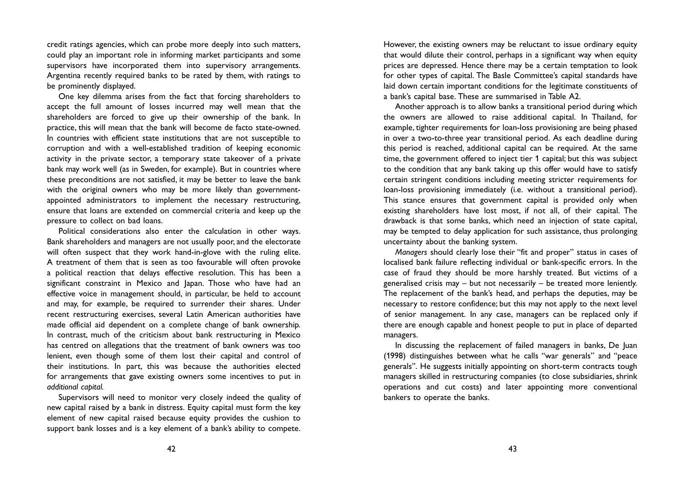credit ratings agencies, which can probe more deeply into such matters, could play an important role in informing market participants and some supervisors have incorporated them into supervisory arrangements. Argentina recently required banks to be rated by them, with ratings to be prominently displayed.

One key dilemma arises from the fact that forcing shareholders to accept the full amount of losses incurred may well mean that the shareholders are forced to give up their ownership of the bank. In practice, this will mean that the bank will become de facto state-owned. In countries with efficient state institutions that are not susceptible to corruption and with a well-established tradition of keeping economic activity in the private sector, a temporary state takeover of a private bank may work well (as in Sweden, for example). But in countries where these preconditions are not satisfied, it may be better to leave the bank with the original owners who may be more likely than governmentappointed administrators to implement the necessary restructuring, ensure that loans are extended on commercial criteria and keep up the pressure to collect on bad loans.

Political considerations also enter the calculation in other ways. Bank shareholders and managers are not usually poor, and the electorate will often suspect that they work hand-in-glove with the ruling elite. A treatment of them that is seen as too favourable will often provoke a political reaction that delays effective resolution. This has been a significant constraint in Mexico and Japan. Those who have had an effective voice in management should, in particular, be held to account and may, for example, be required to surrender their shares. Under recent restructuring exercises, several Latin American authorities have made official aid dependent on a complete change of bank ownership. In contrast, much of the criticism about bank restructuring in Mexico has centred on allegations that the treatment of bank owners was too lenient, even though some of them lost their capital and control of their institutions. In part, this was because the authorities elected for arrangements that gave existing owners some incentives to put in *additional capital.*

Supervisors will need to monitor very closely indeed the quality of new capital raised by a bank in distress. Equity capital must form the key element of new capital raised because equity provides the cushion to support bank losses and is a key element of a bank's ability to compete. However, the existing owners may be reluctant to issue ordinary equity that would dilute their control, perhaps in a significant way when equity prices are depressed. Hence there may be a certain temptation to look for other types of capital. The Basle Committee's capital standards have laid down certain important conditions for the legitimate constituents of a bank's capital base. These are summarised in Table A2.

Another approach is to allow banks a transitional period during which the owners are allowed to raise additional capital. In Thailand, for example, tighter requirements for loan-loss provisioning are being phased in over a two-to-three year transitional period. As each deadline during this period is reached, additional capital can be required. At the same time, the government offered to inject tier 1 capital; but this was subject to the condition that any bank taking up this offer would have to satisfy certain stringent conditions including meeting stricter requirements for loan-loss provisioning immediately (i.e. without a transitional period). This stance ensures that government capital is provided only when existing shareholders have lost most, if not all, of their capital. The drawback is that some banks, which need an injection of state capital, may be tempted to delay application for such assistance, thus prolonging uncertainty about the banking system.

*Managers* should clearly lose their "fit and proper" status in cases of localised bank failure reflecting individual or bank-specific errors. In the case of fraud they should be more harshly treated. But victims of a generalised crisis may – but not necessarily – be treated more leniently. The replacement of the bank's head, and perhaps the deputies, may be necessary to restore confidence; but this may not apply to the next level of senior management. In any case, managers can be replaced only if there are enough capable and honest people to put in place of departed managers.

In discussing the replacement of failed managers in banks, De Juan (1998) distinguishes between what he calls "war generals" and "peace generals". He suggests initially appointing on short-term contracts tough managers skilled in restructuring companies (to close subsidiaries, shrink operations and cut costs) and later appointing more conventional bankers to operate the banks.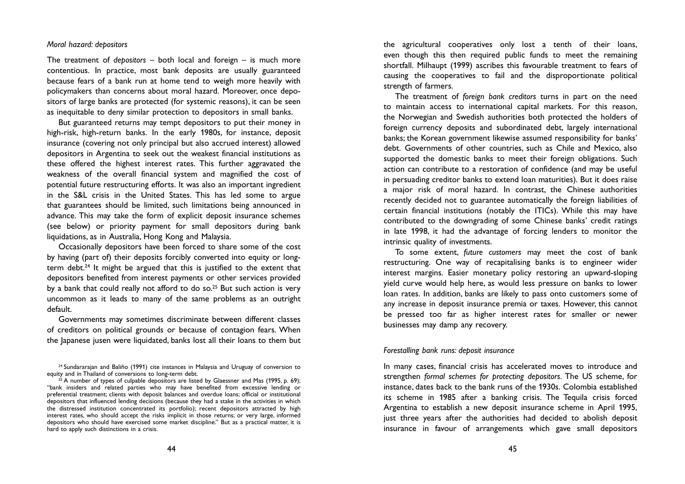### *Moral hazard: depositors*

The treatment of *depositors* – both local and foreign – is much more contentious. In practice, most bank deposits are usually guaranteed because fears of a bank run at home tend to weigh more heavily with policymakers than concerns about moral hazard. Moreover, once depositors of large banks are protected (for systemic reasons), it can be seen as inequitable to deny similar protection to depositors in small banks.

But guaranteed returns may tempt depositors to put their money in high-risk, high-return banks. In the early 1980s, for instance, deposit insurance (covering not only principal but also accrued interest) allowed depositors in Argentina to seek out the weakest financial institutions as these offered the highest interest rates. This further aggravated the weakness of the overall financial system and magnified the cost of potential future restructuring efforts. It was also an important ingredient in the S&L crisis in the United States. This has led some to argue that guarantees should be limited, such limitations being announced in advance. This may take the form of explicit deposit insurance schemes (see below) or priority payment for small depositors during bank liquidations, as in Australia, Hong Kong and Malaysia.

Occasionally depositors have been forced to share some of the cost by having (part of) their deposits forcibly converted into equity or longterm debt.<sup>24</sup> It might be argued that this is justified to the extent that depositors benefited from interest payments or other services provided by a bank that could really not afford to do so.<sup>25</sup> But such action is very uncommon as it leads to many of the same problems as an outright default.

Governments may sometimes discriminate between different classes of creditors on political grounds or because of contagion fears. When the Japanese jusen were liquidated, banks lost all their loans to them but the agricultural cooperatives only lost a tenth of their loans, even though this then required public funds to meet the remaining shortfall. Milhaupt (1999) ascribes this favourable treatment to fears of causing the cooperatives to fail and the disproportionate political strength of farmers.

The treatment of *foreign bank creditors* turns in part on the need to maintain access to international capital markets. For this reason, the Norwegian and Swedish authorities both protected the holders of foreign currency deposits and subordinated debt, largely international banks; the Korean government likewise assumed responsibility for banks' debt. Governments of other countries, such as Chile and Mexico, also supported the domestic banks to meet their foreign obligations. Such action can contribute to a restoration of confidence (and may be useful in persuading creditor banks to extend loan maturities). But it does raise a major risk of moral hazard. In contrast, the Chinese authorities recently decided not to guarantee automatically the foreign liabilities of certain financial institutions (notably the ITICs). While this may have contributed to the downgrading of some Chinese banks' credit ratings in late 1998, it had the advantage of forcing lenders to monitor the intrinsic quality of investments.

To some extent, *future customers* may meet the cost of bank restructuring. One way of recapitalising banks is to engineer wider interest margins. Easier monetary policy restoring an upward-sloping yield curve would help here, as would less pressure on banks to lower loan rates. In addition, banks are likely to pass onto customers some of any increase in deposit insurance premia or taxes. However, this cannot be pressed too far as higher interest rates for smaller or newer businesses may damp any recovery.

#### *Forestalling bank runs: deposit insurance*

In many cases, financial crisis has accelerated moves to introduce and strengthen *formal schemes for protecting depositors.* The US scheme, for instance, dates back to the bank runs of the 1930s. Colombia established its scheme in 1985 after a banking crisis. The Tequila crisis forced Argentina to establish a new deposit insurance scheme in April 1995, just three years after the authorities had decided to abolish deposit insurance in favour of arrangements which gave small depositors

<sup>&</sup>lt;sup>24</sup> Sundararajan and Baliño (1991) cite instances in Malaysia and Uruguay of conversion to equity and in Thailand of conversions to long-term debt.

 $^{25}$  A number of types of culpable depositors are listed by Glaessner and Mas (1995, p. 69); "bank insiders and related parties who may have benefited from excessive lending or preferential treatment; clients with deposit balances and overdue loans; official or institutional depositors that influenced lending decisions (because they had a stake in the activities in which the distressed institution concentrated its portfolio); recent depositors attracted by high interest rates, who should accept the risks implicit in those returns; or very large, informed depositors who should have exercised some market discipline." But as a practical matter, it is hard to apply such distinctions in a crisis.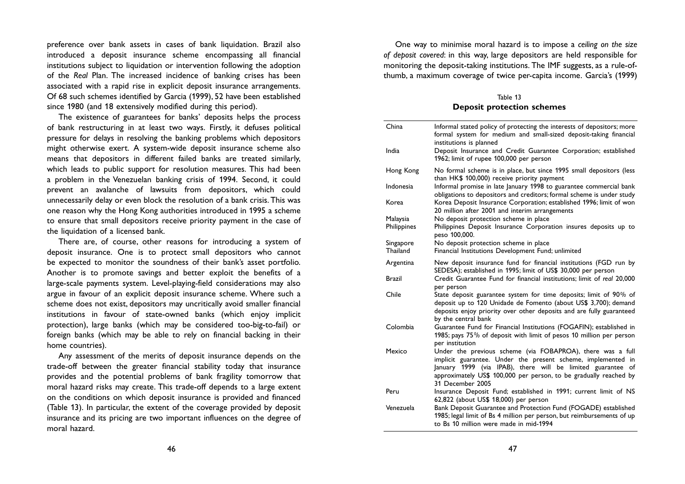preference over bank assets in cases of bank liquidation. Brazil also introduced a deposit insurance scheme encompassing all financial institutions subject to liquidation or intervention following the adoption of the *Real* Plan. The increased incidence of banking crises has been associated with a rapid rise in explicit deposit insurance arrangements. Of 68 such schemes identified by Garcia (1999), 52 have been established since 1980 (and 18 extensively modified during this period).

The existence of guarantees for banks' deposits helps the process of bank restructuring in at least two ways. Firstly, it defuses political pressure for delays in resolving the banking problems which depositors might otherwise exert. A system-wide deposit insurance scheme also means that depositors in different failed banks are treated similarly, which leads to public support for resolution measures. This had been a problem in the Venezuelan banking crisis of 1994. Second, it could prevent an avalanche of lawsuits from depositors, which could unnecessarily delay or even block the resolution of a bank crisis. This was one reason why the Hong Kong authorities introduced in 1995 a scheme to ensure that small depositors receive priority payment in the case of the liquidation of a licensed bank.

There are, of course, other reasons for introducing a system of deposit insurance. One is to protect small depositors who cannot be expected to monitor the soundness of their bank's asset portfolio. Another is to promote savings and better exploit the benefits of a large-scale payments system. Level-playing-field considerations may also argue in favour of an explicit deposit insurance scheme. Where such a scheme does not exist, depositors may uncritically avoid smaller financial institutions in favour of state-owned banks (which enjoy implicit protection), large banks (which may be considered too-big-to-fail) or foreign banks (which may be able to rely on financial backing in their home countries).

Any assessment of the merits of deposit insurance depends on the trade-off between the greater financial stability today that insurance provides and the potential problems of bank fragility tomorrow that moral hazard risks may create. This trade-off depends to a large extent on the conditions on which deposit insurance is provided and financed (Table 13). In particular, the extent of the coverage provided by deposit insurance and its pricing are two important influences on the degree of moral hazard.

One way to minimise moral hazard is to impose a *ceiling on the size of deposit covered*: in this way, large depositors are held responsible for monitoring the deposit-taking institutions. The IMF suggests, as a rule-ofthumb, a maximum coverage of twice per-capita income. Garcia's (1999)

# Table 13**Deposit protection schemes**

| China                   | Informal stated policy of protecting the interests of depositors; more<br>formal system for medium and small-sized deposit-taking financial<br>institutions is planned                                                                                                             |
|-------------------------|------------------------------------------------------------------------------------------------------------------------------------------------------------------------------------------------------------------------------------------------------------------------------------|
| India                   | Deposit Insurance and Credit Guarantee Corporation; established<br>1962; limit of rupee 100,000 per person                                                                                                                                                                         |
| Hong Kong               | No formal scheme is in place, but since 1995 small depositors (less<br>than HK\$ 100,000) receive priority payment                                                                                                                                                                 |
| Indonesia               | Informal promise in late January 1998 to guarantee commercial bank<br>obligations to depositors and creditors; formal scheme is under study                                                                                                                                        |
| Korea                   | Korea Deposit Insurance Corporation; established 1996; limit of won<br>20 million after 2001 and interim arrangements                                                                                                                                                              |
| Malaysia<br>Philippines | No deposit protection scheme in place<br>Philippines Deposit Insurance Corporation insures deposits up to<br>peso 100,000.                                                                                                                                                         |
| Singapore<br>Thailand   | No deposit protection scheme in place<br>Financial Institutions Development Fund; unlimited                                                                                                                                                                                        |
| Argentina               | New deposit insurance fund for financial institutions (FGD run by<br>SEDESA); established in 1995; limit of US\$ 30,000 per person                                                                                                                                                 |
| Brazil                  | Credit Guarantee Fund for financial institutions; limit of real 20,000<br>per person                                                                                                                                                                                               |
| Chile                   | State deposit guarantee system for time deposits; limit of 90% of<br>deposit up to 120 Unidade de Fomento (about US\$ 3,700); demand<br>deposits enjoy priority over other deposits and are fully guaranteed<br>by the central bank                                                |
| Colombia                | Guarantee Fund for Financial Institutions (FOGAFIN); established in<br>1985; pays 75% of deposit with limit of pesos 10 million per person<br>per institution                                                                                                                      |
| Mexico                  | Under the previous scheme (via FOBAPROA), there was a full<br>implicit guarantee. Under the present scheme, implemented in<br>January 1999 (via IPAB), there will be limited guarantee of<br>approximately US\$ 100,000 per person, to be gradually reached by<br>31 December 2005 |
| Peru                    | Insurance Deposit Fund; established in 1991; current limit of NS<br>62,822 (about US\$ 18,000) per person                                                                                                                                                                          |
| Venezuela               | Bank Deposit Guarantee and Protection Fund (FOGADE) established<br>1985; legal limit of Bs 4 million per person, but reimbursements of up<br>to Bs 10 million were made in mid-1994                                                                                                |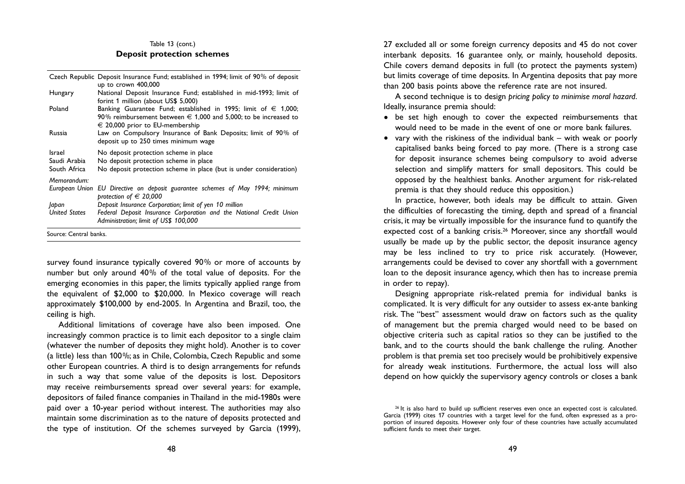## Table 13 (cont.)

## **Deposit protection schemes**

|                                               | Czech Republic Deposit Insurance Fund; established in 1994; limit of 90% of deposit<br>up to crown 400,000                                                                                                                                                                                               |
|-----------------------------------------------|----------------------------------------------------------------------------------------------------------------------------------------------------------------------------------------------------------------------------------------------------------------------------------------------------------|
| Hungary                                       | National Deposit Insurance Fund; established in mid-1993; limit of<br>forint 1 million (about US\$ 5,000)                                                                                                                                                                                                |
| Poland<br>Russia                              | Banking Guarantee Fund; established in 1995; limit of $\epsilon$ 1,000;<br>90% reimbursement between $\epsilon$ 1,000 and 5,000; to be increased to<br>$\epsilon$ 20,000 prior to EU-membership<br>Law on Compulsory Insurance of Bank Deposits; limit of 90% of<br>deposit up to 250 times minimum wage |
| <b>Israel</b><br>Saudi Arabia<br>South Africa | No deposit protection scheme in place<br>No deposit protection scheme in place<br>No deposit protection scheme in place (but is under consideration)                                                                                                                                                     |
| Memorandum:<br> apan                          | European Union EU Directive on deposit guarantee schemes of May 1994; minimum<br>protection of $\in$ 20,000<br>Deposit Insurance Corporation; limit of yen 10 million                                                                                                                                    |
| <b>United States</b>                          | Federal Deposit Insurance Corporation and the National Credit Union<br>Administration; limit of US\$ 100,000                                                                                                                                                                                             |
| Source: Central banks.                        |                                                                                                                                                                                                                                                                                                          |

survey found insurance typically covered 90% or more of accounts by number but only around 40% of the total value of deposits. For the emerging economies in this paper, the limits typically applied range from the equivalent of \$2,000 to \$20,000. In Mexico coverage will reach approximately \$100,000 by end-2005. In Argentina and Brazil, too, the ceiling is high.

Additional limitations of coverage have also been imposed. One increasingly common practice is to limit each depositor to a single claim (whatever the number of deposits they might hold). Another is to cover (a little) less than 100%; as in Chile, Colombia, Czech Republic and some other European countries. A third is to design arrangements for refunds in such a way that some value of the deposits is lost. Depositors may receive reimbursements spread over several years: for example, depositors of failed finance companies in Thailand in the mid-1980s were paid over a 10-year period without interest. The authorities may also maintain some discrimination as to the nature of deposits protected and the type of institution. Of the schemes surveyed by Garcia (1999), 27 excluded all or some foreign currency deposits and 45 do not cover interbank deposits. 16 guarantee only, or mainly, household deposits. Chile covers demand deposits in full (to protect the payments system) but limits coverage of time deposits. In Argentina deposits that pay more than 200 basis points above the reference rate are not insured.

A second technique is to design *pricing policy to minimise moral hazard*. Ideally, insurance premia should:

- be set high enough to cover the expected reimbursements that would need to be made in the event of one or more bank failures.
- vary with the riskiness of the individual bank with weak or poorly capitalised banks being forced to pay more. (There is a strong case for deposit insurance schemes being compulsory to avoid adverse selection and simplify matters for small depositors. This could be opposed by the healthiest banks. Another argument for risk-related premia is that they should reduce this opposition.)

In practice, however, both ideals may be difficult to attain. Given the difficulties of forecasting the timing, depth and spread of a financial crisis, it may be virtually impossible for the insurance fund to quantify the expected cost of a banking crisis.<sup>26</sup> Moreover, since any shortfall would usually be made up by the public sector, the deposit insurance agency may be less inclined to try to price risk accurately. (However, arrangements could be devised to cover any shortfall with a government loan to the deposit insurance agency, which then has to increase premia in order to repay).

Designing appropriate risk-related premia for individual banks is complicated. It is very difficult for any outsider to assess ex-ante banking risk. The "best" assessment would draw on factors such as the quality of management but the premia charged would need to be based on objective criteria such as capital ratios so they can be justified to the bank, and to the courts should the bank challenge the ruling. Another problem is that premia set too precisely would be prohibitively expensive for already weak institutions. Furthermore, the actual loss will also depend on how quickly the supervisory agency controls or closes a bank

 $^{26}$  It is also hard to build up sufficient reserves even once an expected cost is calculated. Garcia (1999) cites 17 countries with a target level for the fund, often expressed as a proportion of insured deposits. However only four of these countries have actually accumulated sufficient funds to meet their target.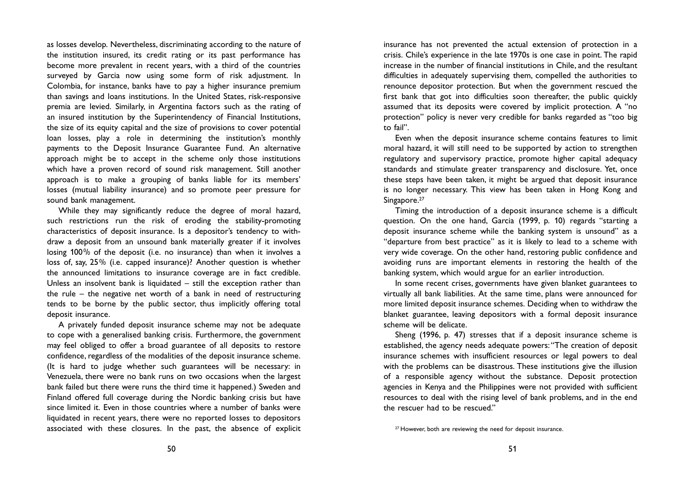as losses develop. Nevertheless, discriminating according to the nature of the institution insured, its credit rating or its past performance has become more prevalent in recent years, with a third of the countries surveyed by Garcia now using some form of risk adjustment. In Colombia, for instance, banks have to pay a higher insurance premium than savings and loans institutions. In the United States, risk-responsive premia are levied. Similarly, in Argentina factors such as the rating of an insured institution by the Superintendency of Financial Institutions, the size of its equity capital and the size of provisions to cover potential loan losses, play a role in determining the institution's monthly payments to the Deposit Insurance Guarantee Fund. An alternative approach might be to accept in the scheme only those institutions which have a proven record of sound risk management. Still another approach is to make a grouping of banks liable for its members' losses (mutual liability insurance) and so promote peer pressure for sound bank management.

While they may significantly reduce the degree of moral hazard, such restrictions run the risk of eroding the stability-promoting characteristics of deposit insurance. Is a depositor's tendency to withdraw a deposit from an unsound bank materially greater if it involves losing 100% of the deposit (i.e. no insurance) than when it involves a loss of, say, 25% (i.e. capped insurance)? Another question is whether the announced limitations to insurance coverage are in fact credible. Unless an insolvent bank is liquidated – still the exception rather than the rule – the negative net worth of a bank in need of restructuring tends to be borne by the public sector, thus implicitly offering total deposit insurance.

A privately funded deposit insurance scheme may not be adequate to cope with a generalised banking crisis. Furthermore, the government may feel obliged to offer a broad guarantee of all deposits to restore confidence, regardless of the modalities of the deposit insurance scheme. (It is hard to judge whether such guarantees will be necessary: in Venezuela, there were no bank runs on two occasions when the largest bank failed but there were runs the third time it happened.) Sweden and Finland offered full coverage during the Nordic banking crisis but have since limited it. Even in those countries where a number of banks wereliquidated in recent years, there were no reported losses to depositors associated with these closures. In the past, the absence of explicit insurance has not prevented the actual extension of protection in a crisis. Chile's experience in the late 1970s is one case in point. The rapid increase in the number of financial institutions in Chile, and the resultant difficulties in adequately supervising them, compelled the authorities to renounce depositor protection. But when the government rescued the first bank that got into difficulties soon thereafter, the public quickly assumed that its deposits were covered by implicit protection. A "no protection" policy is never very credible for banks regarded as "too big to fail".

Even when the deposit insurance scheme contains features to limit moral hazard, it will still need to be supported by action to strengthen regulatory and supervisory practice, promote higher capital adequacy standards and stimulate greater transparency and disclosure. Yet, once these steps have been taken, it might be argued that deposit insurance is no longer necessary. This view has been taken in Hong Kong and Singapore.<sup>27</sup>

Timing the introduction of a deposit insurance scheme is a difficult question. On the one hand, Garcia (1999, p. 10) regards "starting a deposit insurance scheme while the banking system is unsound" as a "departure from best practice" as it is likely to lead to a scheme with very wide coverage. On the other hand, restoring public confidence and avoiding runs are important elements in restoring the health of the banking system, which would argue for an earlier introduction.

In some recent crises, governments have given blanket guarantees to virtually all bank liabilities. At the same time, plans were announced for more limited deposit insurance schemes. Deciding when to withdraw the blanket guarantee, leaving depositors with a formal deposit insurance scheme will be delicate.

Sheng (1996, p. 47) stresses that if a deposit insurance scheme is established, the agency needs adequate powers: "The creation of deposit insurance schemes with insufficient resources or legal powers to deal with the problems can be disastrous. These institutions give the illusion of a responsible agency without the substance. Deposit protection agencies in Kenya and the Philippines were not provided with sufficient resources to deal with the rising level of bank problems, and in the end the rescuer had to be rescued."

 $^{27}$  However, both are reviewing the need for deposit insurance.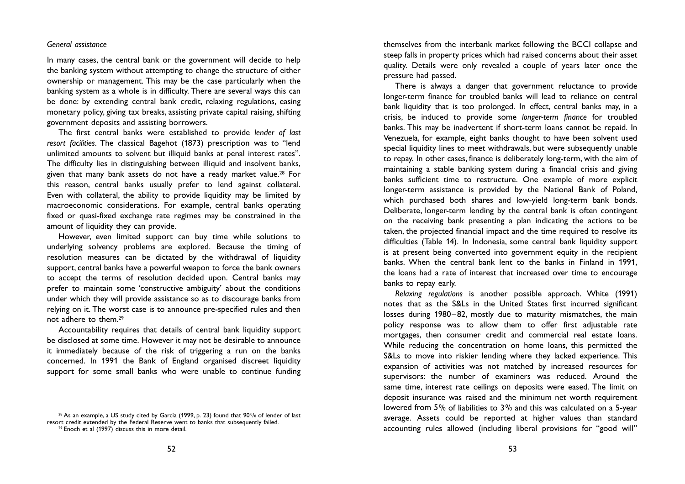### *General assistance*

In many cases, the central bank or the government will decide to help the banking system without attempting to change the structure of either ownership or management. This may be the case particularly when the banking system as a whole is in difficulty. There are several ways this can be done: by extending central bank credit, relaxing regulations, easing monetary policy, giving tax breaks, assisting private capital raising, shifting government deposits and assisting borrowers.

The first central banks were established to provide *lender of last resort facilities.* The classical Bagehot (1873) prescription was to "lend unlimited amounts to solvent but illiquid banks at penal interest rates". The difficulty lies in distinguishing between illiquid and insolvent banks, given that many bank assets do not have a ready market value.28 For this reason, central banks usually prefer to lend against collateral. Even with collateral, the ability to provide liquidity may be limited by macroeconomic considerations. For example, central banks operating fixed or quasi-fixed exchange rate regimes may be constrained in the amount of liquidity they can provide.

However, even limited support can buy time while solutions to underlying solvency problems are explored. Because the timing of resolution measures can be dictated by the withdrawal of liquidity support, central banks have a powerful weapon to force the bank owners to accept the terms of resolution decided upon. Central banks may prefer to maintain some 'constructive ambiguity' about the conditions under which they will provide assistance so as to discourage banks from relying on it. The worst case is to announce pre-specified rules and then not adhere to them.29

Accountability requires that details of central bank liquidity support be disclosed at some time. However it may not be desirable to announce it immediately because of the risk of triggering a run on the banks concerned. In 1991 the Bank of England organised discreet liquidity support for some small banks who were unable to continue funding

 $^{28}\,$ As an example, a US study cited by Garcia (1999, p. 23) found that 90% of lender of last resort credit extended by the Federal Reserve went to banks that subsequently failed. <sup>29</sup> Enoch et al (1997) discuss this in more detail.

themselves from the interbank market following the BCCI collapse and steep falls in property prices which had raised concerns about their asset quality. Details were only revealed a couple of years later once the pressure had passed.

There is always a danger that government reluctance to provide longer-term finance for troubled banks will lead to reliance on central bank liquidity that is too prolonged. In effect, central banks may, in a crisis, be induced to provide some *longer-term finance* for troubled banks. This may be inadvertent if short-term loans cannot be repaid. In Venezuela, for example, eight banks thought to have been solvent used special liquidity lines to meet withdrawals, but were subsequently unable to repay. In other cases, finance is deliberately long-term, with the aim of maintaining a stable banking system during a financial crisis and giving banks sufficient time to restructure. One example of more explicit longer-term assistance is provided by the National Bank of Poland, which purchased both shares and low-yield long-term bank bonds. Deliberate, longer-term lending by the central bank is often contingent on the receiving bank presenting a plan indicating the actions to be taken, the projected financial impact and the time required to resolve its difficulties (Table 14). In Indonesia, some central bank liquidity support is at present being converted into government equity in the recipient banks. When the central bank lent to the banks in Finland in 1991, the loans had a rate of interest that increased over time to encourage banks to repay early.

*Relaxing regulations* is another possible approach. White (1991) notes that as the S&Ls in the United States first incurred significant losses during 1980 –82, mostly due to maturity mismatches, the main policy response was to allow them to offer first adjustable rate mortgages, then consumer credit and commercial real estate loans. While reducing the concentration on home loans, this permitted the S&Ls to move into riskier lending where they lacked experience. This expansion of activities was not matched by increased resources for supervisors: the number of examiners was reduced. Around the same time, interest rate ceilings on deposits were eased. The limit on deposit insurance was raised and the minimum net worth requirement lowered from 5% of liabilities to 3% and this was calculated on a 5-year average. Assets could be reported at higher values than standard accounting rules allowed (including liberal provisions for "good will"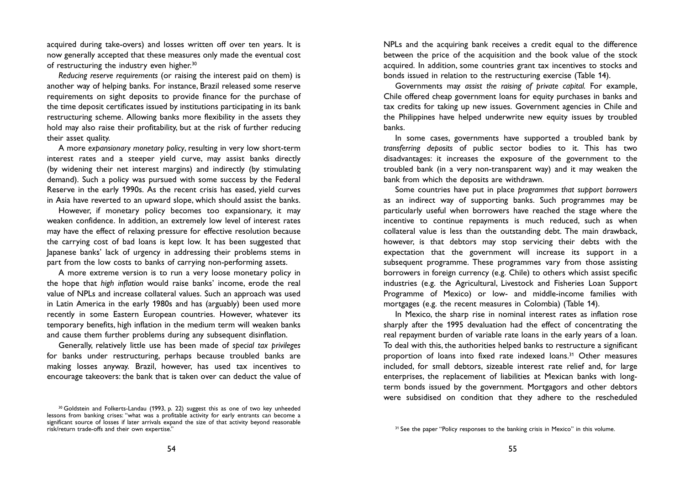acquired during take-overs) and losses written off over ten years. It is now generally accepted that these measures only made the eventual cost of restructuring the industry even higher.<sup>30</sup>

*Reducing reserve requirements* (or raising the interest paid on them) is another way of helping banks. For instance, Brazil released some reserve requirements on sight deposits to provide finance for the purchase of the time deposit certificates issued by institutions participating in its bank restructuring scheme. Allowing banks more flexibility in the assets they hold may also raise their profitability, but at the risk of further reducing their asset quality.

A more *expansionary monetary policy*, resulting in very low short-term interest rates and a steeper yield curve, may assist banks directly (by widening their net interest margins) and indirectly (by stimulating demand). Such a policy was pursued with some success by the Federal Reserve in the early 1990s. As the recent crisis has eased, yield curves in Asia have reverted to an upward slope, which should assist the banks.

However, if monetary policy becomes too expansionary, it may weaken confidence. In addition, an extremely low level of interest rates may have the effect of relaxing pressure for effective resolution because the carrying cost of bad loans is kept low. It has been suggested that Japanese banks' lack of urgency in addressing their problems stems in part from the low costs to banks of carrying non-performing assets.

A more extreme version is to run a very loose monetary policy in the hope that *high inflation* would raise banks' income, erode the real value of NPLs and increase collateral values. Such an approach was used in Latin America in the early 1980s and has (arguably) been used more recently in some Eastern European countries. However, whatever its temporary benefits, high inflation in the medium term will weaken banks and cause them further problems during any subsequent disinflation.

Generally, relatively little use has been made of *special tax privileges* for banks under restructuring, perhaps because troubled banks are making losses anyway. Brazil, however, has used tax incentives to encourage takeovers: the bank that is taken over can deduct the value of

NPLs and the acquiring bank receives a credit equal to the difference between the price of the acquisition and the book value of the stock acquired. In addition, some countries grant tax incentives to stocks and bonds issued in relation to the restructuring exercise (Table 14).

Governments may *assist the raising of private capital.* For example, Chile offered cheap government loans for equity purchases in banks and tax credits for taking up new issues. Government agencies in Chile and the Philippines have helped underwrite new equity issues by troubled banks.

In some cases, governments have supported a troubled bank by *transferring deposits* of public sector bodies to it. This has two disadvantages: it increases the exposure of the government to the troubled bank (in a very non-transparent way) and it may weaken the bank from which the deposits are withdrawn.

Some countries have put in place *programmes that support borrowers* as an indirect way of supporting banks. Such programmes may be particularly useful when borrowers have reached the stage where the incentive to continue repayments is much reduced, such as when collateral value is less than the outstanding debt. The main drawback, however, is that debtors may stop servicing their debts with the expectation that the government will increase its support in a subsequent programme. These programmes vary from those assisting borrowers in foreign currency (e.g. Chile) to others which assist specific industries (e.g. the Agricultural, Livestock and Fisheries Loan Support Programme of Mexico) or low- and middle-income families with mortgages (e.g. the recent measures in Colombia) (Table 14).

In Mexico, the sharp rise in nominal interest rates as inflation rose sharply after the 1995 devaluation had the effect of concentrating the real repayment burden of variable rate loans in the early years of a loan. To deal with this, the authorities helped banks to restructure a significant proportion of loans into fixed rate indexed loans.<sup>31</sup> Other measures included, for small debtors, sizeable interest rate relief and, for large enterprises, the replacement of liabilities at Mexican banks with longterm bonds issued by the government. Mortgagors and other debtors were subsidised on condition that they adhere to the rescheduled

 $^{\rm 30}$  Goldstein and Folkerts-Landau (1993, p. 22) suggest this as one of two key unheeded lessons from banking crises: "what was a profitable activity for early entrants can become a significant source of losses if later arrivals expand the size of that activity beyond reasonable risk/return trade-offs and their own expertise."

 $\rm{^{31}}$  See the paper "Policy responses to the banking crisis in Mexico" in this volume.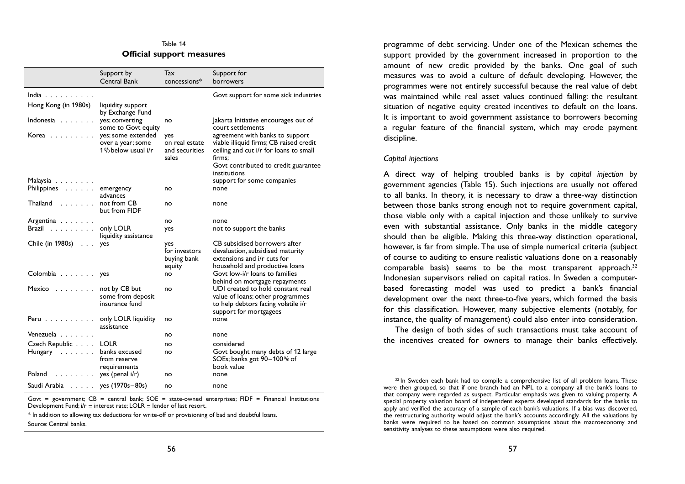# Table 14**Official support measures**

|                                         | Support by<br>Central Bank                                       | Tax<br>concessions*                              | Support for<br>borrowers                                                                                                                                                               |
|-----------------------------------------|------------------------------------------------------------------|--------------------------------------------------|----------------------------------------------------------------------------------------------------------------------------------------------------------------------------------------|
| India $\ldots$                          |                                                                  |                                                  | Govt support for some sick industries                                                                                                                                                  |
| Hong Kong (in 1980s)                    | liquidity support<br>by Exchange Fund                            |                                                  |                                                                                                                                                                                        |
| Indonesia $\ldots$                      | yes; converting<br>some to Govt equity                           | no                                               | Jakarta Initiative encourages out of<br>court settlements                                                                                                                              |
| Korea                                   | yes; some extended<br>over a year; some<br>$1\%$ below usual i/r | yes<br>on real estate<br>and securities<br>sales | agreement with banks to support<br>viable illiquid firms; CB raised credit<br>ceiling and cut i/r for loans to small<br>firms:<br>Govt contributed to credit guarantee<br>institutions |
| Malaysia                                |                                                                  |                                                  | support for some companies                                                                                                                                                             |
| Philippines                             | emergency<br>advances                                            | no                                               | none                                                                                                                                                                                   |
| Thailand                                | not from CB<br>but from FIDF                                     | no                                               | none                                                                                                                                                                                   |
| Argentina<br>Brazil $\ldots$            | only LOLR<br>liquidity assistance                                | no<br>yes                                        | none<br>not to support the banks                                                                                                                                                       |
| Chile (in 1980s)                        | yes                                                              | yes<br>for investors<br>buying bank<br>equity    | CB subsidised borrowers after<br>devaluation, subsidised maturity<br>extensions and i/r cuts for<br>household and productive loans                                                     |
| Colombia                                | yes                                                              | no                                               | Govt low-i/r loans to families<br>behind on mortgage repayments                                                                                                                        |
| Mexico                                  | not by CB but<br>some from deposit<br>insurance fund             | no                                               | UDI created to hold constant real<br>value of loans; other programmes<br>to help debtors facing volatile i/r<br>support for mortgagees                                                 |
| Peru                                    | only LOLR liquidity<br>assistance                                | no                                               | none                                                                                                                                                                                   |
| Venezuela $\dots$ , $\dots$             |                                                                  | no                                               | none                                                                                                                                                                                   |
| Czech Republic<br>Hungary $\dots \dots$ | LOLR<br>banks excused<br>from reserve<br>requirements            | no<br>no                                         | considered<br>Govt bought many debts of 12 large<br>SOEs; banks got $90-100\%$ of<br>book value                                                                                        |
| Poland<br>.                             | yes (penal i/r)                                                  | no                                               | none                                                                                                                                                                                   |
| Saudi Arabia                            | yes (1970s-80s)                                                  | no                                               | none                                                                                                                                                                                   |

Govt = government; CB = central bank; SOE = state-owned enterprises; FIDF = Financial Institutions Development Fund;  $i/r =$  interest rate; LOLR = lender of last resort.

\* In addition to allowing tax deductions for write-off or provisioning of bad and doubtful loans. Source: Central banks.

programme of debt servicing. Under one of the Mexican schemes the support provided by the government increased in proportion to the amount of new credit provided by the banks. One goal of such measures was to avoid a culture of default developing. However, the programmes were not entirely successful because the real value of debt was maintained while real asset values continued falling: the resultant situation of negative equity created incentives to default on the loans. It is important to avoid government assistance to borrowers becoming a regular feature of the financial system, which may erode payment discipline.

### *Capital injections*

A direct way of helping troubled banks is by *capital injection* by government agencies (Table 15). Such injections are usually not offered to all banks. In theory, it is necessary to draw a three-way distinction between those banks strong enough not to require government capital, those viable only with a capital injection and those unlikely to survive even with substantial assistance. Only banks in the middle category should then be eligible. Making this three-way distinction operational, however, is far from simple. The use of simple numerical criteria (subject of course to auditing to ensure realistic valuations done on a reasonably comparable basis) seems to be the most transparent approach.<sup>32</sup> Indonesian supervisors relied on capital ratios. In Sweden a computerbased forecasting model was used to predict a bank's financial development over the next three-to-five years, which formed the basis for this classification. However, many subjective elements (notably, for instance, the quality of management) could also enter into consideration.

The design of both sides of such transactions must take account of the incentives created for owners to manage their banks effectively.

 $^{\text{32}}$  In Sweden each bank had to compile a comprehensive list of all problem loans. These were then grouped, so that if one branch had an NPL to a company all the bank's loans to that company were regarded as suspect. Particular emphasis was given to valuing property. A special property valuation board of independent experts developed standards for the banks to apply and verified the accuracy of a sample of each bank's valuations. If a bias was discovered, the restructuring authority would adjust the bank's accounts accordingly. All the valuations by banks were required to be based on common assumptions about the macroeconomy and sensitivity analyses to these assumptions were also required.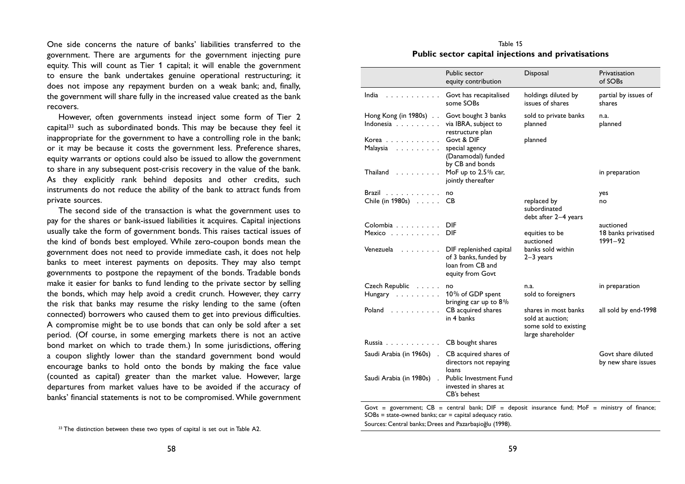One side concerns the nature of banks' liabilities transferred to thegovernment. There are arguments for the government injecting pure equity. This will count as Tier 1 capital; it will enable the government to ensure the bank undertakes genuine operational restructuring; it does not impose any repayment burden on a weak bank; and, finally, the government will share fully in the increased value created as the bank recovers.

However, often governments instead inject some form of Tier 2 capital<sup>33</sup> such as subordinated bonds. This may be because they feel it inappropriate for the government to have a controlling role in the bank; or it may be because it costs the government less. Preference shares, equity warrants or options could also be issued to allow the government to share in any subsequent post-crisis recovery in the value of the bank. As they explicitly rank behind deposits and other credits, such instruments do not reduce the ability of the bank to attract funds from private sources.

The second side of the transaction is what the government uses to pay for the shares or bank-issued liabilities it acquires. Capital injections usually take the form of government bonds. This raises tactical issues of the kind of bonds best employed. While zero-coupon bonds mean the government does not need to provide immediate cash, it does not help banks to meet interest payments on deposits. They may also tempt governments to postpone the repayment of the bonds. Tradable bonds make it easier for banks to fund lending to the private sector by selling the bonds, which may help avoid a credit crunch. However, they carry the risk that banks may resume the risky lending to the same (often connected) borrowers who caused them to get into previous difficulties. A compromise might be to use bonds that can only be sold after a set period. (Of course, in some emerging markets there is not an active bond market on which to trade them.) In some jurisdictions, offering a coupon slightly lower than the standard government bond would encourage banks to hold onto the bonds by making the face value (counted as capital) greater than the market value. However, large departures from market values have to be avoided if the accuracy of banks' financial statements is not to be compromised. While government

Table 15**Public sector capital injections and privatisations**

|                                                                 | Public sector<br>equity contribution                                                                                                     | Disposal                                                                               | Privatisation<br>of SOBs                        |
|-----------------------------------------------------------------|------------------------------------------------------------------------------------------------------------------------------------------|----------------------------------------------------------------------------------------|-------------------------------------------------|
| India<br>.                                                      | Govt has recapitalised<br>some SOBs                                                                                                      | holdings diluted by<br>issues of shares                                                | partial by issues of<br>shares                  |
| Hong Kong (in 1980s) $\ldots$<br>Indonesia<br>Korea<br>Malaysia | Govt bought 3 banks<br>via IBRA, subject to<br>restructure plan<br>Govt & DIF<br>special agency<br>(Danamodal) funded<br>by CB and bonds | sold to private banks<br>planned<br>planned                                            | n.a.<br>planned                                 |
| Thailand                                                        | MoF up to $2.5\%$ car,<br>jointly thereafter                                                                                             |                                                                                        | in preparation                                  |
| Brazil<br>Chile (in 1980s)                                      | no<br>СB                                                                                                                                 | replaced by<br>subordinated<br>debt after 2-4 years                                    | yes<br>no                                       |
| Colombia<br>Mexico                                              | DIF<br>DIF                                                                                                                               | equities to be<br>auctioned                                                            | auctioned<br>18 banks privatised<br>$1991 - 92$ |
| Venezuela                                                       | DIF replenished capital<br>of 3 banks, funded by<br>loan from CB and<br>equity from Govt                                                 | banks sold within<br>$2-3$ years                                                       |                                                 |
| Czech Republic $\dots$ .<br>Hungary                             | no<br>10% of GDP spent<br>bringing car up to 8%                                                                                          | n.a.<br>sold to foreigners                                                             | in preparation                                  |
| Poland                                                          | CB acquired shares<br>in 4 banks                                                                                                         | shares in most banks<br>sold at auction:<br>some sold to existing<br>large shareholder | all sold by end-1998                            |
| Russia                                                          | CB bought shares                                                                                                                         |                                                                                        |                                                 |
| Saudi Arabia (in 1960s)                                         | CB acquired shares of<br>directors not repaying<br>loans                                                                                 |                                                                                        | Govt share diluted<br>by new share issues       |
| Saudi Arabia (in 1980s)                                         | <b>Public Investment Fund</b><br>invested in shares at<br>CB's behest                                                                    |                                                                                        |                                                 |

Govt = government; CB = central bank; DIF = deposit insurance fund; MoF = ministry of finance; SOBs = state-owned banks; car = capital adequacy ratio.

Sources: Central banks; Drees and Pazarbaşioğlu (1998).

 $^{\rm 33}$  The distinction between these two types of capital is set out in Table A2.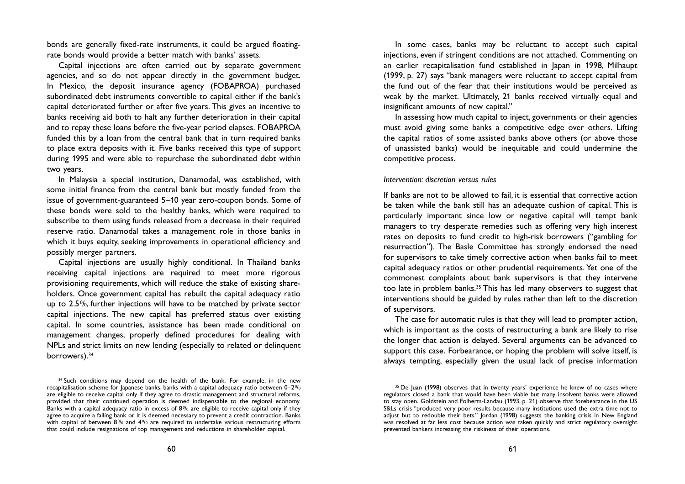bonds are generally fixed-rate instruments, it could be argued floatingrate bonds would provide a better match with banks' assets.

Capital injections are often carried out by separate government agencies, and so do not appear directly in the government budget. In Mexico, the deposit insurance agency (FOBAPROA) purchased subordinated debt instruments convertible to capital either if the bank's capital deteriorated further or after five years. This gives an incentive to banks receiving aid both to halt any further deterioration in their capital and to repay these loans before the five-year period elapses. FOBAPROA funded this by a loan from the central bank that in turn required banks to place extra deposits with it. Five banks received this type of support during 1995 and were able to repurchase the subordinated debt within two years.

In Malaysia a special institution, Danamodal, was established, with some initial finance from the central bank but mostly funded from the issue of government-guaranteed 5 –10 year zero-coupon bonds. Some of these bonds were sold to the healthy banks, which were required to subscribe to them using funds released from a decrease in their required reserve ratio. Danamodal takes a management role in those banks in which it buys equity, seeking improvements in operational efficiency and possibly merger partners.

Capital injections are usually highly conditional. In Thailand banks receiving capital injections are required to meet more rigorous provisioning requirements, which will reduce the stake of existing shareholders. Once government capital has rebuilt the capital adequacy ratio up to 2.5%, further injections will have to be matched by private sector capital injections. The new capital has preferred status over existing capital. In some countries, assistance has been made conditional on management changes, properly defined procedures for dealing with NPLs and strict limits on new lending (especially to related or delinquent borrowers).34

In some cases, banks may be reluctant to accept such capital injections, even if stringent conditions are not attached. Commenting on an earlier recapitalisation fund established in Japan in 1998, Milhaupt (1999, p. 27) says "bank managers were reluctant to accept capital from the fund out of the fear that their institutions would be perceived as weak by the market. Ultimately, 21 banks received virtually equal and insignificant amounts of new capital."

In assessing how much capital to inject, governments or their agencies must avoid giving some banks a competitive edge over others. Lifting the capital ratios of some assisted banks above others (or above those of unassisted banks) would be inequitable and could undermine the competitive process.

#### *Intervention: discretion versus rules*

If banks are not to be allowed to fail, it is essential that corrective action be taken while the bank still has an adequate cushion of capital. This is particularly important since low or negative capital will tempt bank managers to try desperate remedies such as offering very high interest rates on deposits to fund credit to high-risk borrowers ("gambling for resurrection"). The Basle Committee has strongly endorsed the need for supervisors to take timely corrective action when banks fail to meet capital adequacy ratios or other prudential requirements. Yet one of the commonest complaints about bank supervisors is that they intervene too late in problem banks.35 This has led many observers to suggest that interventions should be guided by rules rather than left to the discretion of supervisors.

The case for automatic rules is that they will lead to prompter action, which is important as the costs of restructuring a bank are likely to rise the longer that action is delayed. Several arguments can be advanced to support this case. Forbearance, or hoping the problem will solve itself, is always tempting, especially given the usual lack of precise information

<sup>34</sup> Such conditions may depend on the health of the bank. For example, in the new recapitalisation scheme for Japanese banks, banks with a capital adequacy ratio between 0–2 $\%$ are eligible to receive capital only if they agree to drastic management and structural reforms, provided that their continued operation is deemed indispensable to the regional economy. Banks with a capital adequacy ratio in excess of 8% are eligible to receive capital only if they agree to acquire a failing bank or it is deemed necessary to prevent a credit contraction. Banks with capital of between  $8\%$  and  $4\%$  are required to undertake various restructuring efforts that could include resignations of top management and reductions in shareholder capital.

 $^\text{35}$  De Juan (1998) observes that in twenty years' experience he knew of no cases where regulators closed a bank that would have been viable but many insolvent banks were allowed to stay open. Goldstein and Folherts-Landau (1993, p. 21) observe that forebearance in the US S&Ls crisis "produced very poor results because many institutions used the extra time not to adjust but to redouble their bets." Jordan (1998) suggests the banking crisis in New England was resolved at far less cost because action was taken quickly and strict regulatory oversight prevented bankers increasing the riskiness of their operations.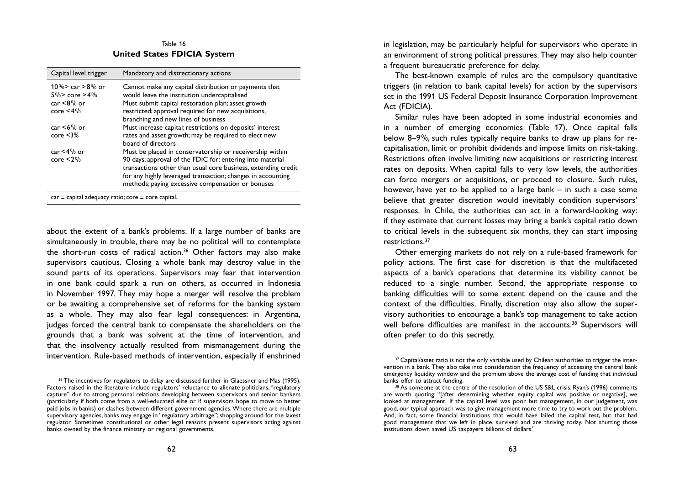Table 16**United States FDICIA System**

| Capital level trigger                                                       | Mandatory and distrectionary actions                                                                                                                                                                                                                                                                       |
|-----------------------------------------------------------------------------|------------------------------------------------------------------------------------------------------------------------------------------------------------------------------------------------------------------------------------------------------------------------------------------------------------|
| 10%> car $>8\%$ or<br>$5\%$ core $>4\%$<br>car $\leq 8\%$ or<br>core $<$ 4% | Cannot make any capital distribution or payments that<br>would leave the institution undercapitalised<br>Must submit capital restoration plan; asset growth<br>restricted; approval required for new acquisitions,                                                                                         |
| $car \leq 6\%$ or<br>$core < 3\%$                                           | branching and new lines of business<br>Must increase capital; restrictions on deposits' interest<br>rates and asset growth; may be required to elect new<br>board of directors                                                                                                                             |
| $car < 4\%$ or<br>$core < 2\%$                                              | Must be placed in conservatorship or receivership within<br>90 days; approval of the FDIC for: entering into material<br>transactions other than usual core business, extending credit<br>for any highly leveraged transaction; changes in accounting<br>methods; paying excessive compensation or bonuses |

car = capital adequacy ratio; core = core capital.

about the extent of a bank's problems. If a large number of banks are simultaneously in trouble, there may be no political will to contemplate the short-run costs of radical action.36 Other factors may also make supervisors cautious. Closing a whole bank may destroy value in the sound parts of its operations. Supervisors may fear that intervention in one bank could spark a run on others, as occurred in Indonesia in November 1997. They may hope a merger will resolve the problem or be awaiting a comprehensive set of reforms for the banking system as a whole. They may also fear legal consequences: in Argentina, judges forced the central bank to compensate the shareholders on the grounds that a bank was solvent at the time of intervention, and that the insolvency actually resulted from mismanagement during the intervention. Rule-based methods of intervention, especially if enshrined in legislation, may be particularly helpful for supervisors who operate in an environment of strong political pressures. They may also help counter a frequent bureaucratic preference for delay.

The best-known example of rules are the compulsory quantitative triggers (in relation to bank capital levels) for action by the supervisors set in the 1991 US Federal Deposit Insurance Corporation Improvement Act (FDICIA).

Similar rules have been adopted in some industrial economies and in a number of emerging economies (Table 17). Once capital falls below 8 –90 /0, such rules typically require banks to draw up plans for recapitalisation, limit or prohibit dividends and impose limits on risk-taking. Restrictions often involve limiting new acquisitions or restricting interest rates on deposits. When capital falls to very low levels, the authorities can force mergers or acquisitions, or proceed to closure. Such rules, however, have yet to be applied to a large bank – in such a case some believe that greater discretion would inevitably condition supervisors' responses. In Chile, the authorities can act in a forward-looking way: if they estimate that current losses may bring a bank's capital ratio down to critical levels in the subsequent six months, they can start imposing restrictions<sup>37</sup>

Other emerging markets do not rely on a rule-based framework for policy actions. The first case for discretion is that the multifaceted aspects of a bank's operations that determine its viability cannot be reduced to a single number. Second, the appropriate response to banking difficulties will to some extent depend on the cause and the context of the difficulties. Finally, discretion may also allow the supervisory authorities to encourage a bank's top management to take action well before difficulties are manifest in the accounts.<sup>38</sup> Supervisors will often prefer to do this secretly.

 $\rm{^{36}}$  The incentives for regulators to delay are discussed further in Glaessner and Mas (1995). Factors raised in the literature include regulators' reluctance to alienate politicians, "regulatory capture" due to strong personal relations developing between supervisors and senior bankers (particularly if both come from a well-educated elite or if supervisors hope to move to better paid jobs in banks) or clashes between different government agencies. Where there are multiple supervisory agencies, banks may engage in "regulatory arbitrage"; shopping around for the laxest regulator. Sometimes constitutional or other legal reasons present supervisors acting against banks owned by the finance ministry or regional governments.

 $\rm ^{37}$  Capital/asset ratio is not the only variable used by Chilean authorities to trigger the intervention in a bank. They also take into consideration the frequency of accessing the central bank emergency liquidity window and the premium above the average cost of funding that individual banks offer to attract funding.

 $^\mathrm{38}$  As someone at the centre of the resolution of the US S&L crisis, Ryan's (1996) comments are worth quoting: "[after determining whether equity capital was positive or negative], we looked at management. If the capital level was poor but management, in our judgement, was good, our typical approach was to give management more time to try to work out the problem. And, in fact, some financial institutions that would have failed the capital test, but that had good management that we left in place, survived and are thriving today. Not shutting those institutions down saved US taxpayers billions of dollars."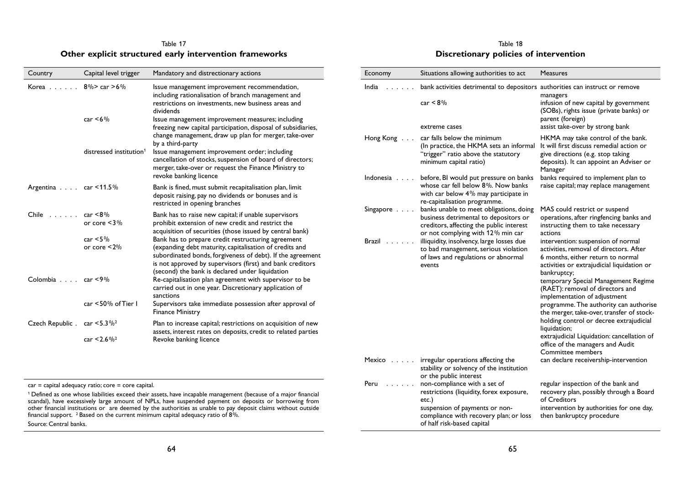# Table 17**Other explicit structured early intervention frameworks**

| Country                                | Capital level trigger                                 | Mandatory and distrectionary actions                                                                                                                                                                                                                                                                                                                                                                              |
|----------------------------------------|-------------------------------------------------------|-------------------------------------------------------------------------------------------------------------------------------------------------------------------------------------------------------------------------------------------------------------------------------------------------------------------------------------------------------------------------------------------------------------------|
| Korea 8% car > 6%                      |                                                       | Issue management improvement recommendation,<br>including rationalisation of branch management and<br>restrictions on investments, new business areas and<br>dividends                                                                                                                                                                                                                                            |
|                                        | car $\leq 6\%$                                        | Issue management improvement measures; including<br>freezing new capital participation, disposal of subsidiaries,<br>change management, draw up plan for merger, take-over<br>by a third-party                                                                                                                                                                                                                    |
|                                        | distressed institution <sup>1</sup>                   | Issue management improvement order; including<br>cancellation of stocks, suspension of board of directors;<br>merger, take-over or request the Finance Ministry to<br>revoke banking licence                                                                                                                                                                                                                      |
| Argentina $\ldots$ car < 11.5%         |                                                       | Bank is fined, must submit recapitalisation plan, limit<br>deposit raising, pay no dividends or bonuses and is<br>restricted in opening branches                                                                                                                                                                                                                                                                  |
| Chile $\ldots$ $\ldots$ car $\leq 8\%$ | or core $<$ 3%<br>car $\leq$ 5%<br>or core $\leq 2\%$ | Bank has to raise new capital; if unable supervisors<br>prohibit extension of new credit and restrict the<br>acquisition of securities (those issued by central bank)<br>Bank has to prepare credit restructuring agreement<br>(expanding debt maturity, capitalisation of credits and<br>subordinated bonds, forgiveness of debt). If the agreement<br>is not approved by supervisors (first) and bank creditors |
| Colombia car <9%                       | $car < 50\%$ of Tier I                                | (second) the bank is declared under liquidation<br>Re-capitalisation plan agreement with supervisor to be<br>carried out in one year. Discretionary application of<br>sanctions<br>Supervisors take immediate possession after approval of                                                                                                                                                                        |
| Czech Republic . car $\leq 5.3\%^2$    | car $\leq 2.6\%$ <sup>2</sup>                         | <b>Finance Ministry</b><br>Plan to increase capital; restrictions on acquisition of new<br>assets, interest rates on deposits, credit to related parties<br>Revoke banking licence                                                                                                                                                                                                                                |

car = capital adequacy ratio; core = core capital.

1 Defined as one whose liabilities exceed their assets, have incapable management (because of a major financial scandal), have excessively large amount of NPLs, have suspended payment on deposits or borrowing from other financial institutions or are deemed by the authorities as unable to pay deposit claims without outside financial support.  $^{\text{2}}$  Based on the current minimum capital adequacy ratio of 8%.

Source: Central banks.

# Table 18**Discretionary policies of intervention**

| Situations allowing authorities to act<br>Economy |                                                                                                                                                                                             | Measures                                                                                                                                                                                                                                                                                                                                                                                                                                                                                                                                            |  |
|---------------------------------------------------|---------------------------------------------------------------------------------------------------------------------------------------------------------------------------------------------|-----------------------------------------------------------------------------------------------------------------------------------------------------------------------------------------------------------------------------------------------------------------------------------------------------------------------------------------------------------------------------------------------------------------------------------------------------------------------------------------------------------------------------------------------------|--|
| India<br>.                                        | bank activities detrimental to depositors authorities can instruct or remove<br>car $< 8\%$                                                                                                 | managers<br>infusion of new capital by government<br>(SOBs), rights issue (private banks) or<br>parent (foreign)                                                                                                                                                                                                                                                                                                                                                                                                                                    |  |
|                                                   | extreme cases                                                                                                                                                                               | assist take-over by strong bank                                                                                                                                                                                                                                                                                                                                                                                                                                                                                                                     |  |
| Hong Kong                                         | car falls below the minimum<br>(In practice, the HKMA sets an informal<br>"trigger" ratio above the statutory<br>minimum capital ratio)                                                     | HKMA may take control of the bank.<br>It will first discuss remedial action or<br>give directions (e.g. stop taking<br>deposits). It can appoint an Adviser or<br>Manager                                                                                                                                                                                                                                                                                                                                                                           |  |
| Indonesia                                         | before, BI would put pressure on banks<br>whose car fell below 8%. Now banks<br>with car below 4% may participate in<br>re-capitalisation programme.                                        | banks required to implement plan to<br>raise capital; may replace management                                                                                                                                                                                                                                                                                                                                                                                                                                                                        |  |
| Singapore $\ldots$ .                              | banks unable to meet obligations, doing<br>business detrimental to depositors or<br>creditors, affecting the public interest<br>or not complying with 12% min car                           | MAS could restrict or suspend<br>operations, after ringfencing banks and<br>instructing them to take necessary<br>actions                                                                                                                                                                                                                                                                                                                                                                                                                           |  |
| $Brazil \dots \dots$                              | illiquidity, insolvency, large losses due<br>to bad management, serious violation<br>of laws and regulations or abnormal<br>events                                                          | intervention: suspension of normal<br>activities, removal of directors. After<br>6 months, either return to normal<br>activities or extrajudicial liquidation or<br>bankruptcy;<br>temporary Special Management Regime<br>(RAET): removal of directors and<br>implementation of adjustment<br>programme. The authority can authorise<br>the merger, take-over, transfer of stock-<br>holding control or decree extrajudicial<br>liquidation;<br>extrajudicial Liquidation: cancellation of<br>office of the managers and Audit<br>Committee members |  |
| Mexico                                            | irregular operations affecting the<br>stability or solvency of the institution<br>or the public interest                                                                                    | can declare receivership-intervention                                                                                                                                                                                                                                                                                                                                                                                                                                                                                                               |  |
| Peru                                              | non-compliance with a set of<br>restrictions (liquidity, forex exposure,<br>etc.)<br>suspension of payments or non-<br>compliance with recovery plan; or loss<br>of half risk-based capital | regular inspection of the bank and<br>recovery plan, possibly through a Board<br>of Creditors<br>intervention by authorities for one day,<br>then bankruptcy procedure                                                                                                                                                                                                                                                                                                                                                                              |  |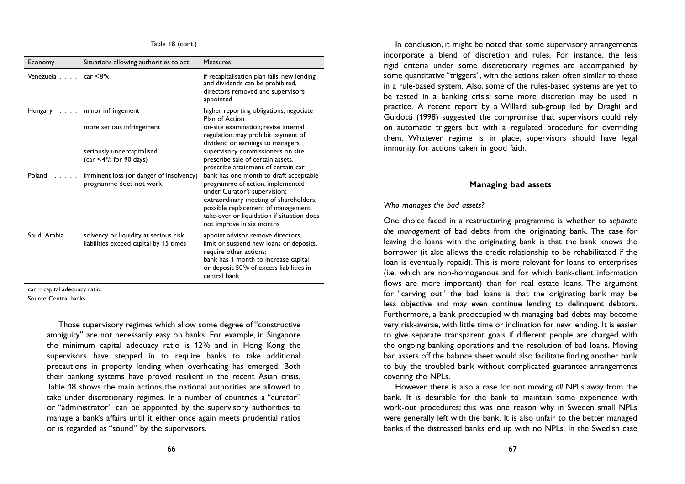#### Table 18 (cont.)

| Economy                           | Situations allowing authorities to act                                          | Measures                                                                                                                                                                                                                                                               |  |  |  |
|-----------------------------------|---------------------------------------------------------------------------------|------------------------------------------------------------------------------------------------------------------------------------------------------------------------------------------------------------------------------------------------------------------------|--|--|--|
| Venezuela $\ldots$ car $\leq 8\%$ |                                                                                 | if recapitalisation plan fails, new lending<br>and dividends can be prohibited,<br>directors removed and supervisors<br>appointed                                                                                                                                      |  |  |  |
|                                   | Hungary minor infringement                                                      | higher reporting obligations; negotiate<br>Plan of Action                                                                                                                                                                                                              |  |  |  |
|                                   | more serious infringement                                                       | on-site examination; revise internal<br>regulation; may prohibit payment of<br>dividend or earnings to managers                                                                                                                                                        |  |  |  |
|                                   | seriously undercapitalised                                                      | supervisory commissioners on site.                                                                                                                                                                                                                                     |  |  |  |
|                                   | (car $\leq 4\%$ for 90 days)                                                    | prescribe sale of certain assets.<br>proscribe attainment of certain car                                                                                                                                                                                               |  |  |  |
| Poland                            | imminent loss (or danger of insolvency)<br>programme does not work              | bank has one month to draft acceptable<br>programme of action, implemented<br>under Curator's supervision;<br>extraordinary meeting of shareholders,<br>possible replacement of management,<br>take-over or liquidation if situation does<br>not improve in six months |  |  |  |
| Saudi Arabia                      | solvency or liquidity at serious risk<br>liabilities exceed capital by 15 times | appoint advisor, remove directors,<br>limit or suspend new loans or deposits,<br>require other actions;<br>bank has 1 month to increase capital<br>or deposit 50% of excess liabilities in<br>central bank                                                             |  |  |  |
| $car = capital$ adequacy ratio.   |                                                                                 |                                                                                                                                                                                                                                                                        |  |  |  |
|                                   | Source: Central banks.                                                          |                                                                                                                                                                                                                                                                        |  |  |  |

Those supervisory regimes which allow some degree of "constructive ambiguity" are not necessarily easy on banks. For example, in Singapore the minimum capital adequacy ratio is 120 /0 and in Hong Kong the supervisors have stepped in to require banks to take additional precautions in property lending when overheating has emerged. Both their banking systems have proved resilient in the recent Asian crisis. Table 18 shows the main actions the national authorities are allowed totake under discretionary regimes. In a number of countries, <sup>a</sup>"curator" or "administrator" can be appointed by the supervisory authorities to manage a bank's affairs until it either once again meets prudential ratios or is regarded as "sound" by the supervisors.

In conclusion, it might be noted that some supervisory arrangements incorporate a blend of discretion and rules. For instance, the less rigid criteria under some discretionary regimes are accompanied by some quantitative "triggers", with the actions taken often similar to those in a rule-based system. Also, some of the rules-based systems are yet to be tested in a banking crisis: some more discretion may be used in practice. A recent report by a Willard sub-group led by Draghi and Guidotti (1998) suggested the compromise that supervisors could rely on automatic triggers but with a regulated procedure for overriding them. Whatever regime is in place, supervisors should have legal immunity for actions taken in good faith.

### **Managing bad assets**

### *Who manages the bad assets?*

One choice faced in a restructuring programme is whether to s*eparate the management* of bad debts from the originating bank. The case for leaving the loans with the originating bank is that the bank knows the borrower (it also allows the credit relationship to be rehabilitated if the loan is eventually repaid). This is more relevant for loans to enterprises (i.e. which are non-homogenous and for which bank-client information flows are more important) than for real estate loans. The argument for "carving out" the bad loans is that the originating bank may be less objective and may even continue lending to delinquent debtors. Furthermore, a bank preoccupied with managing bad debts may become very risk-averse, with little time or inclination for new lending. It is easier to give separate transparent goals if different people are charged with the ongoing banking operations and the resolution of bad loans. Moving bad assets off the balance sheet would also facilitate finding another bank to buy the troubled bank without complicated guarantee arrangements covering the NPLs.

However, there is also a case for not moving *all* NPLs away from the bank. It is desirable for the bank to maintain some experience with work-out procedures; this was one reason why in Sweden small NPLs were generally left with the bank. It is also unfair to the better managed banks if the distressed banks end up with no NPLs. In the Swedish case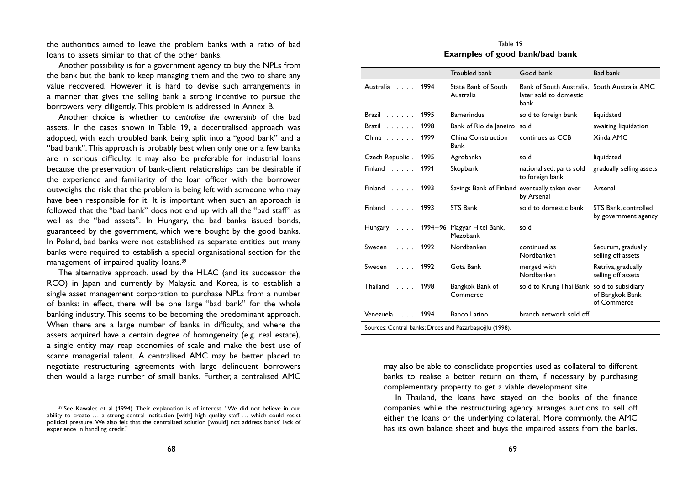the authorities aimed to leave the problem banks with a ratio of bad loans to assets similar to that of the other banks.

Another possibility is for a government agency to buy the NPLs from the bank but the bank to keep managing them and the two to share any value recovered. However it is hard to devise such arrangements in a manner that gives the selling bank a strong incentive to pursue the borrowers very diligently. This problem is addressed in Annex B.

Another choice is whether to *centralise the ownership* of the bad assets. In the cases shown in Table 19, a decentralised approach was adopted, with each troubled bank being split into a "good bank" and a "bad bank". This approach is probably best when only one or a few banks are in serious difficulty. It may also be preferable for industrial loans because the preservation of bank-client relationships can be desirable if the experience and familiarity of the loan officer with the borrower outweighs the risk that the problem is being left with someone who may have been responsible for it. It is important when such an approach is followed that the "bad bank" does not end up with all the "bad staff" as well as the "bad assets". In Hungary, the bad banks issued bonds, guaranteed by the government, which were bought by the good banks. In Poland, bad banks were not established as separate entities but many banks were required to establish a special organisational section for the management of impaired quality loans.<sup>39</sup>

The alternative approach, used by the HLAC (and its successor the RCO) in Japan and currently by Malaysia and Korea, is to establish a single asset management corporation to purchase NPLs from a number of banks: in effect, there will be one large "bad bank" for the whole banking industry. This seems to be becoming the predominant approach. When there are a large number of banks in difficulty, and where the assets acquired have a certain degree of homogeneity (e.g. real estate), a single entity may reap economies of scale and make the best use of scarce managerial talent. A centralised AMC may be better placed to negotiate restructuring agreements with large delinquent borrowers then would a large number of small banks. Further, a centralised AMC

## Table 19**Examples of good bank/bad bank**

|                                                                            |      | <b>Troubled bank</b>                            | Good bank                                                                      | Bad bank                                     |  |
|----------------------------------------------------------------------------|------|-------------------------------------------------|--------------------------------------------------------------------------------|----------------------------------------------|--|
| Australia 1994                                                             |      | State Bank of South<br>Australia                | Bank of South Australia, South Australia AMC<br>later sold to domestic<br>bank |                                              |  |
| Brazil $\ldots$                                                            | 1995 | <b>Bamerindus</b>                               | sold to foreign bank                                                           | liquidated                                   |  |
| Brazil $\ldots$                                                            | 1998 | Bank of Rio de Janeiro sold                     |                                                                                | awaiting liquidation                         |  |
| $China$ ,,,,,,                                                             | 1999 | China Construction<br>Bank                      | continues as CCB                                                               | Xinda AMC                                    |  |
| Czech Republic.                                                            | 1995 | Agrobanka                                       | sold                                                                           | liquidated                                   |  |
| Finland $\ldots$                                                           | 1991 | Skopbank                                        | nationalised; parts sold<br>to foreign bank                                    | gradually selling assets                     |  |
| Finland 1993                                                               |      | Savings Bank of Finland eventually taken over   | by Arsenal                                                                     | Arsenal                                      |  |
| Finland 1993                                                               |      | STS Bank                                        | sold to domestic bank                                                          | STS Bank, controlled<br>by government agency |  |
|                                                                            |      | Hungary  1994–96 Magyar Hitel Bank,<br>Mezobank | hloz                                                                           |                                              |  |
| Sweden<br>$\ldots$ . 1992                                                  |      | Nordbanken                                      | continued as<br>Nordbanken                                                     | Securum, gradually<br>selling off assets     |  |
| Sweden<br>. 1992                                                           |      | Gota Bank                                       | merged with<br>Nordbanken                                                      | Retriva, gradually<br>selling off assets     |  |
| Thailand 1998                                                              |      | Bangkok Bank of<br>Commerce                     | sold to Krung Thai Bank sold to subsidiary                                     | of Bangkok Bank<br>of Commerce               |  |
|                                                                            |      | Banco Latino                                    | branch network sold off                                                        |                                              |  |
| Venezuela  1994<br>Sources: Central banks; Drees and Pazarbaşioğlu (1998). |      |                                                 |                                                                                |                                              |  |

may also be able to consolidate properties used as collateral to different banks to realise a better return on them, if necessary by purchasing complementary property to get a viable development site.

<sup>&</sup>lt;sup>39</sup> See Kawalec et al (1994). Their explanation is of interest. "We did not believe in our ability to create … a strong central institution [with] high quality staff … which could resist political pressure. We also felt that the centralised solution [would] not address banks' lack of experience in handling credit."

In Thailand, the loans have stayed on the books of the finance companies while the restructuring agency arranges auctions to sell off either the loans or the underlying collateral. More commonly, the AMC has its own balance sheet and buys the impaired assets from the banks.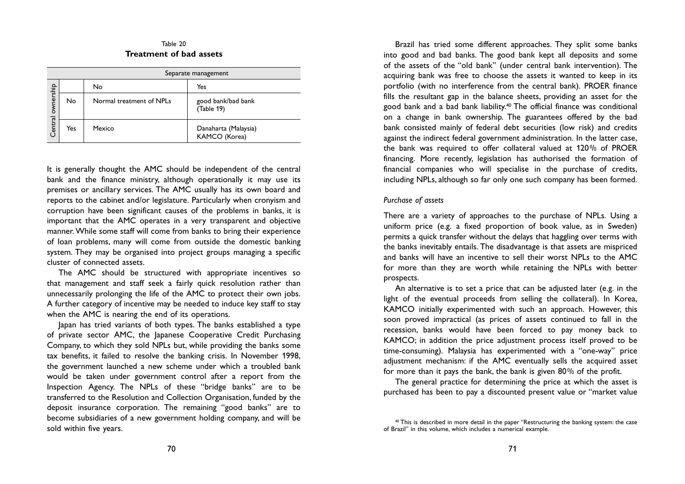# Table 20**Treatment of bad assets**

|                      | Separate management |                          |                                       |  |  |
|----------------------|---------------------|--------------------------|---------------------------------------|--|--|
|                      |                     | No                       | Yes                                   |  |  |
| ownership<br>Central | No                  | Normal treatment of NPLs | good bank/bad bank<br>(Table 19)      |  |  |
|                      | Yes                 | Mexico                   | Danaharta (Malaysia)<br>KAMCO (Korea) |  |  |

It is generally thought the AMC should be independent of the central bank and the finance ministry, although operationally it may use its premises or ancillary services. The AMC usually has its own board and reports to the cabinet and/or legislature. Particularly when cronyism and corruption have been significant causes of the problems in banks, it is important that the AMC operates in a very transparent and objective manner. While some staff will come from banks to bring their experience of loan problems, many will come from outside the domestic banking system. They may be organised into project groups managing a specific cluster of connected assets.

The AMC should be structured with appropriate incentives so that management and staff seek a fairly quick resolution rather than unnecessarily prolonging the life of the AMC to protect their own jobs. A further category of incentive may be needed to induce key staff to stay when the AMC is nearing the end of its operations.

Japan has tried variants of both types. The banks established a type of private sector AMC, the Japanese Cooperative Credit Purchasing Company, to which they sold NPLs but, while providing the banks some tax benefits, it failed to resolve the banking crisis. In November 1998, the government launched a new scheme under which a troubled bank would be taken under government control after a report from the Inspection Agency. The NPLs of these "bridge banks" are to be transferred to the Resolution and Collection Organisation, funded by the deposit insurance corporation. The remaining "good banks" are to become subsidiaries of a new government holding company, and will be sold within five years.

Brazil has tried some different approaches. They split some banks into good and bad banks. The good bank kept all deposits and some of the assets of the "old bank" (under central bank intervention). The acquiring bank was free to choose the assets it wanted to keep in its portfolio (with no interference from the central bank). PROER finance fills the resultant gap in the balance sheets, providing an asset for the good bank and a bad bank liability.40 The official finance was conditional on a change in bank ownership. The guarantees offered by the bad bank consisted mainly of federal debt securities (low risk) and credits against the indirect federal government administration. In the latter case, the bank was required to offer collateral valued at 120% of PROER financing. More recently, legislation has authorised the formation of financial companies who will specialise in the purchase of credits, including NPLs, although so far only one such company has been formed.

# *Purchase of assets*

There are a variety of approaches to the purchase of NPLs. Using a uniform price (e.g. a fixed proportion of book value, as in Sweden) permits a quick transfer without the delays that haggling over terms with the banks inevitably entails. The disadvantage is that assets are mispriced and banks will have an incentive to sell their worst NPLs to the AMC for more than they are worth while retaining the NPLs with better prospects.

An alternative is to set a price that can be adjusted later (e.g. in the light of the eventual proceeds from selling the collateral). In Korea, KAMCO initially experimented with such an approach. However, this soon proved impractical (as prices of assets continued to fall in the recession, banks would have been forced to pay money back to KAMCO; in addition the price adjustment process itself proved to be time-consuming). Malaysia has experimented with a "one-way" price adjustment mechanism: if the AMC eventually sells the acquired asset for more than it pays the bank, the bank is given  $80\%$  of the profit.

The general practice for determining the price at which the asset is purchased has been to pay a discounted present value or "market value

 $^{\rm 40}$  This is described in more detail in the paper "Restructuring the banking system: the case of Brazil" in this volume, which includes a numerical example.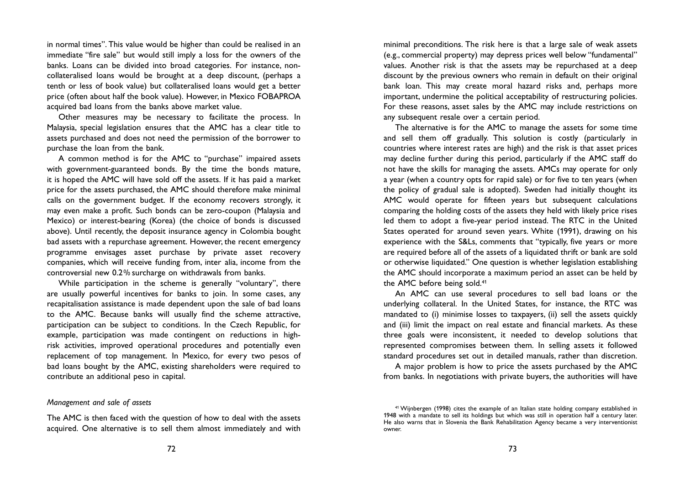in normal times". This value would be higher than could be realised in an immediate "fire sale" but would still imply a loss for the owners of the banks. Loans can be divided into broad categories. For instance, noncollateralised loans would be brought at a deep discount, (perhaps a tenth or less of book value) but collateralised loans would get a better price (often about half the book value). However, in Mexico FOBAPROA acquired bad loans from the banks above market value.

Other measures may be necessary to facilitate the process. In Malaysia, special legislation ensures that the AMC has a clear title to assets purchased and does not need the permission of the borrower to purchase the loan from the bank.

A common method is for the AMC to "purchase" impaired assets with government-guaranteed bonds. By the time the bonds mature, it is hoped the AMC will have sold off the assets. If it has paid a market price for the assets purchased, the AMC should therefore make minimal calls on the government budget. If the economy recovers strongly, it may even make a profit. Such bonds can be zero-coupon (Malaysia and Mexico) or interest-bearing (Korea) (the choice of bonds is discussed above). Until recently, the deposit insurance agency in Colombia bought bad assets with a repurchase agreement. However, the recent emergency programme envisages asset purchase by private asset recovery companies, which will receive funding from, inter alia, income from the controversial new 0.20/0 surcharge on withdrawals from banks.

While participation in the scheme is generally "voluntary", there are usually powerful incentives for banks to join. In some cases, any recapitalisation assistance is made dependent upon the sale of bad loans to the AMC. Because banks will usually find the scheme attractive, participation can be subject to conditions. In the Czech Republic, for example, participation was made contingent on reductions in highrisk activities, improved operational procedures and potentially even replacement of top management. In Mexico, for every two pesos of bad loans bought by the AMC, existing shareholders were required to contribute an additional peso in capital.

## *Management and sale of assets*

The AMC is then faced with the question of how to deal with the assets acquired. One alternative is to sell them almost immediately and with minimal preconditions. The risk here is that a large sale of weak assets (e.g., commercial property) may depress prices well below "fundamental" values. Another risk is that the assets may be repurchased at a deep discount by the previous owners who remain in default on their original bank loan. This may create moral hazard risks and, perhaps more important, undermine the political acceptability of restructuring policies. For these reasons, asset sales by the AMC may include restrictions on any subsequent resale over a certain period.

The alternative is for the AMC to manage the assets for some time and sell them off gradually. This solution is costly (particularly in countries where interest rates are high) and the risk is that asset prices may decline further during this period, particularly if the AMC staff do not have the skills for managing the assets. AMCs may operate for only a year (when a country opts for rapid sale) or for five to ten years (when the policy of gradual sale is adopted). Sweden had initially thought its AMC would operate for fifteen years but subsequent calculations comparing the holding costs of the assets they held with likely price rises led them to adopt a five-year period instead. The RTC in the United States operated for around seven years. White (1991), drawing on his experience with the S&Ls, comments that "typically, five years or more are required before all of the assets of a liquidated thrift or bank are sold or otherwise liquidated." One question is whether legislation establishing the AMC should incorporate a maximum period an asset can be held by the AMC before being sold.<sup>41</sup>

An AMC can use several procedures to sell bad loans or the underlying collateral. In the United States, for instance, the RTC was mandated to (i) minimise losses to taxpayers, (ii) sell the assets quickly and (iii) limit the impact on real estate and financial markets. As these three goals were inconsistent, it needed to develop solutions that represented compromises between them. In selling assets it followed standard procedures set out in detailed manuals, rather than discretion.

A major problem is how to price the assets purchased by the AMC from banks. In negotiations with private buyers, the authorities will have

<sup>41</sup> Wijnbergen (1998) cites the example of an Italian state holding company established in 1948 with a mandate to sell its holdings but which was still in operation half a century later. He also warns that in Slovenia the Bank Rehabilitation Agency became a very interventionist owner.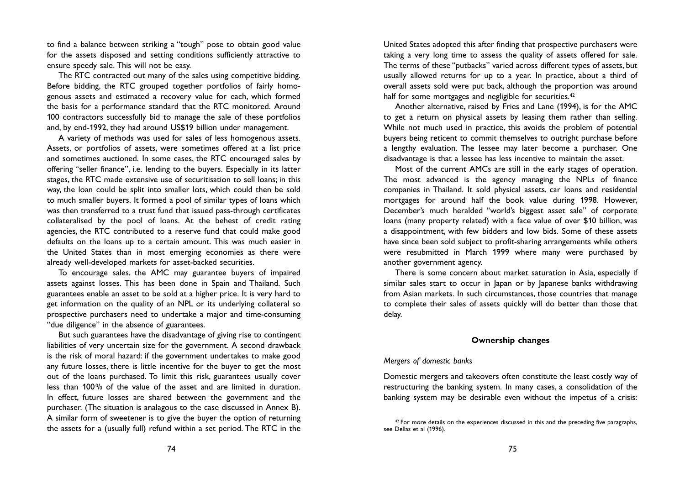to find a balance between striking a "tough" pose to obtain good value for the assets disposed and setting conditions sufficiently attractive to ensure speedy sale. This will not be easy.

The RTC contracted out many of the sales using competitive bidding. Before bidding, the RTC grouped together portfolios of fairly homogenous assets and estimated a recovery value for each, which formed the basis for a performance standard that the RTC monitored. Around 100 contractors successfully bid to manage the sale of these portfolios and, by end-1992, they had around US\$19 billion under management.

A variety of methods was used for sales of less homogenous assets. Assets, or portfolios of assets, were sometimes offered at a list price and sometimes auctioned. In some cases, the RTC encouraged sales by offering "seller finance", i.e. lending to the buyers. Especially in its latter stages, the RTC made extensive use of securitisation to sell loans; in this way, the loan could be split into smaller lots, which could then be sold to much smaller buyers. It formed a pool of similar types of loans which was then transferred to a trust fund that issued pass-through certificates collateralised by the pool of loans. At the behest of credit rating agencies, the RTC contributed to a reserve fund that could make good defaults on the loans up to a certain amount. This was much easier in the United States than in most emerging economies as there were already well-developed markets for asset-backed securities.

To encourage sales, the AMC may guarantee buyers of impaired assets against losses. This has been done in Spain and Thailand. Such guarantees enable an asset to be sold at a higher price. It is very hard to get information on the quality of an NPL or its underlying collateral so prospective purchasers need to undertake a major and time-consuming "due diligence" in the absence of guarantees.

But such guarantees have the disadvantage of giving rise to contingent liabilities of very uncertain size for the government. A second drawback is the risk of moral hazard: if the government undertakes to make good any future losses, there is little incentive for the buyer to get the most out of the loans purchased. To limit this risk, guarantees usually cover less than 100% of the value of the asset and are limited in duration. In effect, future losses are shared between the government and the purchaser. (The situation is analagous to the case discussed in Annex B). A similar form of sweetener is to give the buyer the option of returning the assets for a (usually full) refund within a set period. The RTC in the United States adopted this after finding that prospective purchasers were taking a very long time to assess the quality of assets offered for sale. The terms of these "putbacks" varied across different types of assets, but usually allowed returns for up to a year. In practice, about a third of overall assets sold were put back, although the proportion was around half for some mortgages and negligible for securities.<sup>42</sup>

Another alternative, raised by Fries and Lane (1994), is for the AMC to get a return on physical assets by leasing them rather than selling. While not much used in practice, this avoids the problem of potential buyers being reticent to commit themselves to outright purchase before a lengthy evaluation. The lessee may later become a purchaser. One disadvantage is that a lessee has less incentive to maintain the asset.

Most of the current AMCs are still in the early stages of operation. The most advanced is the agency managing the NPLs of finance companies in Thailand. It sold physical assets, car loans and residential mortgages for around half the book value during 1998. However, December's much heralded "world's biggest asset sale" of corporate loans (many property related) with a face value of over \$10 billion, was a disappointment, with few bidders and low bids. Some of these assets have since been sold subject to profit-sharing arrangements while others were resubmitted in March 1999 where many were purchased by another government agency.

There is some concern about market saturation in Asia, especially if similar sales start to occur in Japan or by Japanese banks withdrawing from Asian markets. In such circumstances, those countries that manage to complete their sales of assets quickly will do better than those that delay.

### **Ownership changes**

## *Mergers of domestic banks*

Domestic mergers and takeovers often constitute the least costly way of restructuring the banking system. In many cases, a consolidation of the banking system may be desirable even without the impetus of a crisis:

 $\rm ^{42}$  For more details on the experiences discussed in this and the preceding five paragraphs, see Dellas et al (1996).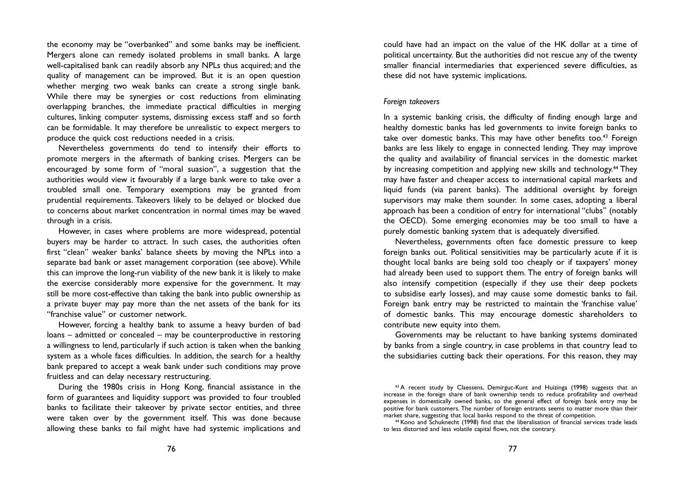the economy may be "overbanked" and some banks may be inefficient. Mergers alone can remedy isolated problems in small banks. A large well-capitalised bank can readily absorb any NPLs thus acquired; and the quality of management can be improved. But it is an open question whether merging two weak banks can create a strong single bank. While there may be synergies or cost reductions from eliminating overlapping branches, the immediate practical difficulties in merging cultures, linking computer systems, dismissing excess staff and so forth can be formidable. It may therefore be unrealistic to expect mergers to produce the quick cost reductions needed in a crisis.

Nevertheless governments do tend to intensify their efforts to promote mergers in the aftermath of banking crises. Mergers can be encouraged by some form of "moral suasion", a suggestion that the authorities would view it favourably if a large bank were to take over a troubled small one. Temporary exemptions may be granted from prudential requirements. Takeovers likely to be delayed or blocked due to concerns about market concentration in normal times may be waved through in a crisis.

However, in cases where problems are more widespread, potential buyers may be harder to attract. In such cases, the authorities often first "clean" weaker banks' balance sheets by moving the NPLs into a separate bad bank or asset management corporation (see above). While this can improve the long-run viability of the new bank it is likely to make the exercise considerably more expensive for the government. It may still be more cost-effective than taking the bank into public ownership as a private buyer may pay more than the net assets of the bank for its "franchise value" or customer network.

However, forcing a healthy bank to assume a heavy burden of bad loans – admitted or concealed – may be counterproductive in restoring a willingness to lend, particularly if such action is taken when the banking system as a whole faces difficulties. In addition, the search for a healthy bank prepared to accept a weak bank under such conditions may prove fruitless and can delay necessary restructuring.

During the 1980s crisis in Hong Kong, financial assistance in the form of guarantees and liquidity support was provided to four troubled banks to facilitate their takeover by private sector entities, and three were taken over by the government itself. This was done because allowing these banks to fail might have had systemic implications and could have had an impact on the value of the HK dollar at a time of political uncertainty. But the authorities did not rescue any of the twenty smaller financial intermediaries that experienced severe difficulties, as these did not have systemic implications.

### *Foreign takeovers*

In a systemic banking crisis, the difficulty of finding enough large and healthy domestic banks has led governments to invite foreign banks to take over domestic banks. This may have other benefits too.<sup>43</sup> Foreign banks are less likely to engage in connected lending. They may improve the quality and availability of financial services in the domestic market by increasing competition and applying new skills and technology.44 They may have faster and cheaper access to international capital markets and liquid funds (via parent banks). The additional oversight by foreign supervisors may make them sounder. In some cases, adopting a liberal approach has been a condition of entry for international "clubs" (notably the OECD). Some emerging economies may be too small to have a purely domestic banking system that is adequately diversified.

Nevertheless, governments often face domestic pressure to keep foreign banks out. Political sensitivities may be particularly acute if it is thought local banks are being sold too cheaply or if taxpayers' money had already been used to support them. The entry of foreign banks will also intensify competition (especially if they use their deep pockets to subsidise early losses), and may cause some domestic banks to fail. Foreign bank entry may be restricted to maintain the 'franchise value' of domestic banks. This may encourage domestic shareholders to contribute new equity into them.

Governments may be reluctant to have banking systems dominated by banks from a single country, in case problems in that country lead to the subsidiaries cutting back their operations. For this reason, they may

 $^{43}$ A recent study by Claessens, Demirguc-Kunt and Huizinga (1998) suggests that an increase in the foreign share of bank ownership tends to reduce profitability and overhead expenses in domestically owned banks, so the general effect of foreign bank entry may be positive for bank customers. The number of foreign entrants seems to matter more than their market share, suggesting that local banks respond to the threat of competition.

<sup>44</sup> Kono and Schuknecht (1998) find that the liberalisation of financial services trade leads to less distorted and less volatile capital flows, not the contrary.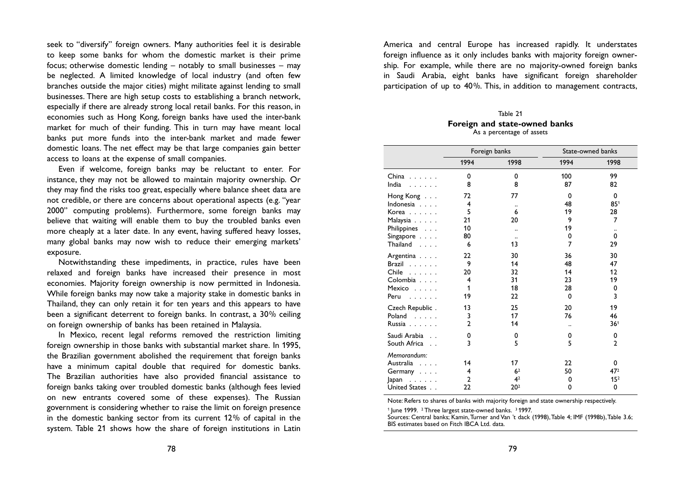seek to "diversify" foreign owners. Many authorities feel it is desirable to keep some banks for whom the domestic market is their prime focus; otherwise domestic lending – notably to small businesses – may be neglected. A limited knowledge of local industry (and often few branches outside the major cities) might militate against lending to small businesses. There are high setup costs to establishing a branch network, especially if there are already strong local retail banks. For this reason, in economies such as Hong Kong, foreign banks have used the inter-bank market for much of their funding. This in turn may have meant local banks put more funds into the inter-bank market and made fewer domestic loans. The net effect may be that large companies gain better access to loans at the expense of small companies.

Even if welcome, foreign banks may be reluctant to enter. For instance, they may not be allowed to maintain majority ownership. Or they may find the risks too great, especially where balance sheet data are not credible, or there are concerns about operational aspects (e.g. "year 2000" computing problems). Furthermore, some foreign banks may believe that waiting will enable them to buy the troubled banks even more cheaply at a later date. In any event, having suffered heavy losses, many global banks may now wish to reduce their emerging markets' exposure.

Notwithstanding these impediments, in practice, rules have been relaxed and foreign banks have increased their presence in most economies. Majority foreign ownership is now permitted in Indonesia. While foreign banks may now take a majority stake in domestic banks in Thailand, they can only retain it for ten years and this appears to have been a significant deterrent to foreign banks. In contrast, a 30% ceiling on foreign ownership of banks has been retained in Malaysia.

In Mexico, recent legal reforms removed the restriction limiting foreign ownership in those banks with substantial market share. In 1995, the Brazilian government abolished the requirement that foreign banks have a minimum capital double that required for domestic banks. The Brazilian authorities have also provided financial assistance to foreign banks taking over troubled domestic banks (although fees levied on new entrants covered some of these expenses). The Russian government is considering whether to raise the limit on foreign presence in the domestic banking sector from its current 12% of capital in the system. Table 21 shows how the share of foreign institutions in Latin America and central Europe has increased rapidly. It understates foreign influence as it only includes banks with majority foreign ownership. For example, while there are no majority-owned foreign banks in Saudi Arabia, eight banks have significant foreign shareholder participation of up to 40%. This, in addition to management contracts,

### Table 21**Foreign and state-owned banks** As a percentage of assets

|                         | Foreign banks  |                 | State-owned banks |                 |
|-------------------------|----------------|-----------------|-------------------|-----------------|
|                         | 1994           | 1998            | 1994              | 1998            |
| $China$ ,,,,,,          | 0              | 0               | 100               | 99              |
| India<br>.              | 8              | 8               | 87                | 82              |
| Hong Kong               | 72             | 77              | 0                 | 0               |
| Indonesia               | 4              |                 | 48                | 851             |
| Korea                   | 5              | 6               | 19                | 28              |
| Malaysia                | 21             | 20              | 9                 | 7               |
| Philippines             | 10             |                 | 19                |                 |
| Singapore               | 80             |                 | 0                 | 0               |
| Thailand<br>$\sim$      | 6              | 13              | 7                 | 29              |
| Argentina               | 22             | 30              | 36                | 30              |
| Brazil                  | 9              | 14              | 48                | 47              |
| $Chile$                 | 20             | 32              | 14                | 12              |
| Colombia                | 4              | 31              | 23                | 19              |
| Mexico $\ldots$ .       | 1              | 18              | 28                | 0               |
| Peru<br>1.1.1.1.1       | 19             | 22              | 0                 | 3               |
| Czech Republic.         | 13             | 25              | 20                | 19              |
| Poland $\ldots$         | 3              | 17              | 76                | 46              |
| Russia                  | $\overline{2}$ | 14              |                   | 36 <sup>1</sup> |
| Saudi Arabia            | 0              | 0               | 0                 | 0               |
| South Africa            | 3              | 5               | 5                 | 2               |
| Memorandum:             |                |                 |                   |                 |
| Australia               | 14             | 17              | 22                | 0               |
| Germany                 | 4              | 6 <sup>2</sup>  | 50                | 472             |
| Japan<br>and a state of | $\mathbf{2}$   | 4 <sup>2</sup>  | 0                 | 15 <sup>2</sup> |
| United States           | 22             | 20 <sup>2</sup> | 0                 | 0               |

Note: Refers to shares of banks with majority foreign and state ownership respectively.

<sup>1</sup> June 1999. <sup>2</sup> Three largest state-owned banks. <sup>3</sup> 1997.

Sources: Central banks; Kamin,Turner and Van 't dack (1998),Table 4; IMF (1998b),Table 3.6; BIS estimates based on Fitch IBCA Ltd. data.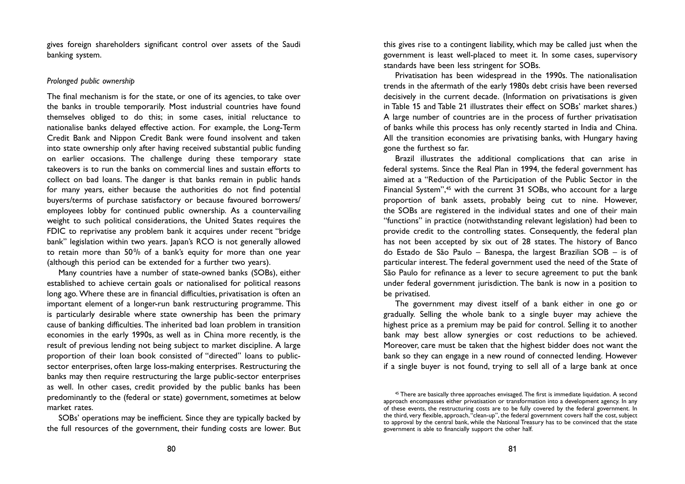gives foreign shareholders significant control over assets of the Saudi banking system.

### *Prolonged public ownership*

The final mechanism is for the state, or one of its agencies, to take over the banks in trouble temporarily. Most industrial countries have found themselves obliged to do this; in some cases, initial reluctance to nationalise banks delayed effective action. For example, the Long-Term Credit Bank and Nippon Credit Bank were found insolvent and taken into state ownership only after having received substantial public funding on earlier occasions. The challenge during these temporary state takeovers is to run the banks on commercial lines and sustain efforts tocollect on bad loans. The danger is that banks remain in public hands for many years, either because the authorities do not find potential buyers/terms of purchase satisfactory or because favoured borrowers/ employees lobby for continued public ownership. As a countervailing weight to such political considerations, the United States requires the FDIC to reprivatise any problem bank it acquires under recent "bridge bank" legislation within two years. Japan's RCO is not generally allowed to retain more than 50% of a bank's equity for more than one year (although this period can be extended for a further two years).

Many countries have a number of state-owned banks (SOBs), either established to achieve certain goals or nationalised for political reasons long ago. Where these are in financial difficulties, privatisation is often an important element of a longer-run bank restructuring programme. This is particularly desirable where state ownership has been the primary cause of banking difficulties. The inherited bad loan problem in transition economies in the early 1990s, as well as in China more recently, is the result of previous lending not being subject to market discipline. A large proportion of their loan book consisted of "directed" loans to publicsector enterprises, often large loss-making enterprises. Restructuring the banks may then require restructuring the large public-sector enterprises as well. In other cases, credit provided by the public banks has been predominantly to the (federal or state) government, sometimes at below market rates.

SOBs' operations may be inefficient. Since they are typically backed by the full resources of the government, their funding costs are lower. But this gives rise to a contingent liability, which may be called just when the government is least well-placed to meet it. In some cases, supervisory standards have been less stringent for SOBs.

Privatisation has been widespread in the 1990s. The nationalisation trends in the aftermath of the early 1980s debt crisis have been reversed decisively in the current decade. (Information on privatisations is given in Table 15 and Table 21 illustrates their effect on SOBs' market shares.) A large number of countries are in the process of further privatisation of banks while this process has only recently started in India and China. All the transition economies are privatising banks, with Hungary having gone the furthest so far.

Brazil illustrates the additional complications that can arise in federal systems. Since the Real Plan in 1994, the federal government has aimed at a "Reduction of the Participation of the Public Sector in the Financial System",45 with the current 31 SOBs, who account for a large proportion of bank assets, probably being cut to nine. However, the SOBs are registered in the individual states and one of their main "functions" in practice (notwithstanding relevant legislation) had been to provide credit to the controlling states. Consequently, the federal plan has not been accepted by six out of 28 states. The history of Banco do Estado de São Paulo – Banespa, the largest Brazilian SOB – is of particular interest. The federal government used the need of the State of São Paulo for refinance as a lever to secure agreement to put the bank under federal government jurisdiction. The bank is now in a position to be privatised.

The government may divest itself of a bank either in one go or gradually. Selling the whole bank to a single buyer may achieve the highest price as a premium may be paid for control. Selling it to another bank may best allow synergies or cost reductions to be achieved. Moreover, care must be taken that the highest bidder does not want the bank so they can engage in a new round of connected lending. However if a single buyer is not found, trying to sell all of a large bank at once

 $\rm ^{45}$  There are basically three approaches envisaged. The first is immediate liquidation. A second approach encompasses either privatisation or transformation into a development agency. In any of these events, the restructuring costs are to be fully covered by the federal government. In the third, very flexible, approach,"clean-up", the federal government covers half the cost, subject to approval by the central bank, while the National Treasury has to be convinced that the state government is able to financially support the other half.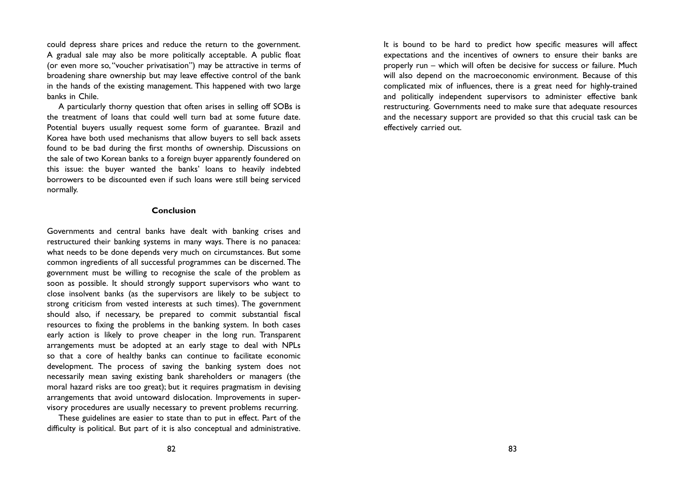could depress share prices and reduce the return to the government. A gradual sale may also be more politically acceptable. A public float (or even more so, "voucher privatisation") may be attractive in terms of broadening share ownership but may leave effective control of the bank in the hands of the existing management. This happened with two large banks in Chile.

A particularly thorny question that often arises in selling off SOBs is the treatment of loans that could well turn bad at some future date.Potential buyers usually request some form of guarantee. Brazil and Korea have both used mechanisms that allow buyers to sell back assets found to be bad during the first months of ownership. Discussions on the sale of two Korean banks to a foreign buyer apparently foundered on this issue: the buyer wanted the banks' loans to heavily indebted borrowers to be discounted even if such loans were still being serviced normally.

#### **Conclusion**

Governments and central banks have dealt with banking crises and restructured their banking systems in many ways. There is no panacea: what needs to be done depends very much on circumstances. But some common ingredients of all successful programmes can be discerned. The government must be willing to recognise the scale of the problem as soon as possible. It should strongly support supervisors who want to close insolvent banks (as the supervisors are likely to be subject to strong criticism from vested interests at such times). The government should also, if necessary, be prepared to commit substantial fiscal resources to fixing the problems in the banking system. In both cases early action is likely to prove cheaper in the long run. Transparent arrangements must be adopted at an early stage to deal with NPLs so that a core of healthy banks can continue to facilitate economic development. The process of saving the banking system does not necessarily mean saving existing bank shareholders or managers (the moral hazard risks are too great); but it requires pragmatism in devising arrangements that avoid untoward dislocation. Improvements in supervisory procedures are usually necessary to prevent problems recurring.

These guidelines are easier to state than to put in effect. Part of the difficulty is political. But part of it is also conceptual and administrative.

It is bound to be hard to predict how specific measures will affect expectations and the incentives of owners to ensure their banks are properly run – which will often be decisive for success or failure. Much will also depend on the macroeconomic environment. Because of this complicated mix of influences, there is a great need for highly-trained and politically independent supervisors to administer effective bank restructuring. Governments need to make sure that adequate resources and the necessary support are provided so that this crucial task can be effectively carried out.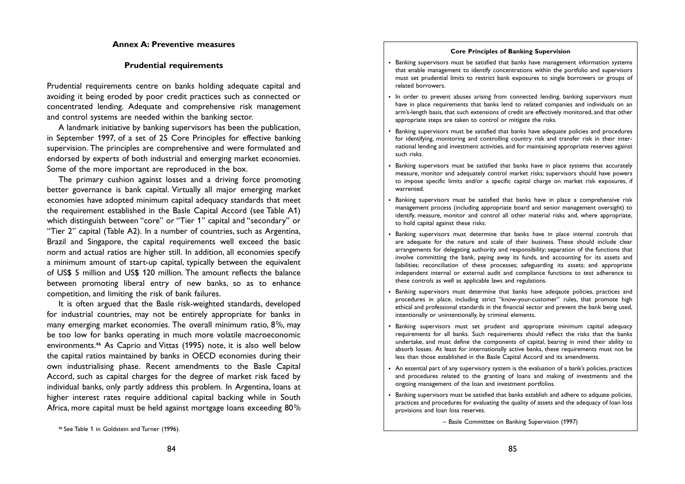# **Annex A: Preventive measures**

### **Prudential requirements**

Prudential requirements centre on banks holding adequate capital and avoiding it being eroded by poor credit practices such as connected or concentrated lending. Adequate and comprehensive risk management and control systems are needed within the banking sector.

A landmark initiative by banking supervisors has been the publication, in September 1997, of a set of 25 Core Principles for effective banking supervision. The principles are comprehensive and were formulated and endorsed by experts of both industrial and emerging market economies. Some of the more important are reproduced in the box.

The primary cushion against losses and a driving force promoting better governance is bank capital. Virtually all major emerging market economies have adopted minimum capital adequacy standards that meet the requirement established in the Basle Capital Accord (see Table A1) which distinguish between "core" or "Tier 1" capital and "secondary" or "Tier 2" capital (Table A2). In a number of countries, such as Argentina, Brazil and Singapore, the capital requirements well exceed the basic norm and actual ratios are higher still. In addition, all economies specify a minimum amount of start-up capital, typically between the equivalent of US\$ 5 million and US\$ 120 million. The amount reflects the balance between promoting liberal entry of new banks, so as to enhance competition, and limiting the risk of bank failures.

It is often argued that the Basle risk-weighted standards, developed for industrial countries, may not be entirely appropriate for banks in many emerging market economies. The overall minimum ratio,  $8\%$ , may be too low for banks operating in much more volatile macroeconomic environments.<sup>46</sup> As Caprio and Vittas (1995) note, it is also well below the capital ratios maintained by banks in OECD economies during their own industrialising phase. Recent amendments to the Basle Capital Accord, such as capital charges for the degree of market risk faced by individual banks, only partly address this problem. In Argentina, loans at higher interest rates require additional capital backing while in South Africa, more capital must be held against mortgage loans exceeding  $80\%$ 

#### **Core Principles of Banking Supervision**

- Banking supervisors must be satisfied that banks have management information systems that enable management to identify concentrations within the portfolio and supervisors must set prudential limits to restrict bank exposures to single borrowers or groups of related borrowers.
- In order to prevent abuses arising from connected lending, banking supervisors must have in place requirements that banks lend to related companies and individuals on an arm's-length basis, that such extensions of credit are effectively monitored, and that other appropriate steps are taken to control or mitigate the risks.
- • Banking supervisors must be satisfied that banks have adequate policies and procedures for identifying, monitoring and controlling country risk and transfer risk in their international lending and investment activities, and for maintaining appropriate reserves against such risks.
- Banking supervisors must be satisfied that banks have in place systems that accurately measure, monitor and adequately control market risks; supervisors should have powers to impose specific limits and/or a specific capital charge on market risk exposures, if warrented.
- • Banking supervisors must be satisfied that banks have in place a comprehensive risk management process (including appropriate board and senior management oversight) to identify, measure, monitor and control all other material risks and, where appropriate, to hold capital against these risks.
- Banking supervisors must determine that banks have in place internal controls that are adequate for the nature and scale of their business. These should include clear arrangements for delegating authority and responsibility; separation of the functions that involve committing the bank, paying away its funds, and accounting for its assets and liabilities; reconciliation of these processes; safeguarding its assets; and appropriate independent internal or external audit and compliance functions to test adherence to these controls as well as applicable laws and regulations.
- • Banking supervisors must determine that banks have adeqaute policies, practices and procedures in place, including strict "know-your-customer" rules, that promote high ethical and professional standards in the financial sector and prevent the bank being used, intentionally or unintentionally, by criminal elements.
- • Banking supervisors must set prudent and appropriate minimum capital adequacy requirements for all banks. Such requirements should reflect the risks that the banks undertake, and must define the components of capital, bearing in mind their ability to absorb losses. At least for internationally active banks, these requirements must not be less than those established in the Basle Capital Accord and its amendments.
- An essential part of any supervisory system is the evaluation of a bank's policies, practices and procedures related to the granting of loans and making of investments and the ongoing management of the loan and investment portfolios.
- • Banking supervisors must be satisfied that banks establish and adhere to adquate policies, practices and procedures for evaluating the quality of assets and the adequacy of loan loss provisions and loan loss reserves.

– Basle Committee on Banking Supervision (1997)

<sup>46</sup> See Table 1 in Goldstein and Turner (1996).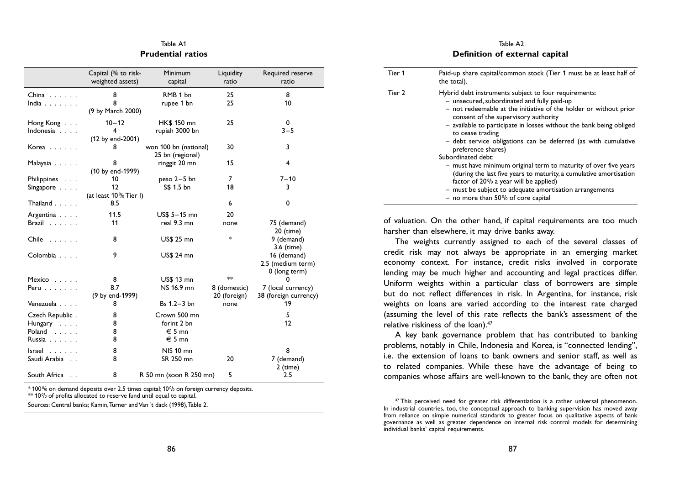# Table A1**Prudential ratios**

|                                                                 | Capital (% to risk-<br>weighted assets) | <b>Minimum</b><br>capital                                         | Liquidity<br>ratio           | Required reserve<br>ratio                         |
|-----------------------------------------------------------------|-----------------------------------------|-------------------------------------------------------------------|------------------------------|---------------------------------------------------|
| China $\ldots$<br>India $\ldots$                                | 8<br>8<br>(9 by March 2000)             | RMB 1 bn<br>rupee 1 bn                                            | 25<br>25                     | 8<br>10                                           |
| Hong Kong $\ldots$<br>Indonesia                                 | $10 - 12$<br>4<br>(12 by end-2001)      | <b>HK\$ 150 mn</b><br>rupiah 3000 bn                              | 25                           | 0<br>$3 - 5$                                      |
| Korea $\ldots$                                                  | 8                                       | won 100 bn (national)<br>25 bn (regional)                         | 30                           | 3                                                 |
| Malaysia                                                        | 8<br>(10 by end-1999)                   | ringgit 20 mn                                                     | 15                           | $\overline{4}$                                    |
| Philippines                                                     | 10                                      | peso $2-5$ bn                                                     | 7                            | $7 - 10$                                          |
| Singapore                                                       | 12<br>(at least 10% Tier I)             | S\$ 1.5 bn                                                        | 18                           | 3                                                 |
| Thailand                                                        | 8.5                                     |                                                                   | 6                            | 0                                                 |
| Argentina                                                       | 11.5                                    | US\$ 5-15 mn                                                      | 20                           |                                                   |
| Brazil                                                          | 11                                      | real 9.3 mn                                                       | none                         | 75 (demand)<br>20 (time)                          |
| $Chile$ , $\ldots$ , $\ldots$                                   | 8                                       | US\$ 25 mn                                                        | *                            | 9 (demand)<br>3.6 (time)                          |
| Colombia                                                        | 9                                       | US\$ 24 mn                                                        |                              | 16 (demand)<br>2.5 (medium term)<br>0 (long term) |
| Mexico                                                          | 8                                       | US\$ 13 mn                                                        | $**$                         | 0                                                 |
| Peru $\ldots$                                                   | 8.7<br>(9 by end-1999)                  | NS 16.9 mn                                                        | 8 (domestic)<br>20 (foreign) | 7 (local currency)<br>38 (foreign currency)       |
| Venezuela                                                       | 8                                       | Bs $1.2-3$ bn                                                     | none                         | 19                                                |
| Czech Republic.<br>Hungary $\dots$<br>Poland<br>Russia $\ldots$ | 8<br>8<br>8<br>8                        | Crown 500 mn<br>forint 2 bn<br>$\epsilon$ 5 mn<br>$\epsilon$ 5 mn |                              | 5<br>12                                           |
| $\lvert$ srae $\vert$<br>Saudi Arabia                           | 8<br>8                                  | <b>NIS 10 mn</b><br>SR 250 mn                                     | 20                           | 8<br>7 (demand)<br>2 (time)                       |
| South Africa                                                    | 8                                       | R 50 mn (soon R 250 mn)                                           | 5                            | 2.5                                               |

 $^{\ast}$  100% on demand deposits over 2.5 times capital; 10% on foreign currency deposits.

 $^{**}$  10% of profits allocated to reserve fund until equal to capital.

Sources: Central banks; Kamin,Turner and Van 't dack (1998),Table 2.

# Table A2**Definition of external capital**

| Tier 1 | Paid-up share capital/common stock (Tier 1 must be at least half of<br>the total).                                                                                                                                                                                                                                                                                                                                         |
|--------|----------------------------------------------------------------------------------------------------------------------------------------------------------------------------------------------------------------------------------------------------------------------------------------------------------------------------------------------------------------------------------------------------------------------------|
| Tier 2 | Hybrid debt instruments subject to four requirements:<br>- unsecured, subordinated and fully paid-up<br>- not redeemable at the initiative of the holder or without prior<br>consent of the supervisory authority<br>- available to participate in losses without the bank being obliged<br>to cease trading<br>- debt service obligations can be deferred (as with cumulative<br>preference shares)<br>Subordinated debt: |
|        | - must have minimum original term to maturity of over five years<br>(during the last five years to maturity, a cumulative amortisation<br>factor of 20% a year will be applied)<br>- must be subject to adequate amortisation arrangements<br>- no more than $50\%$ of core capital                                                                                                                                        |

of valuation. On the other hand, if capital requirements are too much harsher than elsewhere, it may drive banks away.

The weights currently assigned to each of the several classes of credit risk may not always be appropriate in an emerging market economy context. For instance, credit risks involved in corporate lending may be much higher and accounting and legal practices differ. Uniform weights within a particular class of borrowers are simple but do not reflect differences in risk. In Argentina, for instance, risk weights on loans are varied according to the interest rate charged (assuming the level of this rate reflects the bank's assessment of the relative riskiness of the loan).<sup>47</sup>

A key bank governance problem that has contributed to banking problems, notably in Chile, Indonesia and Korea, is "connected lending", i.e. the extension of loans to bank owners and senior staff, as well as to related companies. While these have the advantage of being to companies whose affairs are well-known to the bank, they are often not

 $^{47}$ This perceived need for greater risk differentiation is a rather universal phenomenon. In industrial countries, too, the conceptual approach to banking supervision has moved away from reliance on simple numerical standards to greater focus on qualitative aspects of bank governance as well as greater dependence on internal risk control models for determining individual banks' capital requirements.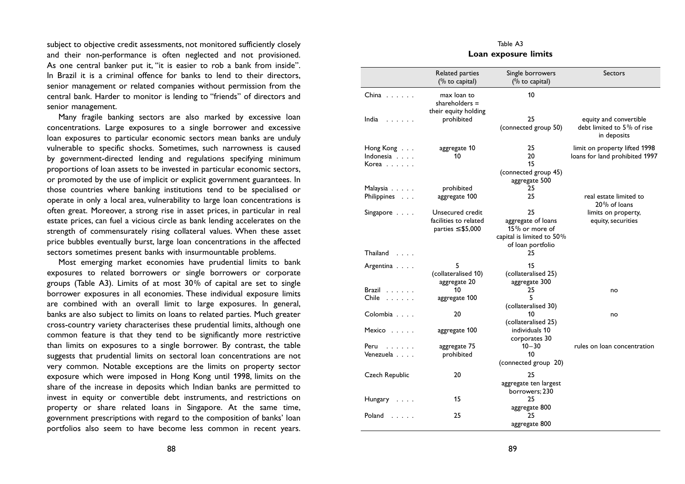subject to objective credit assessments, not monitored sufficiently closely and their non-performance is often neglected and not provisioned. As one central banker put it, "it is easier to rob a bank from inside". In Brazil it is a criminal offence for banks to lend to their directors, senior management or related companies without permission from the central bank. Harder to monitor is lending to "friends" of directors and senior management.

Many fragile banking sectors are also marked by excessive loan concentrations. Large exposures to a single borrower and excessive loan exposures to particular economic sectors mean banks are unduly vulnerable to specific shocks. Sometimes, such narrowness is caused by government-directed lending and regulations specifying minimum proportions of loan assets to be invested in particular economic sectors, or promoted by the use of implicit or explicit government guarantees. In those countries where banking institutions tend to be specialised or operate in only a local area, vulnerability to large loan concentrations is often great. Moreover, a strong rise in asset prices, in particular in real estate prices, can fuel a vicious circle as bank lending accelerates on the strength of commensurately rising collateral values. When these asset price bubbles eventually burst, large loan concentrations in the affected sectors sometimes present banks with insurmountable problems.

Most emerging market economies have prudential limits to bank exposures to related borrowers or single borrowers or corporate groups (Table A3). Limits of at most 30% of capital are set to single borrower exposures in all economies. These individual exposure limits are combined with an overall limit to large exposures. In general, banks are also subject to limits on loans to related parties. Much greater cross-country variety characterises these prudential limits, although one common feature is that they tend to be significantly more restrictive than limits on exposures to a single borrower. By contrast, the table suggests that prudential limits on sectoral loan concentrations are not very common. Notable exceptions are the limits on property sector exposure which were imposed in Hong Kong until 1998, limits on the share of the increase in deposits which Indian banks are permitted to invest in equity or convertible debt instruments, and restrictions on property or share related loans in Singapore. At the same time, government prescriptions with regard to the composition of banks' loan portfolios also seem to have become less common in recent years.

# Table A3**Loan exposure limits**

|                                    | Related parties<br>(% to capital)                                  | Single borrowers<br>(% to capital)                                                           | <b>Sectors</b>                                                      |
|------------------------------------|--------------------------------------------------------------------|----------------------------------------------------------------------------------------------|---------------------------------------------------------------------|
| $China \dots \dots$                | max loan to<br>shareholders $=$<br>their equity holding            | 10                                                                                           |                                                                     |
| India $\ldots$                     | prohibited                                                         | 25<br>(connected group 50)                                                                   | equity and convertible<br>debt limited to 5% of rise<br>in deposits |
| Hong Kong<br>Indonesia<br>Korea    | aggregate 10<br>10                                                 | 25<br>20<br>15<br>(connected group 45)<br>aggregate 500                                      | limit on property lifted 1998<br>loans for land prohibited 1997     |
| Malaysia<br>Philippines            | prohibited<br>aggregate 100                                        | 25<br>25                                                                                     | real estate limited to<br>$20%$ of loans                            |
| Singapore $\ldots$ .               | Unsecured credit<br>facilities to related<br>parties $\le$ \$5,000 | 25<br>aggregate of loans<br>15% or more of<br>capital is limited to 50%<br>of loan portfolio | limits on property,<br>equity, securities                           |
| Thailand                           |                                                                    | 25                                                                                           |                                                                     |
| Argentina                          | 5<br>(collateralised 10)<br>aggregate 20                           | 15<br>(collateralised 25)<br>aggregate 300                                                   |                                                                     |
| $Brazil$<br>$Chile$                | 10<br>aggregate 100                                                | 25<br>5                                                                                      | no                                                                  |
| Colombia                           | 20                                                                 | (collateralised 30)<br>10<br>(collateralised 25)                                             | no                                                                  |
| Mexico                             | aggregate 100                                                      | individuals 10<br>corporates 30                                                              |                                                                     |
| Peru<br>$\frac{1}{2}$<br>Venezuela | aggregate 75<br>prohibited                                         | $10 - 30$<br>10<br>(connected group 20)                                                      | rules on loan concentration                                         |
| Czech Republic                     | 20                                                                 | 25<br>aggregate ten largest<br>borrowers; 230                                                |                                                                     |
| Hungary $\dots$                    | 15                                                                 | 25                                                                                           |                                                                     |
| Poland                             | 25                                                                 | aggregate 800<br>25<br>aggregate 800                                                         |                                                                     |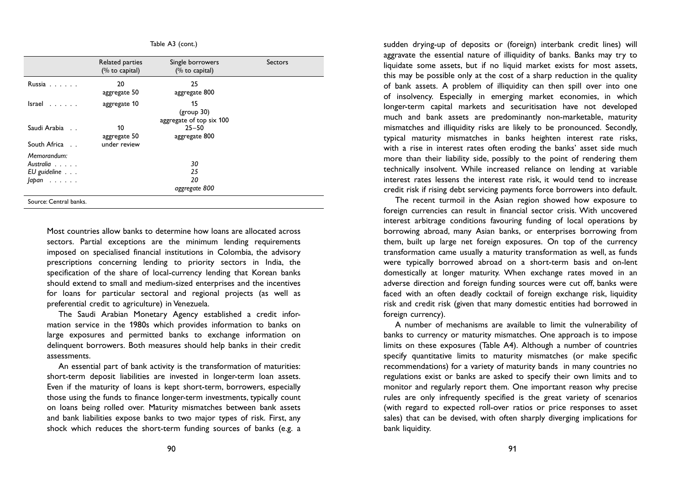Table A3 (cont.)

|                        | Related parties<br>$(%$ to capital) | Single borrowers<br>$(%$ to capital)         | <b>Sectors</b> |
|------------------------|-------------------------------------|----------------------------------------------|----------------|
| Russia                 | 20<br>aggregate 50                  | 25<br>aggregate 800                          |                |
| $Israel \dots \dots$   | aggregate 10                        | 15<br>(group 30)<br>aggregate of top six 100 |                |
| Saudi Arabia           | 10<br>aggregate 50                  | $25 - 50$<br>aggregate 800                   |                |
| South Africa           | under review                        |                                              |                |
| Memorandum:            |                                     |                                              |                |
| Australia              |                                     | 30                                           |                |
| EU guideline           |                                     | 25                                           |                |
| $\sqrt{apan}$          |                                     | 20                                           |                |
|                        |                                     | aggregate 800                                |                |
| Source: Central banks. |                                     |                                              |                |

Most countries allow banks to determine how loans are allocated acrosssectors. Partial exceptions are the minimum lending requirements imposed on specialised financial institutions in Colombia, the advisory prescriptions concerning lending to priority sectors in India, the specification of the share of local-currency lending that Korean banks should extend to small and medium-sized enterprises and the incentives for loans for particular sectoral and regional projects (as well as preferential credit to agriculture) in Venezuela.

The Saudi Arabian Monetary Agency established a credit information service in the 1980s which provides information to banks on large exposures and permitted banks to exchange information on delinquent borrowers. Both measures should help banks in their credit assessments.

An essential part of bank activity is the transformation of maturities: short-term deposit liabilities are invested in longer-term loan assets. Even if the maturity of loans is kept short-term, borrowers, especially those using the funds to finance longer-term investments, typically count on loans being rolled over. Maturity mismatches between bank assets and bank liabilities expose banks to two major types of risk. First, any shock which reduces the short-term funding sources of banks (e.g. <sup>a</sup> sudden drying-up of deposits or (foreign) interbank credit lines) will aggravate the essential nature of illiquidity of banks. Banks may try to liquidate some assets, but if no liquid market exists for most assets, this may be possible only at the cost of a sharp reduction in the quality of bank assets. A problem of illiquidity can then spill over into one of insolvency. Especially in emerging market economies, in which longer-term capital markets and securitisation have not developed much and bank assets are predominantly non-marketable, maturity mismatches and illiquidity risks are likely to be pronounced. Secondly, typical maturity mismatches in banks heighten interest rate risks, with a rise in interest rates often eroding the banks' asset side much more than their liability side, possibly to the point of rendering them technically insolvent. While increased reliance on lending at variable interest rates lessens the interest rate risk, it would tend to increase credit risk if rising debt servicing payments force borrowers into default.

The recent turmoil in the Asian region showed how exposure to foreign currencies can result in financial sector crisis. With uncovered interest arbitrage conditions favouring funding of local operations by borrowing abroad, many Asian banks, or enterprises borrowing from them, built up large net foreign exposures. On top of the currency transformation came usually a maturity transformation as well, as funds were typically borrowed abroad on a short-term basis and on-lent domestically at longer maturity. When exchange rates moved in an adverse direction and foreign funding sources were cut off, banks were faced with an often deadly cocktail of foreign exchange risk, liquidity risk and credit risk (given that many domestic entities had borrowed in foreign currency).

A number of mechanisms are available to limit the vulnerability of banks to currency or maturity mismatches. One approach is to impose limits on these exposures (Table A4). Although a number of countries specify quantitative limits to maturity mismatches (or make specific recommendations) for a variety of maturity bands in many countries no regulations exist or banks are asked to specify their own limits and to monitor and regularly report them. One important reason why precise rules are only infrequently specified is the great variety of scenarios (with regard to expected roll-over ratios or price responses to asset sales) that can be devised, with often sharply diverging implications for bank liquidity.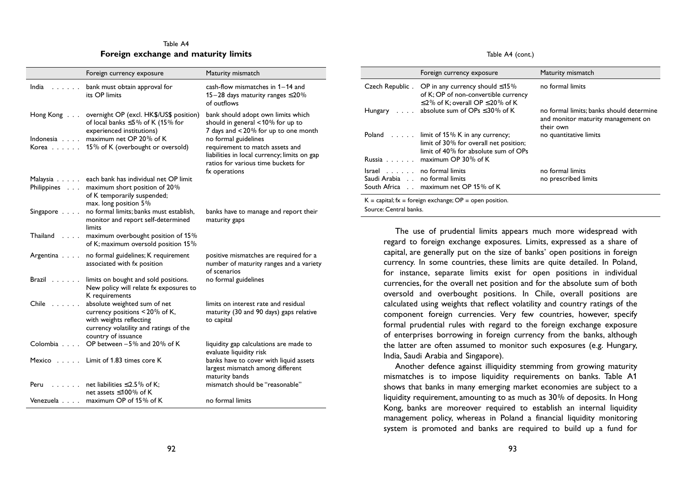# Table A4**Foreign exchange and maturity limits**

|                            | Foreign currency exposure                                                                                                                                  | Maturity mismatch                                                                                                                                               |
|----------------------------|------------------------------------------------------------------------------------------------------------------------------------------------------------|-----------------------------------------------------------------------------------------------------------------------------------------------------------------|
| India<br>$\sim$            | bank must obtain approval for<br>its OP limits                                                                                                             | cash-flow mismatches in 1-14 and<br>15-28 days maturity ranges $\leq$ 20%<br>of outflows                                                                        |
| Hong Kong $\ldots$         | overnight OP (excl. HK\$/US\$ position)<br>of local banks $\leq$ 5% of K (15% for<br>experienced institutions)                                             | bank should adopt own limits which<br>should in general <10% for up to<br>7 days and $< 20\%$ for up to one month                                               |
| Indonesia<br>Korea $\dots$ | maximum net OP 20% of K<br>15% of K (overbought or oversold)                                                                                               | no formal guidelines<br>requirement to match assets and<br>liabilities in local currency; limits on gap<br>ratios for various time buckets for<br>fx operations |
| Malaysia<br>Philippines    | each bank has individual net OP limit<br>maximum short position of 20%<br>of K temporarily suspended;<br>max. long position $5\%$                          |                                                                                                                                                                 |
| Singapore $\ldots$ .       | no formal limits; banks must establish,<br>monitor and report self-determined<br>limits                                                                    | banks have to manage and report their<br>maturity gaps                                                                                                          |
| Thailand                   | maximum overbought position of $15\%$<br>of K; maximum oversold position 15%                                                                               |                                                                                                                                                                 |
| Argentina                  | no formal guidelines; K requirement<br>associated with fx position                                                                                         | positive mismatches are required for a<br>number of maturity ranges and a variety<br>of scenarios                                                               |
| Brazil                     | limits on bought and sold positions.<br>New policy will relate fx exposures to<br>K requirements                                                           | no formal guidelines                                                                                                                                            |
| $Chile$                    | absolute weighted sum of net<br>currency positions < 20% of K,<br>with weights reflecting<br>currency volatility and ratings of the<br>country of issuance | limits on interest rate and residual<br>maturity (30 and 90 days) gaps relative<br>to capital                                                                   |
| Colombia                   | OP between $-5%$ and 20% of K                                                                                                                              | liquidity gap calculations are made to<br>evaluate liquidity risk                                                                                               |
| Mexico $\ldots$            | Limit of 1.83 times core K                                                                                                                                 | banks have to cover with liquid assets<br>largest mismatch among different<br>maturity bands                                                                    |
|                            | Peru net liabilities $\leq$ 2.5% of K;<br>net assets $\leq 100\%$ of K                                                                                     | mismatch should be "reasonable"                                                                                                                                 |
| Venezuela                  | maximum OP of $15\%$ of K                                                                                                                                  | no formal limits                                                                                                                                                |

#### Table A4 (cont.)

|                                                                                                                                                                                                                                                                                                                                                                                                                                                                     | Foreign currency exposure                                                                                                                                                        | Maturity mismatch                                                                           |
|---------------------------------------------------------------------------------------------------------------------------------------------------------------------------------------------------------------------------------------------------------------------------------------------------------------------------------------------------------------------------------------------------------------------------------------------------------------------|----------------------------------------------------------------------------------------------------------------------------------------------------------------------------------|---------------------------------------------------------------------------------------------|
| Czech Republic .                                                                                                                                                                                                                                                                                                                                                                                                                                                    | OP in any currency should $\leq 15\%$<br>of K; OP of non-convertible currency<br>$\leq$ 2% of K; overall OP $\leq$ 20% of K                                                      | no formal limits                                                                            |
| Hungary $\dots$                                                                                                                                                                                                                                                                                                                                                                                                                                                     | absolute sum of OPs $\leq$ 30% of K                                                                                                                                              | no formal limits; banks should determine<br>and monitor maturity management on<br>their own |
|                                                                                                                                                                                                                                                                                                                                                                                                                                                                     | Poland $\ldots$ imit of 15% K in any currency;<br>limit of 30% for overall net position;<br>limit of 40% for absolute sum of OPs<br>Russia $\ldots$ $\ldots$ maximum OP 30% of K | no quantitative limits                                                                      |
| $\left  \right $ $\left  \right $ $\left  \right $ $\left  \right $ $\left  \right $ $\left  \right $ $\left  \right $ $\left  \right $ $\left  \right $ $\left  \right $ $\left  \right $ $\left  \right $ $\left  \right $ $\left  \right $ $\left  \right $ $\left  \right $ $\left  \right $ $\left  \right $ $\left  \right $ $\left  \right $ $\left  \right $ $\left  \right $ $\left  \right $ $\left  \right $ $\left  \$<br>Saudi Arabia no formal limits | South Africa maximum net OP 15% of K                                                                                                                                             | no formal limits<br>no prescribed limits                                                    |
| Source: Central banks.                                                                                                                                                                                                                                                                                                                                                                                                                                              | $K =$ capital; fx = foreign exchange; OP = open position.                                                                                                                        |                                                                                             |

The use of prudential limits appears much more widespread with regard to foreign exchange exposures. Limits, expressed as a share of capital, are generally put on the size of banks' open positions in foreign currency. In some countries, these limits are quite detailed. In Poland, for instance, separate limits exist for open positions in individual currencies, for the overall net position and for the absolute sum of both oversold and overbought positions. In Chile, overall positions are calculated using weights that reflect volatility and country ratings of the component foreign currencies. Very few countries, however, specify formal prudential rules with regard to the foreign exchange exposure of enterprises borrowing in foreign currency from the banks, although the latter are often assumed to monitor such exposures (e.g. Hungary, India, Saudi Arabia and Singapore).

Another defence against illiquidity stemming from growing maturity mismatches is to impose liquidity requirements on banks. Table A1 shows that banks in many emerging market economies are subject to a liquidity requirement, amounting to as much as  $30\%$  of deposits. In Hong Kong, banks are moreover required to establish an internal liquidity management policy, whereas in Poland a financial liquidity monitoring system is promoted and banks are required to build up a fund for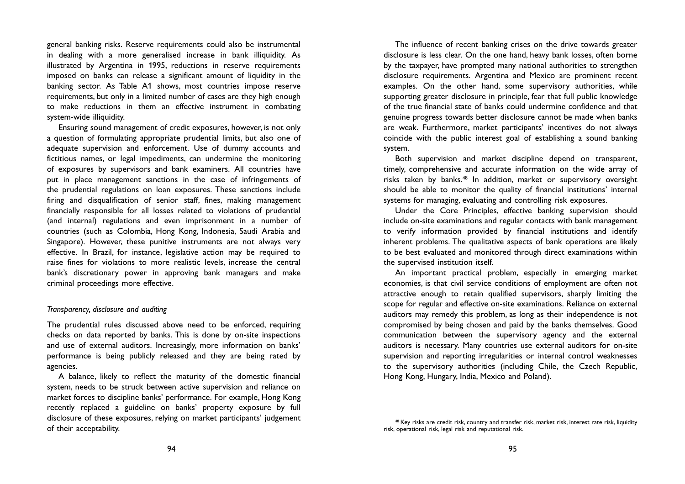general banking risks. Reserve requirements could also be instrumental in dealing with a more generalised increase in bank illiquidity. As illustrated by Argentina in 1995, reductions in reserve requirements imposed on banks can release a significant amount of liquidity in the banking sector. As Table A1 shows, most countries impose reserve requirements, but only in a limited number of cases are they high enough to make reductions in them an effective instrument in combating system-wide illiquidity.

Ensuring sound management of credit exposures, however, is not only a question of formulating appropriate prudential limits, but also one of adequate supervision and enforcement. Use of dummy accounts and fictitious names, or legal impediments, can undermine the monitoring of exposures by supervisors and bank examiners. All countries have put in place management sanctions in the case of infringements of the prudential regulations on loan exposures. These sanctions include firing and disqualification of senior staff, fines, making management financially responsible for all losses related to violations of prudential (and internal) regulations and even imprisonment in a number of countries (such as Colombia, Hong Kong, Indonesia, Saudi Arabia and Singapore). However, these punitive instruments are not always very effective. In Brazil, for instance, legislative action may be required to raise fines for violations to more realistic levels, increase the central bank's discretionary power in approving bank managers and make criminal proceedings more effective.

## *Transparency, disclosure and auditing*

The prudential rules discussed above need to be enforced, requiring checks on data reported by banks. This is done by on-site inspections and use of external auditors. Increasingly, more information on banks' performance is being publicly released and they are being rated by agencies.

A balance, likely to reflect the maturity of the domestic financial system, needs to be struck between active supervision and reliance on market forces to discipline banks' performance. For example, Hong Kong recently replaced a guideline on banks' property exposure by full disclosure of these exposures, relying on market participants' judgement of their acceptability.

The influence of recent banking crises on the drive towards greater disclosure is less clear. On the one hand, heavy bank losses, often borne by the taxpayer, have prompted many national authorities to strengthen disclosure requirements. Argentina and Mexico are prominent recent examples. On the other hand, some supervisory authorities, while supporting greater disclosure in principle, fear that full public knowledge of the true financial state of banks could undermine confidence and thatgenuine progress towards better disclosure cannot be made when banks are weak. Furthermore, market participants' incentives do not always coincide with the public interest goal of establishing a sound banking system.

Both supervision and market discipline depend on transparent, timely, comprehensive and accurate information on the wide array of risks taken by banks.48 In addition, market or supervisory oversight should be able to monitor the quality of financial institutions' internal systems for managing, evaluating and controlling risk exposures.

Under the Core Principles, effective banking supervision should include on-site examinations and regular contacts with bank management to verify information provided by financial institutions and identify inherent problems. The qualitative aspects of bank operations are likely to be best evaluated and monitored through direct examinations within the supervised institution itself.

An important practical problem, especially in emerging market economies, is that civil service conditions of employment are often not attractive enough to retain qualified supervisors, sharply limiting the scope for regular and effective on-site examinations. Reliance on external auditors may remedy this problem, as long as their independence is not compromised by being chosen and paid by the banks themselves. Good communication between the supervisory agency and the external auditors is necessary. Many countries use external auditors for on-site supervision and reporting irregularities or internal control weaknesses to the supervisory authorities (including Chile, the Czech Republic, Hong Kong, Hungary, India, Mexico and Poland).

 $\rm ^{48}$  Key risks are credit risk, country and transfer risk, market risk, interest rate risk, liquidity risk, operational risk, legal risk and reputational risk.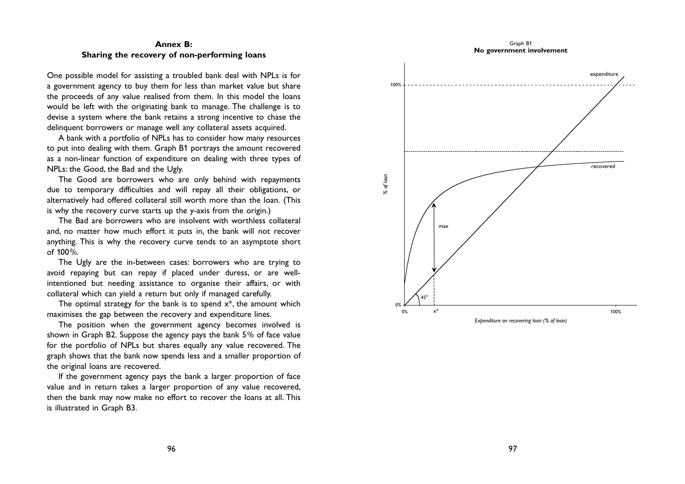# **Annex B:Sharing the recovery of non-performing loans**

One possible model for assisting a troubled bank deal with NPLs is for a government agency to buy them for less than market value but share the proceeds of any value realised from them. In this model the loans would be left with the originating bank to manage. The challenge is to devise a system where the bank retains a strong incentive to chase the delinquent borrowers or manage well any collateral assets acquired.

A bank with a portfolio of NPLs has to consider how many resources to put into dealing with them. Graph B1 portrays the amount recovered as a non-linear function of expenditure on dealing with three types of NPLs: the Good, the Bad and the Ugly.

The Good are borrowers who are only behind with repayments due to temporary difficulties and will repay all their obligations, or alternatively had offered collateral still worth more than the loan. (This is why the recovery curve starts up the y-axis from the origin.)

The Bad are borrowers who are insolvent with worthless collateraland, no matter how much effort it puts in, the bank will not recover anything. This is why the recovery curve tends to an asymptote short of 100%.

The Ugly are the in-between cases: borrowers who are trying to avoid repaying but can repay if placed under duress, or are wellintentioned but needing assistance to organise their affairs, or with collateral which can yield a return but only if managed carefully.

The optimal strategy for the bank is to spend  $x^*$ , the amount which maximises the gap between the recovery and expenditure lines.

The position when the government agency becomes involved is shown in Graph B2. Suppose the agency pays the bank 5% of face value for the portfolio of NPLs but shares equally any value recovered. The graph shows that the bank now spends less and a smaller proportion of the original loans are recovered.

If the government agency pays the bank a larger proportion of face value and in return takes a larger proportion of any value recovered, then the bank may now make no effort to recover the loans at all. This is illustrated in Graph B3.

Graph B1 **No government involvement**

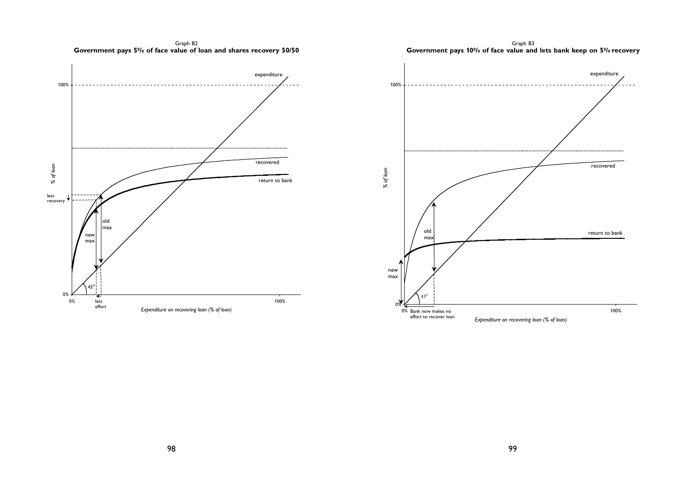Graph B2 **Government pays 50/0 of face value of loan and shares recovery 50/50**





Graph B3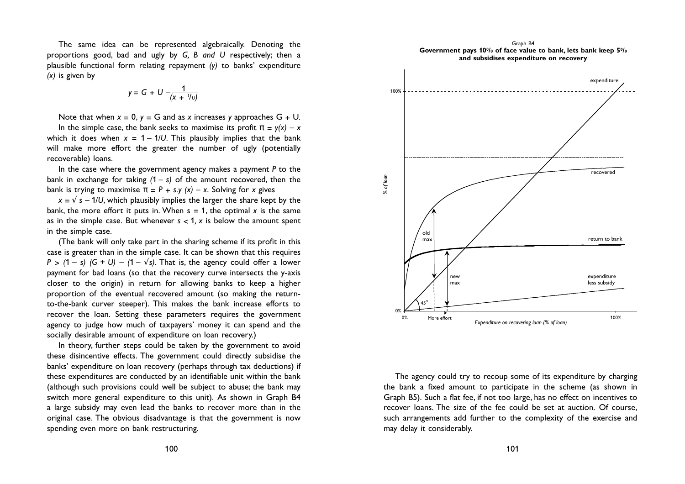The same idea can be represented algebraically. Denoting the proportions good, bad and ugly by *G, B and U* respectively; then a plausible functional form relating repayment *(y)* to banks' expenditure *(x)* is given by

$$
y = G + U - \frac{1}{(x + \frac{1}{u})}
$$

Note that when *<sup>x</sup>*= 0, *y* <sup>=</sup> G and as *<sup>x</sup>* increases *y* approaches G + U.

In the simple case, the bank seeks to maximise its profit  $\pi = y(x) - x$ which it does when *<sup>x</sup>*= 1 – 1/*U*. This plausibly implies that the bank will make more effort the greater the number of ugly (potentially recoverable) loans.

In the case where the government agency makes a payment *P* to the bank in exchange for taking *(*1 *– s)* of the amount recovered, then the bank is trying to maximise  $\pi = P + s.y(x) - x$ . Solving for *x* gives

 $x = \sqrt{s} - 1/U$ , which plausibly implies the larger the share kept by the bank, the more effort it puts in. When  $s = 1$ , the optimal *x* is the same as in the simple case. But whenever  $s < 1$ , x is below the amount spent in the simple case.

(The bank will only take part in the sharing scheme if its profit in this case is greater than in the simple case. It can be shown that this requires *P* >  $(1 - s)$   $(G + U) - (1 - \sqrt{s})$ . That is, the agency could offer a lower payment for bad loans (so that the recovery curve intersects the y-axis closer to the origin) in return for allowing banks to keep a higher proportion of the eventual recovered amount (so making the returnto-the-bank curver steeper). This makes the bank increase efforts to recover the loan. Setting these parameters requires the government agency to judge how much of taxpayers' money it can spend and the socially desirable amount of expenditure on loan recovery.)

In theory, further steps could be taken by the government to avoid these disincentive effects. The government could directly subsidise the banks' expenditure on loan recovery (perhaps through tax deductions) if these expenditures are conducted by an identifiable unit within the bank (although such provisions could well be subject to abuse; the bank may switch more general expenditure to this unit). As shown in Graph B4 a large subsidy may even lead the banks to recover more than in the original case. The obvious disadvantage is that the government is now spending even more on bank restructuring.



Graph B4

The agency could try to recoup some of its expenditure by charging the bank a fixed amount to participate in the scheme (as shown in Graph B5). Such a flat fee, if not too large, has no effect on incentives to recover loans. The size of the fee could be set at auction. Of course, such arrangements add further to the complexity of the exercise and may delay it considerably.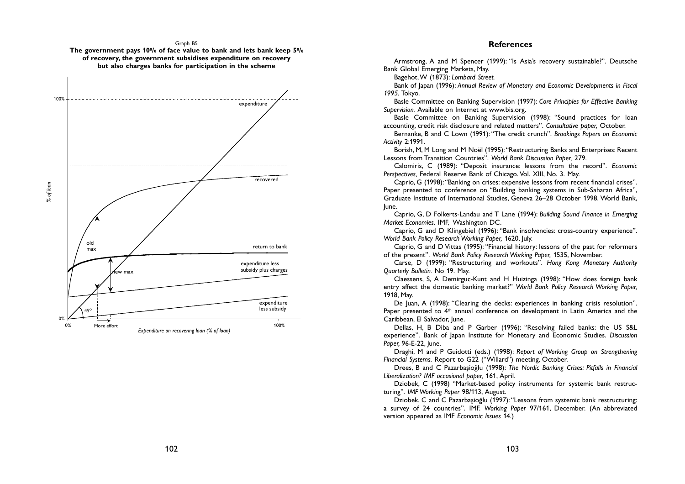

#### **References**

Armstrong, A and M Spencer (1999): "Is Asia's recovery sustainable?". Deutsche Bank Global Emerging Markets, May.

Bagehot,W (1873): *Lombard Street.*

Bank of Japan (1996): *Annual Review of Monetary and Economic Developments in Fiscal 1995.* Tokyo.

Basle Committee on Banking Supervision (1997): *Core Principles for Effective Banking Supervision.* Available on Internet at www.bis.org.

Basle Committee on Banking Supervision (1998): "Sound practices for loan accounting, credit risk disclosure and related matters". *Consultative paper,* October.

Bernanke, B and C Lown (1991): "The credit crunch". *Brookings Papers on Economic Activity* 2:1991.

Borish, M, M Long and M Noël (1995):"Restructuring Banks and Enterprises: Recent Lessons from Transition Countries". *World Bank Discussion Paper,* 279.

Calomiris, C (1989): "Deposit insurance: lessons from the record". *Economic Perspectives,* Federal Reserve Bank of Chicago. Vol. XIII, No. 3. May.

Caprio, G (1998):"Banking on crises: expensive lessons from recent financial crises". Paper presented to conference on "Building banking systems in Sub-Saharan Africa", Graduate Institute of International Studies, Geneva 26 –28 October 1998. World Bank, June.

Caprio, G, D Folkerts-Landau and T Lane (1994): *Building Sound Finance in Emerging Market Economies.* IMF, Washington DC.

Caprio, G and D Klingebiel (1996): "Bank insolvencies: cross-country experience". *World Bank Policy Research Working Paper,* 1620, July.

Caprio, G and D Vittas (1995): "Financial history: lessons of the past for reformers of the present". *World Bank Policy Research Working Paper,* 1535, November.

Carse, D (1999): "Restructuring and workouts". *Hong Kong Monetary Authority Quarterly Bulletin.* No 19. May.

Claessens, S, A Demirguc-Kunt and H Huizinga (1998): "How does foreign bank entry affect the domestic banking market?" *World Bank Policy Research Working Paper,* 1918, May.

De Juan, A (1998): "Clearing the decks: experiences in banking crisis resolution". Paper presented to  $4<sup>th</sup>$  annual conference on development in Latin America and the Caribbean, El Salvador, June.

Dellas, H, B Diba and P Garber (1996): "Resolving failed banks: the US S&L experience". Bank of Japan Institute for Monetary and Economic Studies. *Discussion Paper,* 96-E-22, June.

Draghi, M and P Guidotti (eds.) (1998): *Report of Working Group on Strengthening Financial Systems.* Report to G22 ("Willard") meeting, October.

Drees, B and C Pazarbasioğlu (1998): *The Nordic Banking Crises: Pitfalls in Financial Liberalization? IMF occasional paper,* 161, April.

Dziobek, C (1998) "Market-based policy instruments for systemic bank restructuring". *IMF Working Paper* 98/113, August.

Dziobek, C and C Pazarbasioğlu (1997): "Lessons from systemic bank restructuring: a survey of 24 countries". IMF. *Working Paper* 97/161, December. (An abbreviated version appeared as IMF *Economic Issues* 14.)